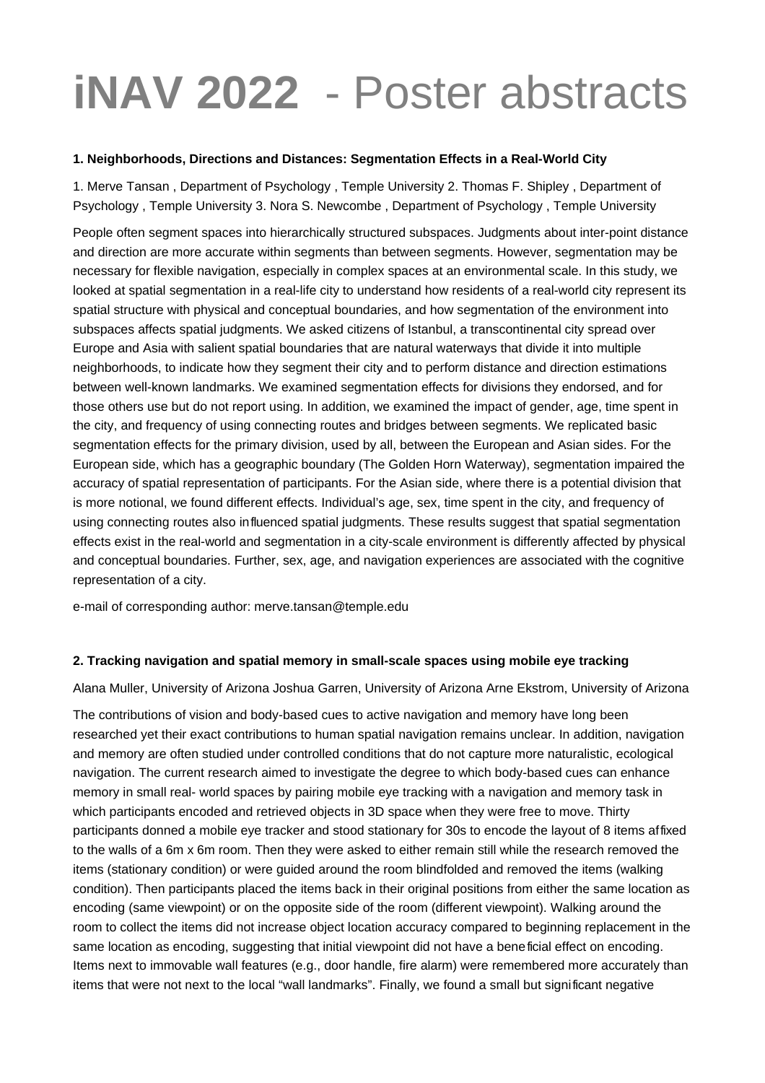# **iNAV 2022** - Poster abstracts

#### **1. Neighborhoods, Directions and Distances: Segmentation Effects in a Real-World City**

1. Merve Tansan , Department of Psychology , Temple University 2. Thomas F. Shipley , Department of Psychology , Temple University 3. Nora S. Newcombe , Department of Psychology , Temple University

People often segment spaces into hierarchically structured subspaces. Judgments about inter-point distance and direction are more accurate within segments than between segments. However, segmentation may be necessary for flexible navigation, especially in complex spaces at an environmental scale. In this study, we looked at spatial segmentation in a real-life city to understand how residents of a real-world city represent its spatial structure with physical and conceptual boundaries, and how segmentation of the environment into subspaces affects spatial judgments. We asked citizens of Istanbul, a transcontinental city spread over Europe and Asia with salient spatial boundaries that are natural waterways that divide it into multiple neighborhoods, to indicate how they segment their city and to perform distance and direction estimations between well-known landmarks. We examined segmentation effects for divisions they endorsed, and for those others use but do not report using. In addition, we examined the impact of gender, age, time spent in the city, and frequency of using connecting routes and bridges between segments. We replicated basic segmentation effects for the primary division, used by all, between the European and Asian sides. For the European side, which has a geographic boundary (The Golden Horn Waterway), segmentation impaired the accuracy of spatial representation of participants. For the Asian side, where there is a potential division that is more notional, we found different effects. Individual's age, sex, time spent in the city, and frequency of using connecting routes also influenced spatial judgments. These results suggest that spatial segmentation effects exist in the real-world and segmentation in a city-scale environment is differently affected by physical and conceptual boundaries. Further, sex, age, and navigation experiences are associated with the cognitive representation of a city.

e-mail of corresponding author: merve.tansan@temple.edu

## **2. Tracking navigation and spatial memory in small-scale spaces using mobile eye tracking**

Alana Muller, University of Arizona Joshua Garren, University of Arizona Arne Ekstrom, University of Arizona

The contributions of vision and body-based cues to active navigation and memory have long been researched yet their exact contributions to human spatial navigation remains unclear. In addition, navigation and memory are often studied under controlled conditions that do not capture more naturalistic, ecological navigation. The current research aimed to investigate the degree to which body-based cues can enhance memory in small real- world spaces by pairing mobile eye tracking with a navigation and memory task in which participants encoded and retrieved objects in 3D space when they were free to move. Thirty participants donned a mobile eye tracker and stood stationary for 30s to encode the layout of 8 items affixed to the walls of a 6m x 6m room. Then they were asked to either remain still while the research removed the items (stationary condition) or were guided around the room blindfolded and removed the items (walking condition). Then participants placed the items back in their original positions from either the same location as encoding (same viewpoint) or on the opposite side of the room (different viewpoint). Walking around the room to collect the items did not increase object location accuracy compared to beginning replacement in the same location as encoding, suggesting that initial viewpoint did not have a beneficial effect on encoding. Items next to immovable wall features (e.g., door handle, fire alarm) were remembered more accurately than items that were not next to the local "wall landmarks". Finally, we found a small but significant negative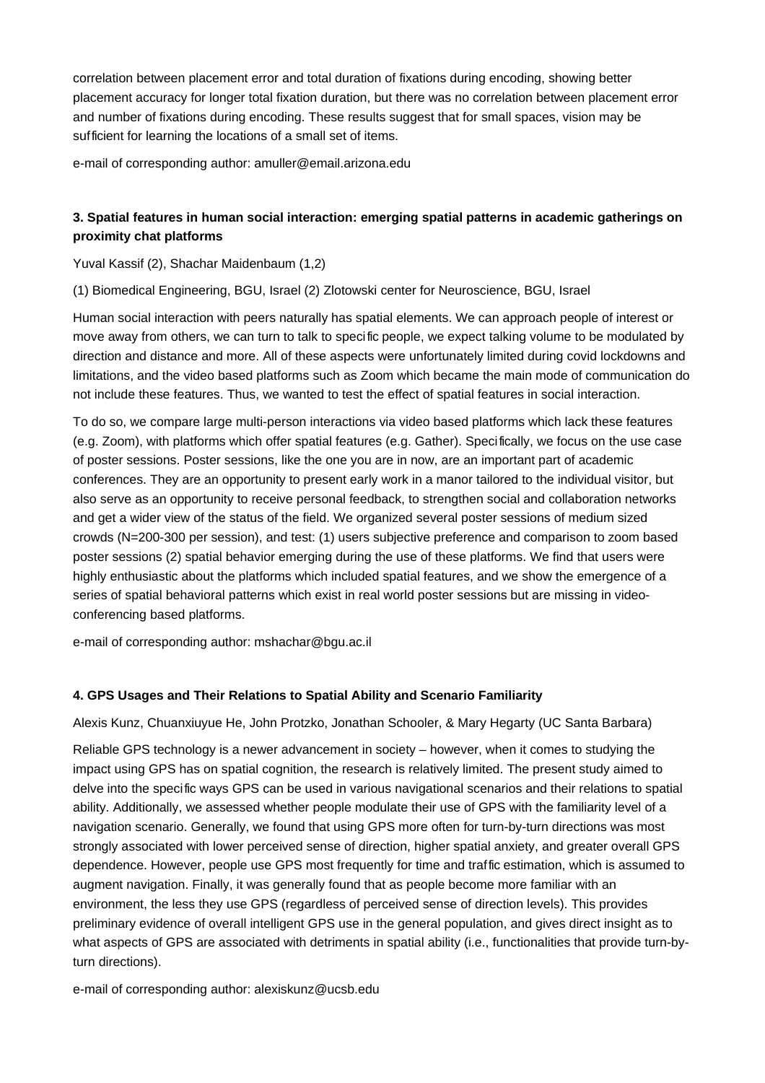correlation between placement error and total duration of fixations during encoding, showing better placement accuracy for longer total fixation duration, but there was no correlation between placement error and number of fixations during encoding. These results suggest that for small spaces, vision may be sufficient for learning the locations of a small set of items.

e-mail of corresponding author: amuller@email.arizona.edu

# **3. Spatial features in human social interaction: emerging spatial patterns in academic gatherings on proximity chat platforms**

Yuval Kassif (2), Shachar Maidenbaum (1,2)

(1) Biomedical Engineering, BGU, Israel (2) Zlotowski center for Neuroscience, BGU, Israel

Human social interaction with peers naturally has spatial elements. We can approach people of interest or move away from others, we can turn to talk to specific people, we expect talking volume to be modulated by direction and distance and more. All of these aspects were unfortunately limited during covid lockdowns and limitations, and the video based platforms such as Zoom which became the main mode of communication do not include these features. Thus, we wanted to test the effect of spatial features in social interaction.

To do so, we compare large multi-person interactions via video based platforms which lack these features (e.g. Zoom), with platforms which offer spatial features (e.g. Gather). Specifically, we focus on the use case of poster sessions. Poster sessions, like the one you are in now, are an important part of academic conferences. They are an opportunity to present early work in a manor tailored to the individual visitor, but also serve as an opportunity to receive personal feedback, to strengthen social and collaboration networks and get a wider view of the status of the field. We organized several poster sessions of medium sized crowds (N=200-300 per session), and test: (1) users subjective preference and comparison to zoom based poster sessions (2) spatial behavior emerging during the use of these platforms. We find that users were highly enthusiastic about the platforms which included spatial features, and we show the emergence of a series of spatial behavioral patterns which exist in real world poster sessions but are missing in videoconferencing based platforms.

e-mail of corresponding author: mshachar@bgu.ac.il

## **4. GPS Usages and Their Relations to Spatial Ability and Scenario Familiarity**

Alexis Kunz, Chuanxiuyue He, John Protzko, Jonathan Schooler, & Mary Hegarty (UC Santa Barbara)

Reliable GPS technology is a newer advancement in society – however, when it comes to studying the impact using GPS has on spatial cognition, the research is relatively limited. The present study aimed to delve into the specific ways GPS can be used in various navigational scenarios and their relations to spatial ability. Additionally, we assessed whether people modulate their use of GPS with the familiarity level of a navigation scenario. Generally, we found that using GPS more often for turn-by-turn directions was most strongly associated with lower perceived sense of direction, higher spatial anxiety, and greater overall GPS dependence. However, people use GPS most frequently for time and traffic estimation, which is assumed to augment navigation. Finally, it was generally found that as people become more familiar with an environment, the less they use GPS (regardless of perceived sense of direction levels). This provides preliminary evidence of overall intelligent GPS use in the general population, and gives direct insight as to what aspects of GPS are associated with detriments in spatial ability (i.e., functionalities that provide turn-byturn directions).

e-mail of corresponding author: alexiskunz@ucsb.edu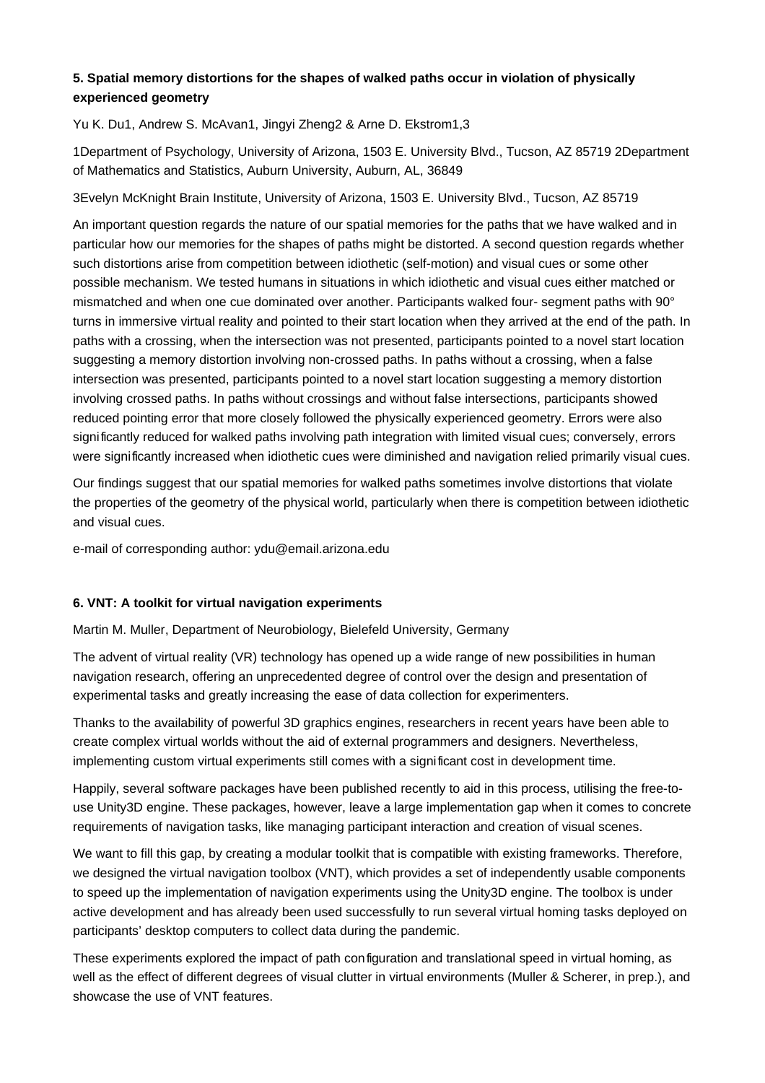## **5. Spatial memory distortions for the shapes of walked paths occur in violation of physically experienced geometry**

Yu K. Du1, Andrew S. McAvan1, Jingyi Zheng2 & Arne D. Ekstrom1,3

1Department of Psychology, University of Arizona, 1503 E. University Blvd., Tucson, AZ 85719 2Department of Mathematics and Statistics, Auburn University, Auburn, AL, 36849

3Evelyn McKnight Brain Institute, University of Arizona, 1503 E. University Blvd., Tucson, AZ 85719

An important question regards the nature of our spatial memories for the paths that we have walked and in particular how our memories for the shapes of paths might be distorted. A second question regards whether such distortions arise from competition between idiothetic (self-motion) and visual cues or some other possible mechanism. We tested humans in situations in which idiothetic and visual cues either matched or mismatched and when one cue dominated over another. Participants walked four- segment paths with 90° turns in immersive virtual reality and pointed to their start location when they arrived at the end of the path. In paths with a crossing, when the intersection was not presented, participants pointed to a novel start location suggesting a memory distortion involving non-crossed paths. In paths without a crossing, when a false intersection was presented, participants pointed to a novel start location suggesting a memory distortion involving crossed paths. In paths without crossings and without false intersections, participants showed reduced pointing error that more closely followed the physically experienced geometry. Errors were also significantly reduced for walked paths involving path integration with limited visual cues; conversely, errors were significantly increased when idiothetic cues were diminished and navigation relied primarily visual cues.

Our findings suggest that our spatial memories for walked paths sometimes involve distortions that violate the properties of the geometry of the physical world, particularly when there is competition between idiothetic and visual cues.

e-mail of corresponding author: ydu@email.arizona.edu

## **6. VNT: A toolkit for virtual navigation experiments**

Martin M. Muller, Department of Neurobiology, Bielefeld University, Germany

The advent of virtual reality (VR) technology has opened up a wide range of new possibilities in human navigation research, offering an unprecedented degree of control over the design and presentation of experimental tasks and greatly increasing the ease of data collection for experimenters.

Thanks to the availability of powerful 3D graphics engines, researchers in recent years have been able to create complex virtual worlds without the aid of external programmers and designers. Nevertheless, implementing custom virtual experiments still comes with a significant cost in development time.

Happily, several software packages have been published recently to aid in this process, utilising the free-touse Unity3D engine. These packages, however, leave a large implementation gap when it comes to concrete requirements of navigation tasks, like managing participant interaction and creation of visual scenes.

We want to fill this gap, by creating a modular toolkit that is compatible with existing frameworks. Therefore, we designed the virtual navigation toolbox (VNT), which provides a set of independently usable components to speed up the implementation of navigation experiments using the Unity3D engine. The toolbox is under active development and has already been used successfully to run several virtual homing tasks deployed on participants' desktop computers to collect data during the pandemic.

These experiments explored the impact of path configuration and translational speed in virtual homing, as well as the effect of different degrees of visual clutter in virtual environments (Mu ller & Scherer, in prep.), and showcase the use of VNT features.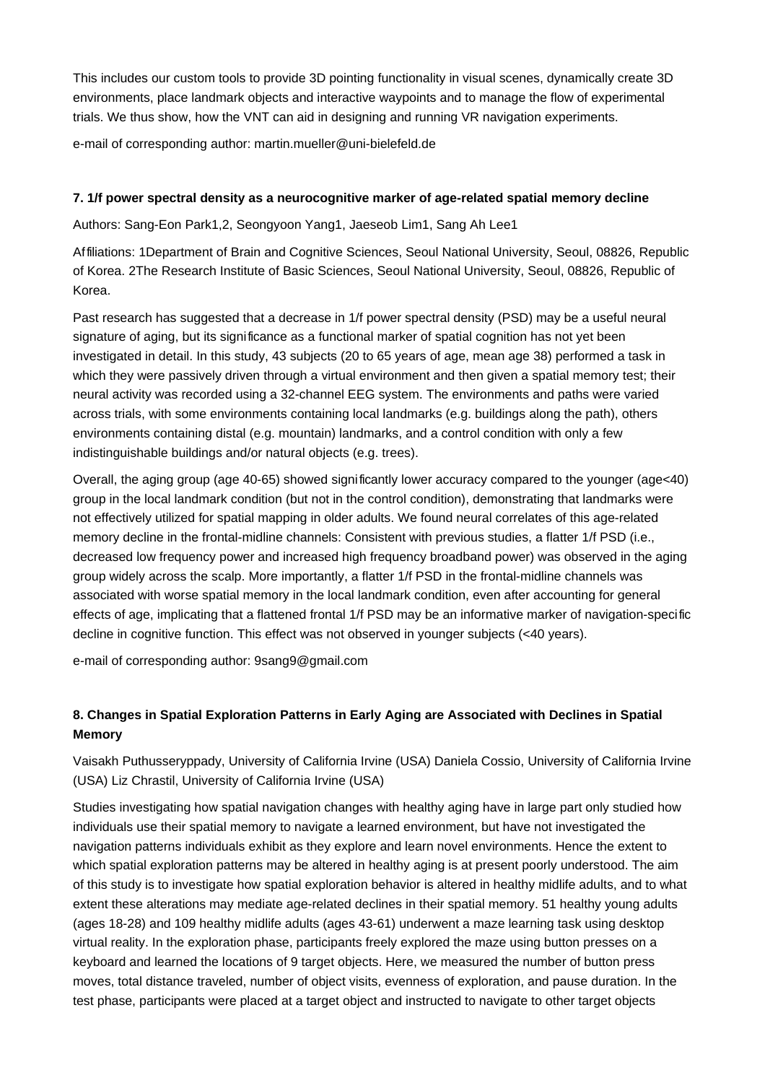This includes our custom tools to provide 3D pointing functionality in visual scenes, dynamically create 3D environments, place landmark objects and interactive waypoints and to manage the flow of experimental trials. We thus show, how the VNT can aid in designing and running VR navigation experiments.

e-mail of corresponding author: martin.mueller@uni-bielefeld.de

## **7. 1/f power spectral density as a neurocognitive marker of age-related spatial memory decline**

Authors: Sang-Eon Park1,2, Seongyoon Yang1, Jaeseob Lim1, Sang Ah Lee1

Affiliations: 1Department of Brain and Cognitive Sciences, Seoul National University, Seoul, 08826, Republic of Korea. 2The Research Institute of Basic Sciences, Seoul National University, Seoul, 08826, Republic of Korea.

Past research has suggested that a decrease in 1/f power spectral density (PSD) may be a useful neural signature of aging, but its significance as a functional marker of spatial cognition has not yet been investigated in detail. In this study, 43 subjects (20 to 65 years of age, mean age 38) performed a task in which they were passively driven through a virtual environment and then given a spatial memory test; their neural activity was recorded using a 32-channel EEG system. The environments and paths were varied across trials, with some environments containing local landmarks (e.g. buildings along the path), others environments containing distal (e.g. mountain) landmarks, and a control condition with only a few indistinguishable buildings and/or natural objects (e.g. trees).

Overall, the aging group (age 40-65) showed significantly lower accuracy compared to the younger (age<40) group in the local landmark condition (but not in the control condition), demonstrating that landmarks were not effectively utilized for spatial mapping in older adults. We found neural correlates of this age-related memory decline in the frontal-midline channels: Consistent with previous studies, a flatter 1/f PSD (i.e., decreased low frequency power and increased high frequency broadband power) was observed in the aging group widely across the scalp. More importantly, a flatter 1/f PSD in the frontal-midline channels was associated with worse spatial memory in the local landmark condition, even after accounting for general effects of age, implicating that a flattened frontal 1/f PSD may be an informative marker of navigation-specific decline in cognitive function. This effect was not observed in younger subjects (<40 years).

e-mail of corresponding author: 9sang9@gmail.com

# **8. Changes in Spatial Exploration Patterns in Early Aging are Associated with Declines in Spatial Memory**

Vaisakh Puthusseryppady, University of California Irvine (USA) Daniela Cossio, University of California Irvine (USA) Liz Chrastil, University of California Irvine (USA)

Studies investigating how spatial navigation changes with healthy aging have in large part only studied how individuals use their spatial memory to navigate a learned environment, but have not investigated the navigation patterns individuals exhibit as they explore and learn novel environments. Hence the extent to which spatial exploration patterns may be altered in healthy aging is at present poorly understood. The aim of this study is to investigate how spatial exploration behavior is altered in healthy midlife adults, and to what extent these alterations may mediate age-related declines in their spatial memory. 51 healthy young adults (ages 18-28) and 109 healthy midlife adults (ages 43-61) underwent a maze learning task using desktop virtual reality. In the exploration phase, participants freely explored the maze using button presses on a keyboard and learned the locations of 9 target objects. Here, we measured the number of button press moves, total distance traveled, number of object visits, evenness of exploration, and pause duration. In the test phase, participants were placed at a target object and instructed to navigate to other target objects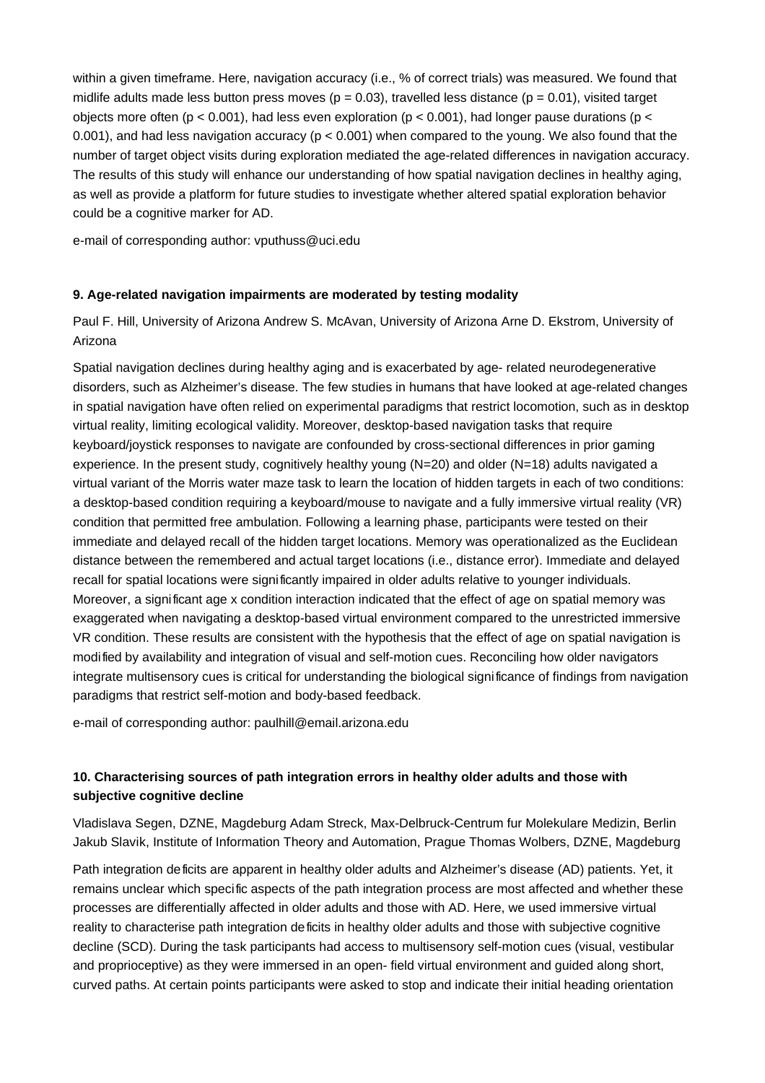within a given timeframe. Here, navigation accuracy (i.e., % of correct trials) was measured. We found that midlife adults made less button press moves ( $p = 0.03$ ), travelled less distance ( $p = 0.01$ ), visited target objects more often ( $p < 0.001$ ), had less even exploration ( $p < 0.001$ ), had longer pause durations ( $p <$ 0.001), and had less navigation accuracy ( $p < 0.001$ ) when compared to the young. We also found that the number of target object visits during exploration mediated the age-related differences in navigation accuracy. The results of this study will enhance our understanding of how spatial navigation declines in healthy aging, as well as provide a platform for future studies to investigate whether altered spatial exploration behavior could be a cognitive marker for AD.

e-mail of corresponding author: vputhuss@uci.edu

#### **9. Age-related navigation impairments are moderated by testing modality**

Paul F. Hill, University of Arizona Andrew S. McAvan, University of Arizona Arne D. Ekstrom, University of Arizona

Spatial navigation declines during healthy aging and is exacerbated by age- related neurodegenerative disorders, such as Alzheimer's disease. The few studies in humans that have looked at age-related changes in spatial navigation have often relied on experimental paradigms that restrict locomotion, such as in desktop virtual reality, limiting ecological validity. Moreover, desktop-based navigation tasks that require keyboard/joystick responses to navigate are confounded by cross-sectional differences in prior gaming experience. In the present study, cognitively healthy young (N=20) and older (N=18) adults navigated a virtual variant of the Morris water maze task to learn the location of hidden targets in each of two conditions: a desktop-based condition requiring a keyboard/mouse to navigate and a fully immersive virtual reality (VR) condition that permitted free ambulation. Following a learning phase, participants were tested on their immediate and delayed recall of the hidden target locations. Memory was operationalized as the Euclidean distance between the remembered and actual target locations (i.e., distance error). Immediate and delayed recall for spatial locations were significantly impaired in older adults relative to younger individuals. Moreover, a significant age x condition interaction indicated that the effect of age on spatial memory was exaggerated when navigating a desktop-based virtual environment compared to the unrestricted immersive VR condition. These results are consistent with the hypothesis that the effect of age on spatial navigation is modified by availability and integration of visual and self-motion cues. Reconciling how older navigators integrate multisensory cues is critical for understanding the biological significance of findings from navigation paradigms that restrict self-motion and body-based feedback.

e-mail of corresponding author: paulhill@email.arizona.edu

# **10. Characterising sources of path integration errors in healthy older adults and those with subjective cognitive decline**

Vladislava Segen, DZNE, Magdeburg Adam Streck, Max-Delbruck-Centrum fur Molekulare Medizin, Berlin Jakub Slavik, Institute of Information Theory and Automation, Prague Thomas Wolbers, DZNE, Magdeburg

Path integration deficits are apparent in healthy older adults and Alzheimer's disease (AD) patients. Yet, it remains unclear which specific aspects of the path integration process are most affected and whether these processes are differentially affected in older adults and those with AD. Here, we used immersive virtual reality to characterise path integration deficits in healthy older adults and those with subjective cognitive decline (SCD). During the task participants had access to multisensory self-motion cues (visual, vestibular and proprioceptive) as they were immersed in an open- field virtual environment and guided along short, curved paths. At certain points participants were asked to stop and indicate their initial heading orientation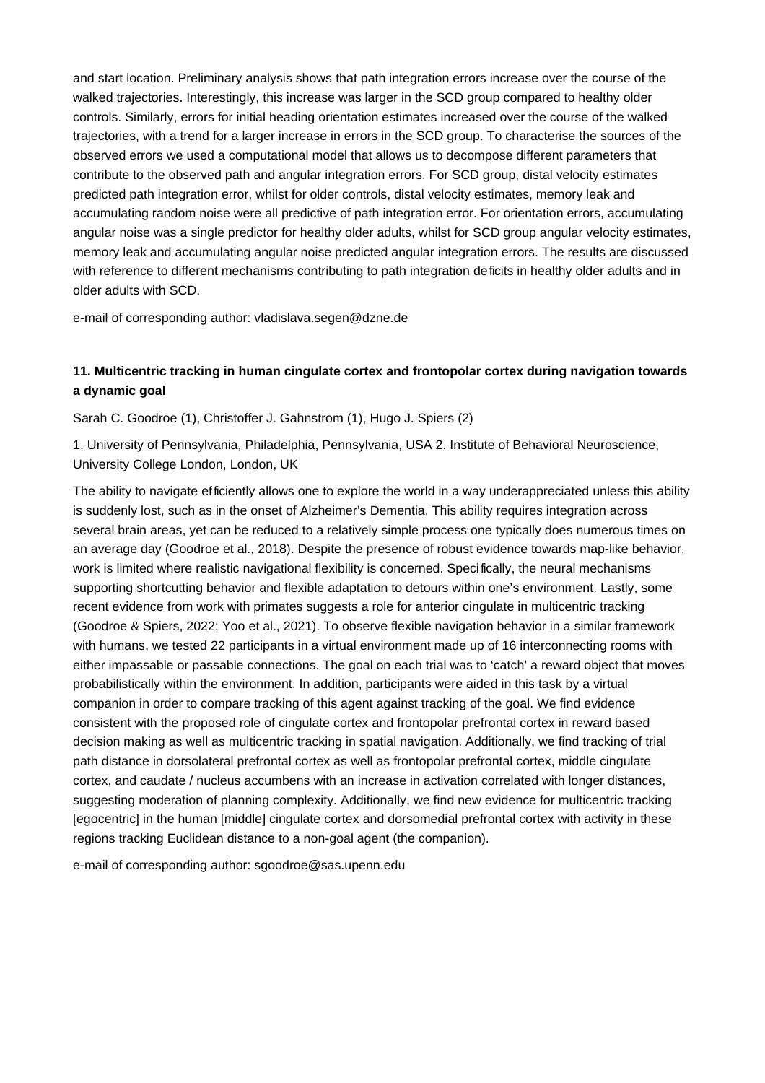and start location. Preliminary analysis shows that path integration errors increase over the course of the walked trajectories. Interestingly, this increase was larger in the SCD group compared to healthy older controls. Similarly, errors for initial heading orientation estimates increased over the course of the walked trajectories, with a trend for a larger increase in errors in the SCD group. To characterise the sources of the observed errors we used a computational model that allows us to decompose different parameters that contribute to the observed path and angular integration errors. For SCD group, distal velocity estimates predicted path integration error, whilst for older controls, distal velocity estimates, memory leak and accumulating random noise were all predictive of path integration error. For orientation errors, accumulating angular noise was a single predictor for healthy older adults, whilst for SCD group angular velocity estimates, memory leak and accumulating angular noise predicted angular integration errors. The results are discussed with reference to different mechanisms contributing to path integration deficits in healthy older adults and in older adults with SCD.

e-mail of corresponding author: vladislava.segen@dzne.de

## **11. Multicentric tracking in human cingulate cortex and frontopolar cortex during navigation towards a dynamic goal**

Sarah C. Goodroe (1), Christoffer J. Gahnstrom (1), Hugo J. Spiers (2)

1. University of Pennsylvania, Philadelphia, Pennsylvania, USA 2. Institute of Behavioral Neuroscience, University College London, London, UK

The ability to navigate efficiently allows one to explore the world in a way underappreciated unless this ability is suddenly lost, such as in the onset of Alzheimer's Dementia. This ability requires integration across several brain areas, yet can be reduced to a relatively simple process one typically does numerous times on an average day (Goodroe et al., 2018). Despite the presence of robust evidence towards map-like behavior, work is limited where realistic navigational flexibility is concerned. Specifically, the neural mechanisms supporting shortcutting behavior and flexible adaptation to detours within one's environment. Lastly, some recent evidence from work with primates suggests a role for anterior cingulate in multicentric tracking (Goodroe & Spiers, 2022; Yoo et al., 2021). To observe flexible navigation behavior in a similar framework with humans, we tested 22 participants in a virtual environment made up of 16 interconnecting rooms with either impassable or passable connections. The goal on each trial was to 'catch' a reward object that moves probabilistically within the environment. In addition, participants were aided in this task by a virtual companion in order to compare tracking of this agent against tracking of the goal. We find evidence consistent with the proposed role of cingulate cortex and frontopolar prefrontal cortex in reward based decision making as well as multicentric tracking in spatial navigation. Additionally, we find tracking of trial path distance in dorsolateral prefrontal cortex as well as frontopolar prefrontal cortex, middle cingulate cortex, and caudate / nucleus accumbens with an increase in activation correlated with longer distances, suggesting moderation of planning complexity. Additionally, we find new evidence for multicentric tracking [egocentric] in the human [middle] cingulate cortex and dorsomedial prefrontal cortex with activity in these regions tracking Euclidean distance to a non-goal agent (the companion).

e-mail of corresponding author: sgoodroe@sas.upenn.edu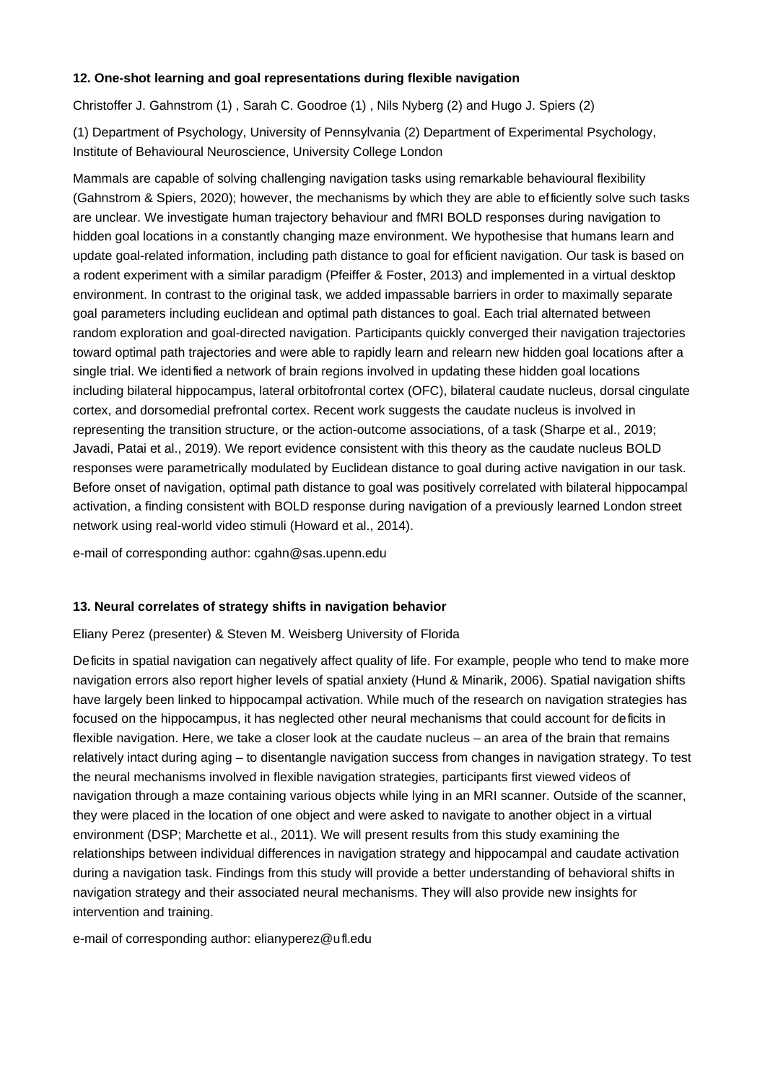## **12. One-shot learning and goal representations during flexible navigation**

Christoffer J. Gahnstrom (1) , Sarah C. Goodroe (1) , Nils Nyberg (2) and Hugo J. Spiers (2)

(1) Department of Psychology, University of Pennsylvania (2) Department of Experimental Psychology, Institute of Behavioural Neuroscience, University College London

Mammals are capable of solving challenging navigation tasks using remarkable behavioural flexibility (Gahnstrom & Spiers, 2020); however, the mechanisms by which they are able to efficiently solve such tasks are unclear. We investigate human trajectory behaviour and fMRI BOLD responses during navigation to hidden goal locations in a constantly changing maze environment. We hypothesise that humans learn and update goal-related information, including path distance to goal for efficient navigation. Our task is based on a rodent experiment with a similar paradigm (Pfeiffer & Foster, 2013) and implemented in a virtual desktop environment. In contrast to the original task, we added impassable barriers in order to maximally separate goal parameters including euclidean and optimal path distances to goal. Each trial alternated between random exploration and goal-directed navigation. Participants quickly converged their navigation trajectories toward optimal path trajectories and were able to rapidly learn and relearn new hidden goal locations after a single trial. We identified a network of brain regions involved in updating these hidden goal locations including bilateral hippocampus, lateral orbitofrontal cortex (OFC), bilateral caudate nucleus, dorsal cingulate cortex, and dorsomedial prefrontal cortex. Recent work suggests the caudate nucleus is involved in representing the transition structure, or the action-outcome associations, of a task (Sharpe et al., 2019; Javadi, Patai et al., 2019). We report evidence consistent with this theory as the caudate nucleus BOLD responses were parametrically modulated by Euclidean distance to goal during active navigation in our task. Before onset of navigation, optimal path distance to goal was positively correlated with bilateral hippocampal activation, a finding consistent with BOLD response during navigation of a previously learned London street network using real-world video stimuli (Howard et al., 2014).

e-mail of corresponding author: cgahn@sas.upenn.edu

## **13. Neural correlates of strategy shifts in navigation behavior**

Eliany Perez (presenter) & Steven M. Weisberg University of Florida

Deficits in spatial navigation can negatively affect quality of life. For example, people who tend to make more navigation errors also report higher levels of spatial anxiety (Hund & Minarik, 2006). Spatial navigation shifts have largely been linked to hippocampal activation. While much of the research on navigation strategies has focused on the hippocampus, it has neglected other neural mechanisms that could account for deficits in flexible navigation. Here, we take a closer look at the caudate nucleus – an area of the brain that remains relatively intact during aging – to disentangle navigation success from changes in navigation strategy. To test the neural mechanisms involved in flexible navigation strategies, participants first viewed videos of navigation through a maze containing various objects while lying in an MRI scanner. Outside of the scanner, they were placed in the location of one object and were asked to navigate to another object in a virtual environment (DSP; Marchette et al., 2011). We will present results from this study examining the relationships between individual differences in navigation strategy and hippocampal and caudate activation during a navigation task. Findings from this study will provide a better understanding of behavioral shifts in navigation strategy and their associated neural mechanisms. They will also provide new insights for intervention and training.

e-mail of corresponding author: elianyperez@ufl.edu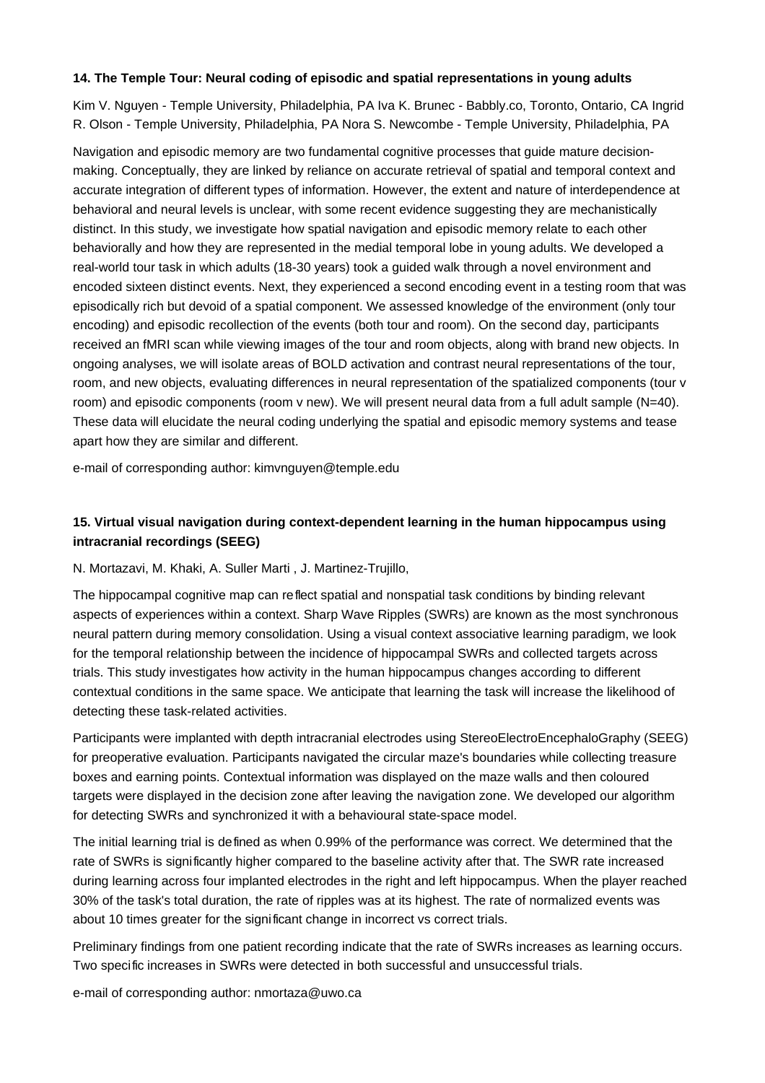## **14. The Temple Tour: Neural coding of episodic and spatial representations in young adults**

Kim V. Nguyen - Temple University, Philadelphia, PA Iva K. Brunec - Babbly.co, Toronto, Ontario, CA Ingrid R. Olson - Temple University, Philadelphia, PA Nora S. Newcombe - Temple University, Philadelphia, PA

Navigation and episodic memory are two fundamental cognitive processes that guide mature decisionmaking. Conceptually, they are linked by reliance on accurate retrieval of spatial and temporal context and accurate integration of different types of information. However, the extent and nature of interdependence at behavioral and neural levels is unclear, with some recent evidence suggesting they are mechanistically distinct. In this study, we investigate how spatial navigation and episodic memory relate to each other behaviorally and how they are represented in the medial temporal lobe in young adults. We developed a real-world tour task in which adults (18-30 years) took a guided walk through a novel environment and encoded sixteen distinct events. Next, they experienced a second encoding event in a testing room that was episodically rich but devoid of a spatial component. We assessed knowledge of the environment (only tour encoding) and episodic recollection of the events (both tour and room). On the second day, participants received an fMRI scan while viewing images of the tour and room objects, along with brand new objects. In ongoing analyses, we will isolate areas of BOLD activation and contrast neural representations of the tour, room, and new objects, evaluating differences in neural representation of the spatialized components (tour v room) and episodic components (room v new). We will present neural data from a full adult sample (N=40). These data will elucidate the neural coding underlying the spatial and episodic memory systems and tease apart how they are similar and different.

e-mail of corresponding author: kimvnguyen@temple.edu

# **15. Virtual visual navigation during context-dependent learning in the human hippocampus using intracranial recordings (SEEG)**

## N. Mortazavi, M. Khaki, A. Suller Marti , J. Martinez-Trujillo,

The hippocampal cognitive map can reflect spatial and nonspatial task conditions by binding relevant aspects of experiences within a context. Sharp Wave Ripples (SWRs) are known as the most synchronous neural pattern during memory consolidation. Using a visual context associative learning paradigm, we look for the temporal relationship between the incidence of hippocampal SWRs and collected targets across trials. This study investigates how activity in the human hippocampus changes according to different contextual conditions in the same space. We anticipate that learning the task will increase the likelihood of detecting these task-related activities.

Participants were implanted with depth intracranial electrodes using StereoElectroEncephaloGraphy (SEEG) for preoperative evaluation. Participants navigated the circular maze's boundaries while collecting treasure boxes and earning points. Contextual information was displayed on the maze walls and then coloured targets were displayed in the decision zone after leaving the navigation zone. We developed our algorithm for detecting SWRs and synchronized it with a behavioural state-space model.

The initial learning trial is defined as when 0.99% of the performance was correct. We determined that the rate of SWRs is significantly higher compared to the baseline activity after that. The SWR rate increased during learning across four implanted electrodes in the right and left hippocampus. When the player reached 30% of the task's total duration, the rate of ripples was at its highest. The rate of normalized events was about 10 times greater for the significant change in incorrect vs correct trials.

Preliminary findings from one patient recording indicate that the rate of SWRs increases as learning occurs. Two specific increases in SWRs were detected in both successful and unsuccessful trials.

e-mail of corresponding author: nmortaza@uwo.ca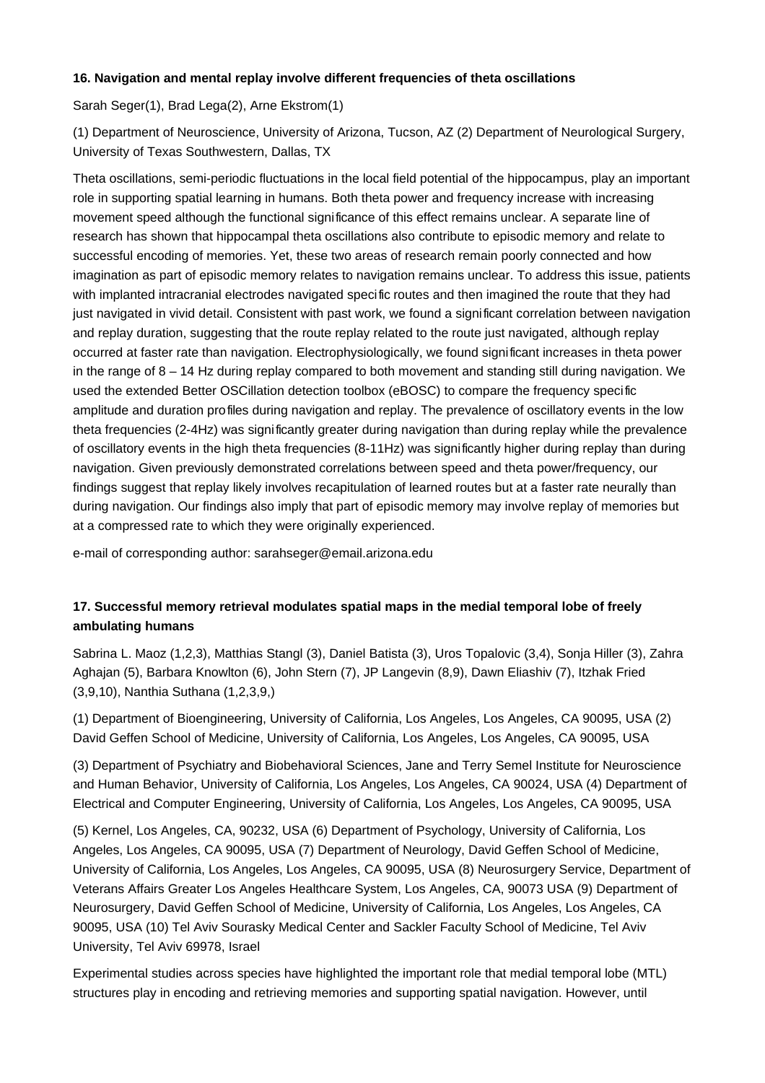## **16. Navigation and mental replay involve different frequencies of theta oscillations**

Sarah Seger(1), Brad Lega(2), Arne Ekstrom(1)

(1) Department of Neuroscience, University of Arizona, Tucson, AZ (2) Department of Neurological Surgery, University of Texas Southwestern, Dallas, TX

Theta oscillations, semi-periodic fluctuations in the local field potential of the hippocampus, play an important role in supporting spatial learning in humans. Both theta power and frequency increase with increasing movement speed although the functional significance of this effect remains unclear. A separate line of research has shown that hippocampal theta oscillations also contribute to episodic memory and relate to successful encoding of memories. Yet, these two areas of research remain poorly connected and how imagination as part of episodic memory relates to navigation remains unclear. To address this issue, patients with implanted intracranial electrodes navigated specific routes and then imagined the route that they had just navigated in vivid detail. Consistent with past work, we found a significant correlation between navigation and replay duration, suggesting that the route replay related to the route just navigated, although replay occurred at faster rate than navigation. Electrophysiologically, we found significant increases in theta power in the range of 8 – 14 Hz during replay compared to both movement and standing still during navigation. We used the extended Better OSCillation detection toolbox (eBOSC) to compare the frequency specific amplitude and duration profiles during navigation and replay. The prevalence of oscillatory events in the low theta frequencies (2-4Hz) was significantly greater during navigation than during replay while the prevalence of oscillatory events in the high theta frequencies (8-11Hz) was significantly higher during replay than during navigation. Given previously demonstrated correlations between speed and theta power/frequency, our findings suggest that replay likely involves recapitulation of learned routes but at a faster rate neurally than during navigation. Our findings also imply that part of episodic memory may involve replay of memories but at a compressed rate to which they were originally experienced.

e-mail of corresponding author: sarahseger@email.arizona.edu

## **17. Successful memory retrieval modulates spatial maps in the medial temporal lobe of freely ambulating humans**

Sabrina L. Maoz (1,2,3), Matthias Stangl (3), Daniel Batista (3), Uros Topalovic (3,4), Sonja Hiller (3), Zahra Aghajan (5), Barbara Knowlton (6), John Stern (7), JP Langevin (8,9), Dawn Eliashiv (7), Itzhak Fried (3,9,10), Nanthia Suthana (1,2,3,9,)

(1) Department of Bioengineering, University of California, Los Angeles, Los Angeles, CA 90095, USA (2) David Geffen School of Medicine, University of California, Los Angeles, Los Angeles, CA 90095, USA

(3) Department of Psychiatry and Biobehavioral Sciences, Jane and Terry Semel Institute for Neuroscience and Human Behavior, University of California, Los Angeles, Los Angeles, CA 90024, USA (4) Department of Electrical and Computer Engineering, University of California, Los Angeles, Los Angeles, CA 90095, USA

(5) Kernel, Los Angeles, CA, 90232, USA (6) Department of Psychology, University of California, Los Angeles, Los Angeles, CA 90095, USA (7) Department of Neurology, David Geffen School of Medicine, University of California, Los Angeles, Los Angeles, CA 90095, USA (8) Neurosurgery Service, Department of Veterans Affairs Greater Los Angeles Healthcare System, Los Angeles, CA, 90073 USA (9) Department of Neurosurgery, David Geffen School of Medicine, University of California, Los Angeles, Los Angeles, CA 90095, USA (10) Tel Aviv Sourasky Medical Center and Sackler Faculty School of Medicine, Tel Aviv University, Tel Aviv 69978, Israel

Experimental studies across species have highlighted the important role that medial temporal lobe (MTL) structures play in encoding and retrieving memories and supporting spatial navigation. However, until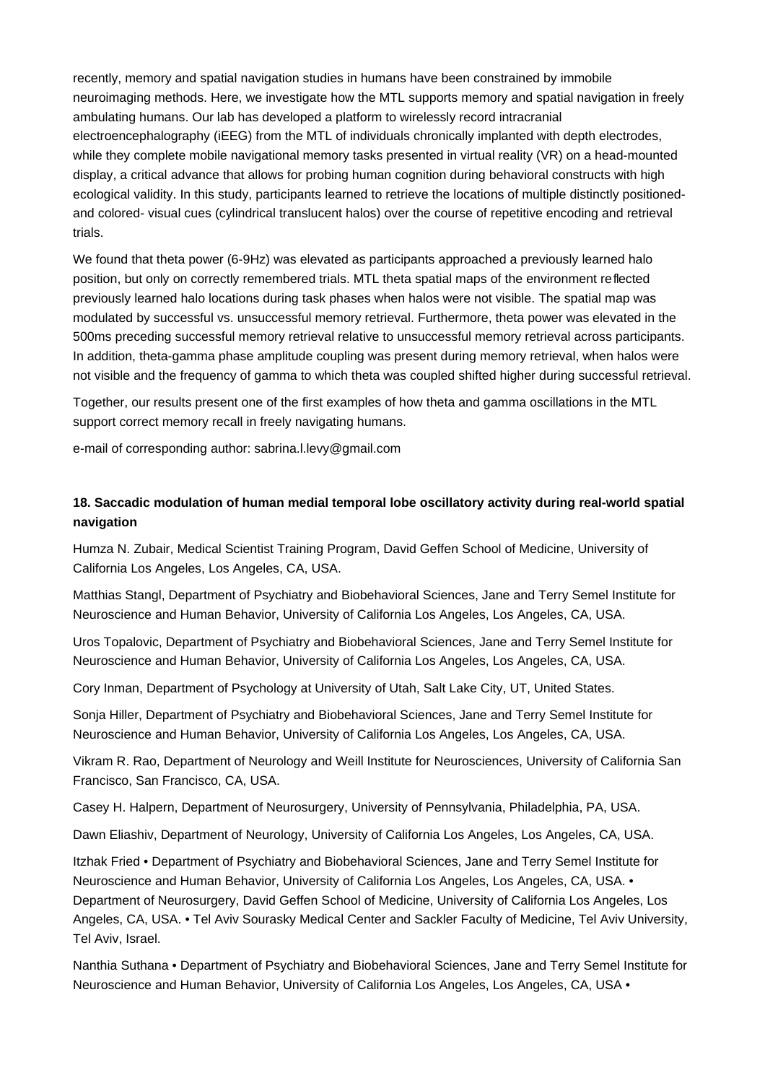recently, memory and spatial navigation studies in humans have been constrained by immobile neuroimaging methods. Here, we investigate how the MTL supports memory and spatial navigation in freely ambulating humans. Our lab has developed a platform to wirelessly record intracranial electroencephalography (iEEG) from the MTL of individuals chronically implanted with depth electrodes, while they complete mobile navigational memory tasks presented in virtual reality (VR) on a head-mounted display, a critical advance that allows for probing human cognition during behavioral constructs with high ecological validity. In this study, participants learned to retrieve the locations of multiple distinctly positionedand colored- visual cues (cylindrical translucent halos) over the course of repetitive encoding and retrieval trials.

We found that theta power (6-9Hz) was elevated as participants approached a previously learned halo position, but only on correctly remembered trials. MTL theta spatial maps of the environment reflected previously learned halo locations during task phases when halos were not visible. The spatial map was modulated by successful vs. unsuccessful memory retrieval. Furthermore, theta power was elevated in the 500ms preceding successful memory retrieval relative to unsuccessful memory retrieval across participants. In addition, theta-gamma phase amplitude coupling was present during memory retrieval, when halos were not visible and the frequency of gamma to which theta was coupled shifted higher during successful retrieval.

Together, our results present one of the first examples of how theta and gamma oscillations in the MTL support correct memory recall in freely navigating humans.

e-mail of corresponding author: sabrina.l.levy@gmail.com

# **18. Saccadic modulation of human medial temporal lobe oscillatory activity during real-world spatial navigation**

Humza N. Zubair, Medical Scientist Training Program, David Geffen School of Medicine, University of California Los Angeles, Los Angeles, CA, USA.

Matthias Stangl, Department of Psychiatry and Biobehavioral Sciences, Jane and Terry Semel Institute for Neuroscience and Human Behavior, University of California Los Angeles, Los Angeles, CA, USA.

Uros Topalovic, Department of Psychiatry and Biobehavioral Sciences, Jane and Terry Semel Institute for Neuroscience and Human Behavior, University of California Los Angeles, Los Angeles, CA, USA.

Cory Inman, Department of Psychology at University of Utah, Salt Lake City, UT, United States.

Sonja Hiller, Department of Psychiatry and Biobehavioral Sciences, Jane and Terry Semel Institute for Neuroscience and Human Behavior, University of California Los Angeles, Los Angeles, CA, USA.

Vikram R. Rao, Department of Neurology and Weill Institute for Neurosciences, University of California San Francisco, San Francisco, CA, USA.

Casey H. Halpern, Department of Neurosurgery, University of Pennsylvania, Philadelphia, PA, USA.

Dawn Eliashiv, Department of Neurology, University of California Los Angeles, Los Angeles, CA, USA.

Itzhak Fried • Department of Psychiatry and Biobehavioral Sciences, Jane and Terry Semel Institute for Neuroscience and Human Behavior, University of California Los Angeles, Los Angeles, CA, USA. • Department of Neurosurgery, David Geffen School of Medicine, University of California Los Angeles, Los Angeles, CA, USA. • Tel Aviv Sourasky Medical Center and Sackler Faculty of Medicine, Tel Aviv University, Tel Aviv, Israel.

Nanthia Suthana • Department of Psychiatry and Biobehavioral Sciences, Jane and Terry Semel Institute for Neuroscience and Human Behavior, University of California Los Angeles, Los Angeles, CA, USA •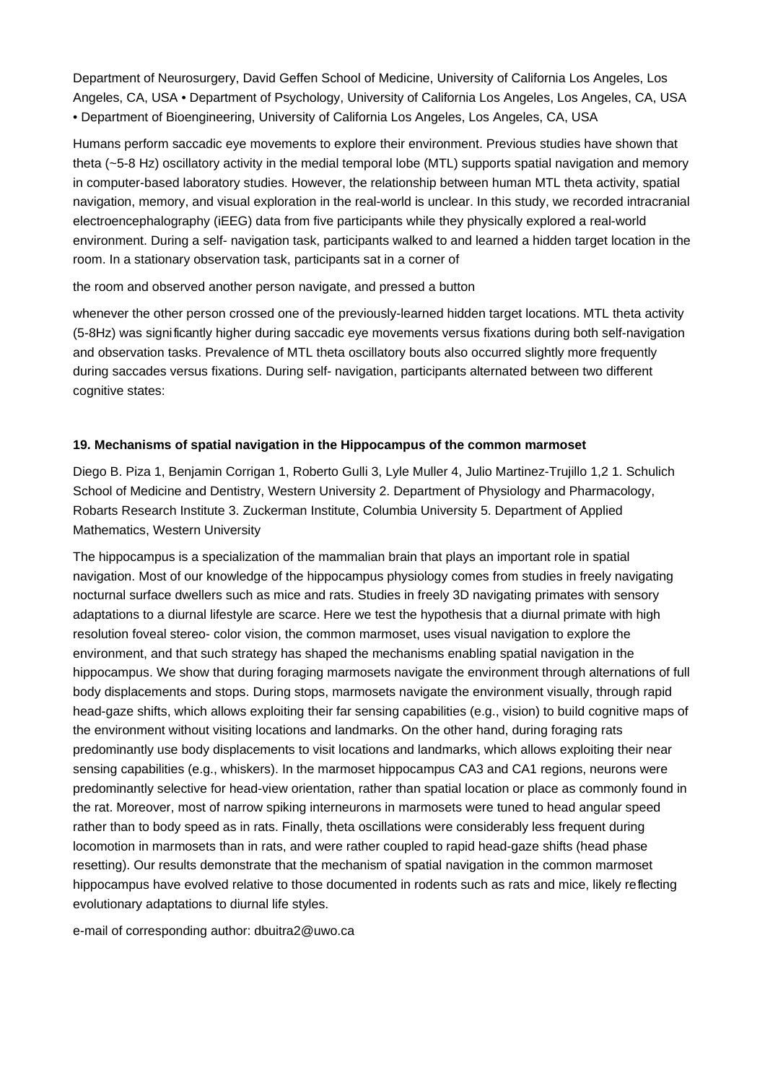Department of Neurosurgery, David Geffen School of Medicine, University of California Los Angeles, Los Angeles, CA, USA • Department of Psychology, University of California Los Angeles, Los Angeles, CA, USA • Department of Bioengineering, University of California Los Angeles, Los Angeles, CA, USA

Humans perform saccadic eye movements to explore their environment. Previous studies have shown that theta (~5-8 Hz) oscillatory activity in the medial temporal lobe (MTL) supports spatial navigation and memory in computer-based laboratory studies. However, the relationship between human MTL theta activity, spatial navigation, memory, and visual exploration in the real-world is unclear. In this study, we recorded intracranial electroencephalography (iEEG) data from five participants while they physically explored a real-world environment. During a self- navigation task, participants walked to and learned a hidden target location in the room. In a stationary observation task, participants sat in a corner of

## the room and observed another person navigate, and pressed a button

whenever the other person crossed one of the previously-learned hidden target locations. MTL theta activity (5-8Hz) was significantly higher during saccadic eye movements versus fixations during both self-navigation and observation tasks. Prevalence of MTL theta oscillatory bouts also occurred slightly more frequently during saccades versus fixations. During self- navigation, participants alternated between two different cognitive states:

## **19. Mechanisms of spatial navigation in the Hippocampus of the common marmoset**

Diego B. Piza 1, Benjamin Corrigan 1, Roberto Gulli 3, Lyle Muller 4, Julio Martinez-Trujillo 1,2 1. Schulich School of Medicine and Dentistry, Western University 2. Department of Physiology and Pharmacology, Robarts Research Institute 3. Zuckerman Institute, Columbia University 5. Department of Applied Mathematics, Western University

The hippocampus is a specialization of the mammalian brain that plays an important role in spatial navigation. Most of our knowledge of the hippocampus physiology comes from studies in freely navigating nocturnal surface dwellers such as mice and rats. Studies in freely 3D navigating primates with sensory adaptations to a diurnal lifestyle are scarce. Here we test the hypothesis that a diurnal primate with high resolution foveal stereo- color vision, the common marmoset, uses visual navigation to explore the environment, and that such strategy has shaped the mechanisms enabling spatial navigation in the hippocampus. We show that during foraging marmosets navigate the environment through alternations of full body displacements and stops. During stops, marmosets navigate the environment visually, through rapid head-gaze shifts, which allows exploiting their far sensing capabilities (e.g., vision) to build cognitive maps of the environment without visiting locations and landmarks. On the other hand, during foraging rats predominantly use body displacements to visit locations and landmarks, which allows exploiting their near sensing capabilities (e.g., whiskers). In the marmoset hippocampus CA3 and CA1 regions, neurons were predominantly selective for head-view orientation, rather than spatial location or place as commonly found in the rat. Moreover, most of narrow spiking interneurons in marmosets were tuned to head angular speed rather than to body speed as in rats. Finally, theta oscillations were considerably less frequent during locomotion in marmosets than in rats, and were rather coupled to rapid head-gaze shifts (head phase resetting). Our results demonstrate that the mechanism of spatial navigation in the common marmoset hippocampus have evolved relative to those documented in rodents such as rats and mice, likely reflecting evolutionary adaptations to diurnal life styles.

e-mail of corresponding author: dbuitra2@uwo.ca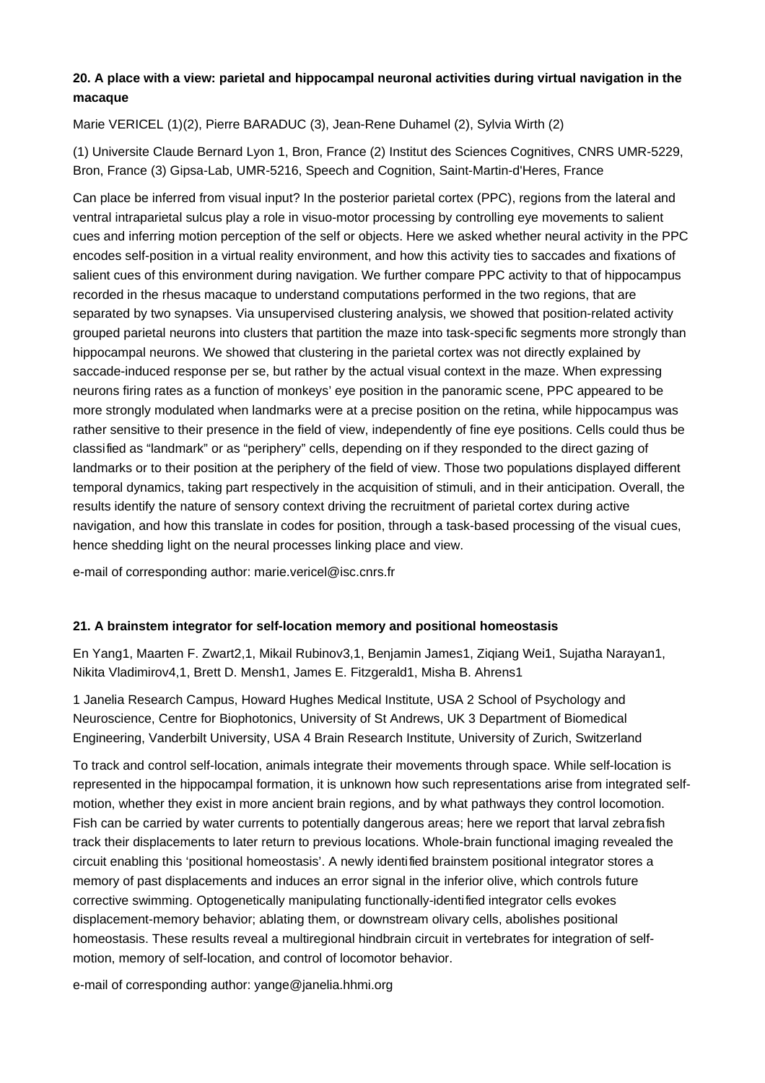# **20. A place with a view: parietal and hippocampal neuronal activities during virtual navigation in the macaque**

Marie VERICEL (1)(2), Pierre BARADUC (3), Jean-Rene Duhamel (2), Sylvia Wirth (2)

(1) Universite Claude Bernard Lyon 1, Bron, France (2) Institut des Sciences Cognitives, CNRS UMR-5229, Bron, France (3) Gipsa-Lab, UMR-5216, Speech and Cognition, Saint-Martin-d'Heres, France

Can place be inferred from visual input? In the posterior parietal cortex (PPC), regions from the lateral and ventral intraparietal sulcus play a role in visuo-motor processing by controlling eye movements to salient cues and inferring motion perception of the self or objects. Here we asked whether neural activity in the PPC encodes self-position in a virtual reality environment, and how this activity ties to saccades and fixations of salient cues of this environment during navigation. We further compare PPC activity to that of hippocampus recorded in the rhesus macaque to understand computations performed in the two regions, that are separated by two synapses. Via unsupervised clustering analysis, we showed that position-related activity grouped parietal neurons into clusters that partition the maze into task-specific segments more strongly than hippocampal neurons. We showed that clustering in the parietal cortex was not directly explained by saccade-induced response per se, but rather by the actual visual context in the maze. When expressing neurons firing rates as a function of monkeys' eye position in the panoramic scene, PPC appeared to be more strongly modulated when landmarks were at a precise position on the retina, while hippocampus was rather sensitive to their presence in the field of view, independently of fine eye positions. Cells could thus be classified as "landmark" or as "periphery" cells, depending on if they responded to the direct gazing of landmarks or to their position at the periphery of the field of view. Those two populations displayed different temporal dynamics, taking part respectively in the acquisition of stimuli, and in their anticipation. Overall, the results identify the nature of sensory context driving the recruitment of parietal cortex during active navigation, and how this translate in codes for position, through a task-based processing of the visual cues, hence shedding light on the neural processes linking place and view.

e-mail of corresponding author: marie.vericel@isc.cnrs.fr

## **21. A brainstem integrator for self-location memory and positional homeostasis**

En Yang1, Maarten F. Zwart2,1, Mikail Rubinov3,1, Benjamin James1, Ziqiang Wei1, Sujatha Narayan1, Nikita Vladimirov4,1, Brett D. Mensh1, James E. Fitzgerald1, Misha B. Ahrens1

1 Janelia Research Campus, Howard Hughes Medical Institute, USA 2 School of Psychology and Neuroscience, Centre for Biophotonics, University of St Andrews, UK 3 Department of Biomedical Engineering, Vanderbilt University, USA 4 Brain Research Institute, University of Zurich, Switzerland

To track and control self-location, animals integrate their movements through space. While self-location is represented in the hippocampal formation, it is unknown how such representations arise from integrated selfmotion, whether they exist in more ancient brain regions, and by what pathways they control locomotion. Fish can be carried by water currents to potentially dangerous areas; here we report that larval zebrafish track their displacements to later return to previous locations. Whole-brain functional imaging revealed the circuit enabling this 'positional homeostasis'. A newly identified brainstem positional integrator stores a memory of past displacements and induces an error signal in the inferior olive, which controls future corrective swimming. Optogenetically manipulating functionally-identified integrator cells evokes displacement-memory behavior; ablating them, or downstream olivary cells, abolishes positional homeostasis. These results reveal a multiregional hindbrain circuit in vertebrates for integration of selfmotion, memory of self-location, and control of locomotor behavior.

e-mail of corresponding author: yange@janelia.hhmi.org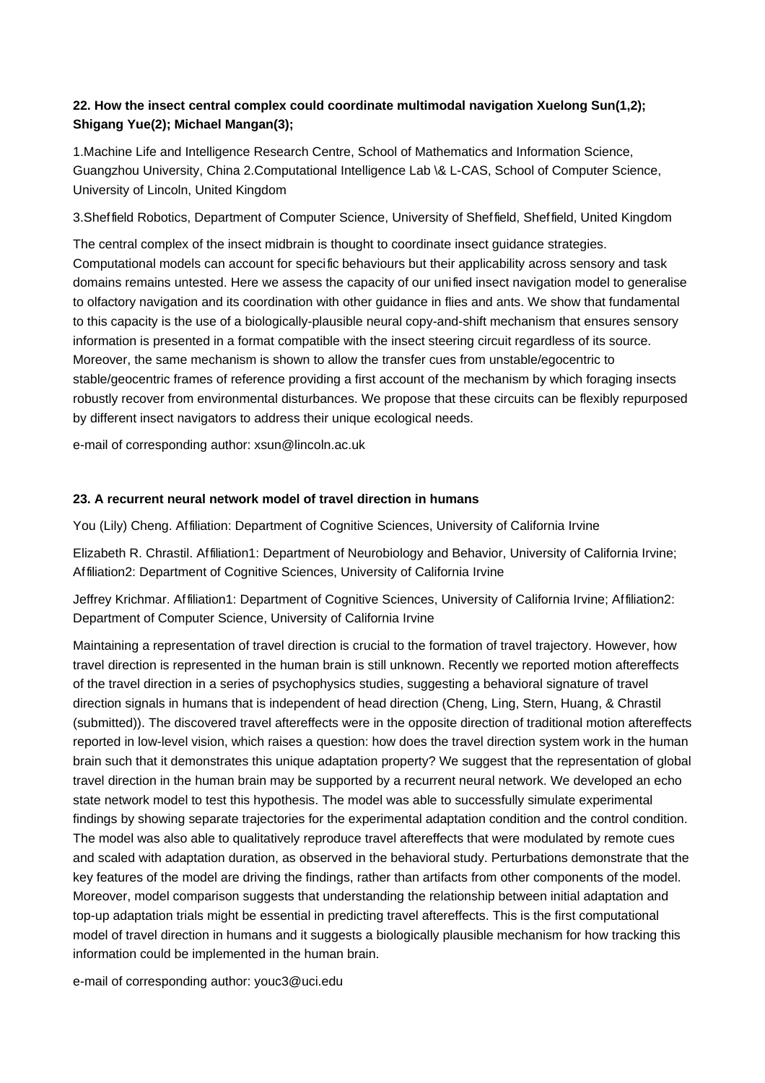# **22. How the insect central complex could coordinate multimodal navigation Xuelong Sun(1,2); Shigang Yue(2); Michael Mangan(3);**

1.Machine Life and Intelligence Research Centre, School of Mathematics and Information Science, Guangzhou University, China 2.Computational Intelligence Lab \& L-CAS, School of Computer Science, University of Lincoln, United Kingdom

3.Sheffield Robotics, Department of Computer Science, University of Sheffield, Sheffield, United Kingdom

The central complex of the insect midbrain is thought to coordinate insect guidance strategies. Computational models can account for specific behaviours but their applicability across sensory and task domains remains untested. Here we assess the capacity of our unified insect navigation model to generalise to olfactory navigation and its coordination with other guidance in flies and ants. We show that fundamental to this capacity is the use of a biologically-plausible neural copy-and-shift mechanism that ensures sensory information is presented in a format compatible with the insect steering circuit regardless of its source. Moreover, the same mechanism is shown to allow the transfer cues from unstable/egocentric to stable/geocentric frames of reference providing a first account of the mechanism by which foraging insects robustly recover from environmental disturbances. We propose that these circuits can be flexibly repurposed by different insect navigators to address their unique ecological needs.

e-mail of corresponding author: xsun@lincoln.ac.uk

## **23. A recurrent neural network model of travel direction in humans**

You (Lily) Cheng. Affiliation: Department of Cognitive Sciences, University of California Irvine

Elizabeth R. Chrastil. Affiliation1: Department of Neurobiology and Behavior, University of California Irvine; Affiliation2: Department of Cognitive Sciences, University of California Irvine

Jeffrey Krichmar. Affiliation1: Department of Cognitive Sciences, University of California Irvine; Affiliation2: Department of Computer Science, University of California Irvine

Maintaining a representation of travel direction is crucial to the formation of travel trajectory. However, how travel direction is represented in the human brain is still unknown. Recently we reported motion aftereffects of the travel direction in a series of psychophysics studies, suggesting a behavioral signature of travel direction signals in humans that is independent of head direction (Cheng, Ling, Stern, Huang, & Chrastil (submitted)). The discovered travel aftereffects were in the opposite direction of traditional motion aftereffects reported in low-level vision, which raises a question: how does the travel direction system work in the human brain such that it demonstrates this unique adaptation property? We suggest that the representation of global travel direction in the human brain may be supported by a recurrent neural network. We developed an echo state network model to test this hypothesis. The model was able to successfully simulate experimental findings by showing separate trajectories for the experimental adaptation condition and the control condition. The model was also able to qualitatively reproduce travel aftereffects that were modulated by remote cues and scaled with adaptation duration, as observed in the behavioral study. Perturbations demonstrate that the key features of the model are driving the findings, rather than artifacts from other components of the model. Moreover, model comparison suggests that understanding the relationship between initial adaptation and top-up adaptation trials might be essential in predicting travel aftereffects. This is the first computational model of travel direction in humans and it suggests a biologically plausible mechanism for how tracking this information could be implemented in the human brain.

e-mail of corresponding author: youc3@uci.edu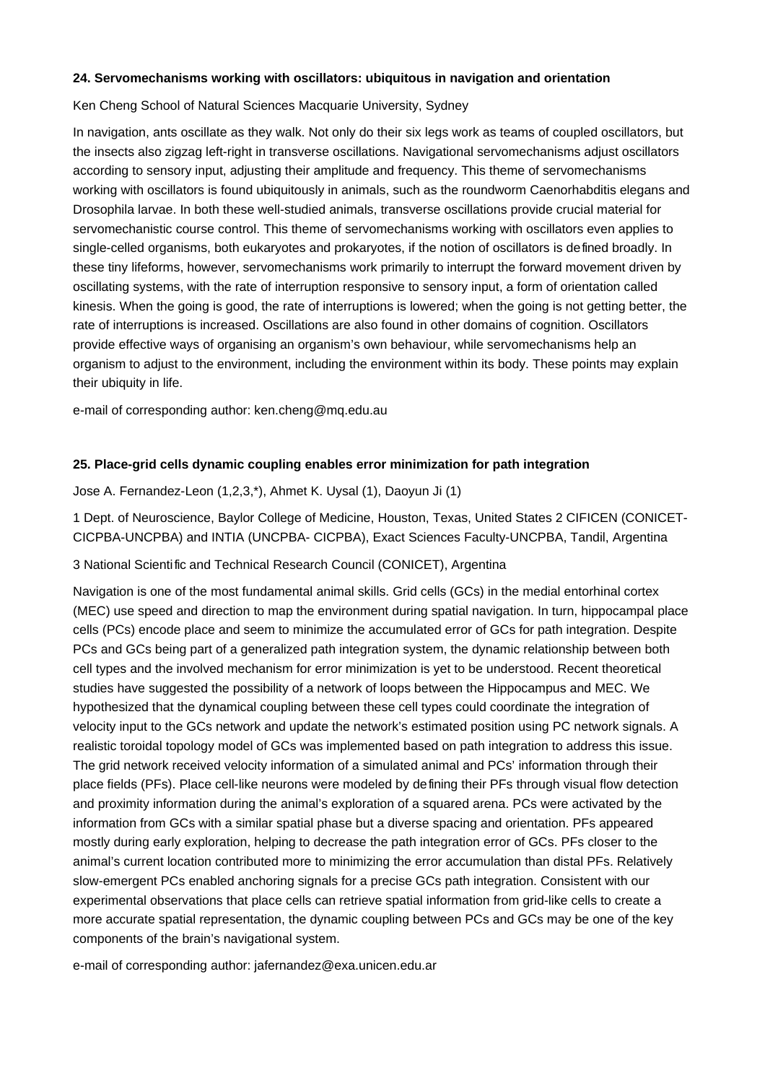#### **24. Servomechanisms working with oscillators: ubiquitous in navigation and orientation**

Ken Cheng School of Natural Sciences Macquarie University, Sydney

In navigation, ants oscillate as they walk. Not only do their six legs work as teams of coupled oscillators, but the insects also zigzag left-right in transverse oscillations. Navigational servomechanisms adjust oscillators according to sensory input, adjusting their amplitude and frequency. This theme of servomechanisms working with oscillators is found ubiquitously in animals, such as the roundworm Caenorhabditis elegans and Drosophila larvae. In both these well-studied animals, transverse oscillations provide crucial material for servomechanistic course control. This theme of servomechanisms working with oscillators even applies to single-celled organisms, both eukaryotes and prokaryotes, if the notion of oscillators is defined broadly. In these tiny lifeforms, however, servomechanisms work primarily to interrupt the forward movement driven by oscillating systems, with the rate of interruption responsive to sensory input, a form of orientation called kinesis. When the going is good, the rate of interruptions is lowered; when the going is not getting better, the rate of interruptions is increased. Oscillations are also found in other domains of cognition. Oscillators provide effective ways of organising an organism's own behaviour, while servomechanisms help an organism to adjust to the environment, including the environment within its body. These points may explain their ubiquity in life.

e-mail of corresponding author: ken.cheng@mq.edu.au

#### **25. Place-grid cells dynamic coupling enables error minimization for path integration**

Jose A. Fernandez-Leon (1,2,3,\*), Ahmet K. Uysal (1), Daoyun Ji (1)

1 Dept. of Neuroscience, Baylor College of Medicine, Houston, Texas, United States 2 CIFICEN (CONICET-CICPBA-UNCPBA) and INTIA (UNCPBA- CICPBA), Exact Sciences Faculty-UNCPBA, Tandil, Argentina

#### 3 National Scientific and Technical Research Council (CONICET), Argentina

Navigation is one of the most fundamental animal skills. Grid cells (GCs) in the medial entorhinal cortex (MEC) use speed and direction to map the environment during spatial navigation. In turn, hippocampal place cells (PCs) encode place and seem to minimize the accumulated error of GCs for path integration. Despite PCs and GCs being part of a generalized path integration system, the dynamic relationship between both cell types and the involved mechanism for error minimization is yet to be understood. Recent theoretical studies have suggested the possibility of a network of loops between the Hippocampus and MEC. We hypothesized that the dynamical coupling between these cell types could coordinate the integration of velocity input to the GCs network and update the network's estimated position using PC network signals. A realistic toroidal topology model of GCs was implemented based on path integration to address this issue. The grid network received velocity information of a simulated animal and PCs' information through their place fields (PFs). Place cell-like neurons were modeled by defining their PFs through visual flow detection and proximity information during the animal's exploration of a squared arena. PCs were activated by the information from GCs with a similar spatial phase but a diverse spacing and orientation. PFs appeared mostly during early exploration, helping to decrease the path integration error of GCs. PFs closer to the animal's current location contributed more to minimizing the error accumulation than distal PFs. Relatively slow-emergent PCs enabled anchoring signals for a precise GCs path integration. Consistent with our experimental observations that place cells can retrieve spatial information from grid-like cells to create a more accurate spatial representation, the dynamic coupling between PCs and GCs may be one of the key components of the brain's navigational system.

e-mail of corresponding author: jafernandez@exa.unicen.edu.ar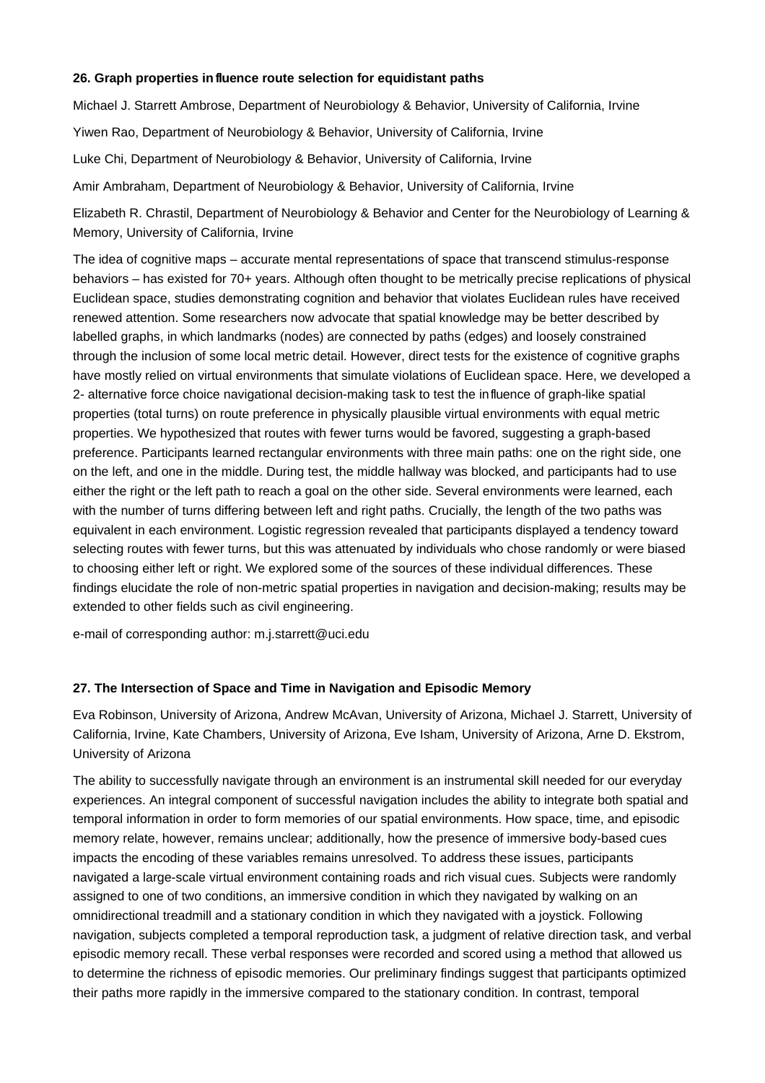#### **26. Graph properties influence route selection for equidistant paths**

Michael J. Starrett Ambrose, Department of Neurobiology & Behavior, University of California, Irvine Yiwen Rao, Department of Neurobiology & Behavior, University of California, Irvine Luke Chi, Department of Neurobiology & Behavior, University of California, Irvine Amir Ambraham, Department of Neurobiology & Behavior, University of California, Irvine

Elizabeth R. Chrastil, Department of Neurobiology & Behavior and Center for the Neurobiology of Learning & Memory, University of California, Irvine

The idea of cognitive maps – accurate mental representations of space that transcend stimulus-response behaviors – has existed for 70+ years. Although often thought to be metrically precise replications of physical Euclidean space, studies demonstrating cognition and behavior that violates Euclidean rules have received renewed attention. Some researchers now advocate that spatial knowledge may be better described by labelled graphs, in which landmarks (nodes) are connected by paths (edges) and loosely constrained through the inclusion of some local metric detail. However, direct tests for the existence of cognitive graphs have mostly relied on virtual environments that simulate violations of Euclidean space. Here, we developed a 2- alternative force choice navigational decision-making task to test the influence of graph-like spatial properties (total turns) on route preference in physically plausible virtual environments with equal metric properties. We hypothesized that routes with fewer turns would be favored, suggesting a graph-based preference. Participants learned rectangular environments with three main paths: one on the right side, one on the left, and one in the middle. During test, the middle hallway was blocked, and participants had to use either the right or the left path to reach a goal on the other side. Several environments were learned, each with the number of turns differing between left and right paths. Crucially, the length of the two paths was equivalent in each environment. Logistic regression revealed that participants displayed a tendency toward selecting routes with fewer turns, but this was attenuated by individuals who chose randomly or were biased to choosing either left or right. We explored some of the sources of these individual differences. These findings elucidate the role of non-metric spatial properties in navigation and decision-making; results may be extended to other fields such as civil engineering.

e-mail of corresponding author: m.j.starrett@uci.edu

## **27. The Intersection of Space and Time in Navigation and Episodic Memory**

Eva Robinson, University of Arizona, Andrew McAvan, University of Arizona, Michael J. Starrett, University of California, Irvine, Kate Chambers, University of Arizona, Eve Isham, University of Arizona, Arne D. Ekstrom, University of Arizona

The ability to successfully navigate through an environment is an instrumental skill needed for our everyday experiences. An integral component of successful navigation includes the ability to integrate both spatial and temporal information in order to form memories of our spatial environments. How space, time, and episodic memory relate, however, remains unclear; additionally, how the presence of immersive body-based cues impacts the encoding of these variables remains unresolved. To address these issues, participants navigated a large-scale virtual environment containing roads and rich visual cues. Subjects were randomly assigned to one of two conditions, an immersive condition in which they navigated by walking on an omnidirectional treadmill and a stationary condition in which they navigated with a joystick. Following navigation, subjects completed a temporal reproduction task, a judgment of relative direction task, and verbal episodic memory recall. These verbal responses were recorded and scored using a method that allowed us to determine the richness of episodic memories. Our preliminary findings suggest that participants optimized their paths more rapidly in the immersive compared to the stationary condition. In contrast, temporal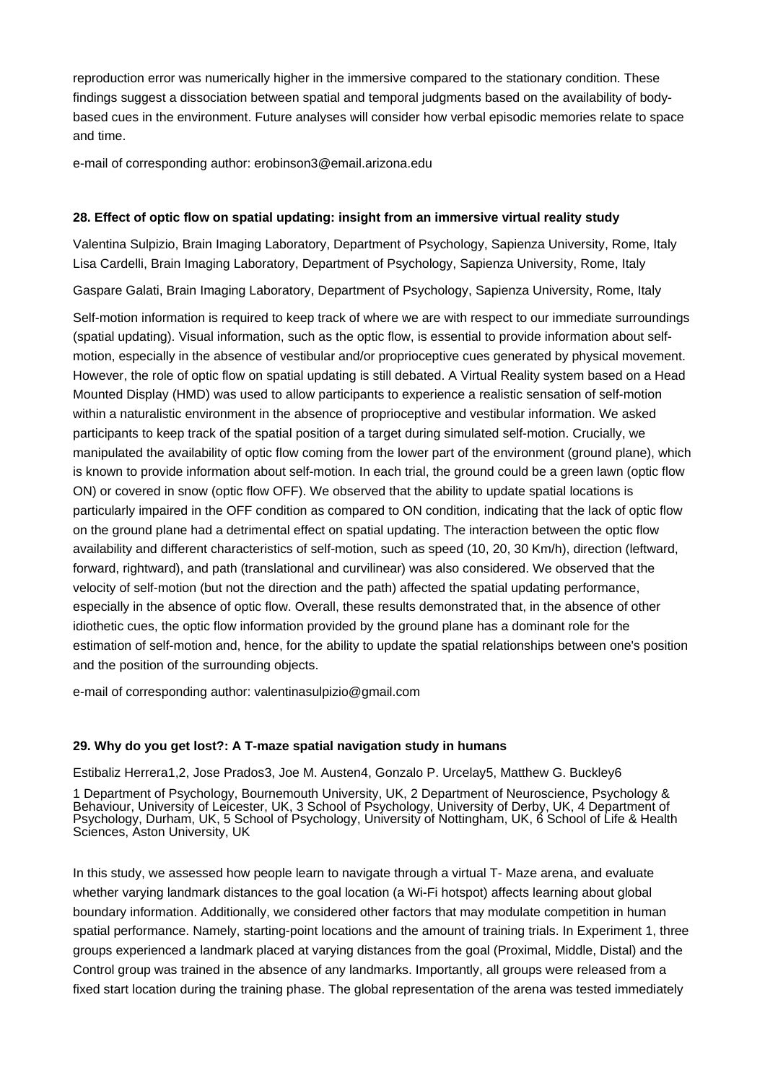reproduction error was numerically higher in the immersive compared to the stationary condition. These findings suggest a dissociation between spatial and temporal judgments based on the availability of bodybased cues in the environment. Future analyses will consider how verbal episodic memories relate to space and time.

e-mail of corresponding author: erobinson3@email.arizona.edu

## **28. Effect of optic flow on spatial updating: insight from an immersive virtual reality study**

Valentina Sulpizio, Brain Imaging Laboratory, Department of Psychology, Sapienza University, Rome, Italy Lisa Cardelli, Brain Imaging Laboratory, Department of Psychology, Sapienza University, Rome, Italy

Gaspare Galati, Brain Imaging Laboratory, Department of Psychology, Sapienza University, Rome, Italy

Self-motion information is required to keep track of where we are with respect to our immediate surroundings (spatial updating). Visual information, such as the optic flow, is essential to provide information about selfmotion, especially in the absence of vestibular and/or proprioceptive cues generated by physical movement. However, the role of optic flow on spatial updating is still debated. A Virtual Reality system based on a Head Mounted Display (HMD) was used to allow participants to experience a realistic sensation of self-motion within a naturalistic environment in the absence of proprioceptive and vestibular information. We asked participants to keep track of the spatial position of a target during simulated self-motion. Crucially, we manipulated the availability of optic flow coming from the lower part of the environment (ground plane), which is known to provide information about self-motion. In each trial, the ground could be a green lawn (optic flow ON) or covered in snow (optic flow OFF). We observed that the ability to update spatial locations is particularly impaired in the OFF condition as compared to ON condition, indicating that the lack of optic flow on the ground plane had a detrimental effect on spatial updating. The interaction between the optic flow availability and different characteristics of self-motion, such as speed (10, 20, 30 Km/h), direction (leftward, forward, rightward), and path (translational and curvilinear) was also considered. We observed that the velocity of self-motion (but not the direction and the path) affected the spatial updating performance, especially in the absence of optic flow. Overall, these results demonstrated that, in the absence of other idiothetic cues, the optic flow information provided by the ground plane has a dominant role for the estimation of self-motion and, hence, for the ability to update the spatial relationships between one's position and the position of the surrounding objects.

e-mail of corresponding author: valentinasulpizio@gmail.com

## **29. Why do you get lost?: A T-maze spatial navigation study in humans**

Estibaliz Herrera1,2, Jose Prados3, Joe M. Austen4, Gonzalo P. Urcelay5, Matthew G. Buckley6

1 Department of Psychology, Bournemouth University, UK, 2 Department of Neuroscience, Psychology & Behaviour, University of Leicester, UK, 3 School of Psychology, University of Derby, UK, 4 Department of Psychology, Durham, UK, 5 School of Psychology, University of Nottingham, UK, 6 School of Life & Health Sciences, Aston University, UK

In this study, we assessed how people learn to navigate through a virtual T- Maze arena, and evaluate whether varying landmark distances to the goal location (a Wi-Fi hotspot) affects learning about global boundary information. Additionally, we considered other factors that may modulate competition in human spatial performance. Namely, starting-point locations and the amount of training trials. In Experiment 1, three groups experienced a landmark placed at varying distances from the goal (Proximal, Middle, Distal) and the Control group was trained in the absence of any landmarks. Importantly, all groups were released from a fixed start location during the training phase. The global representation of the arena was tested immediately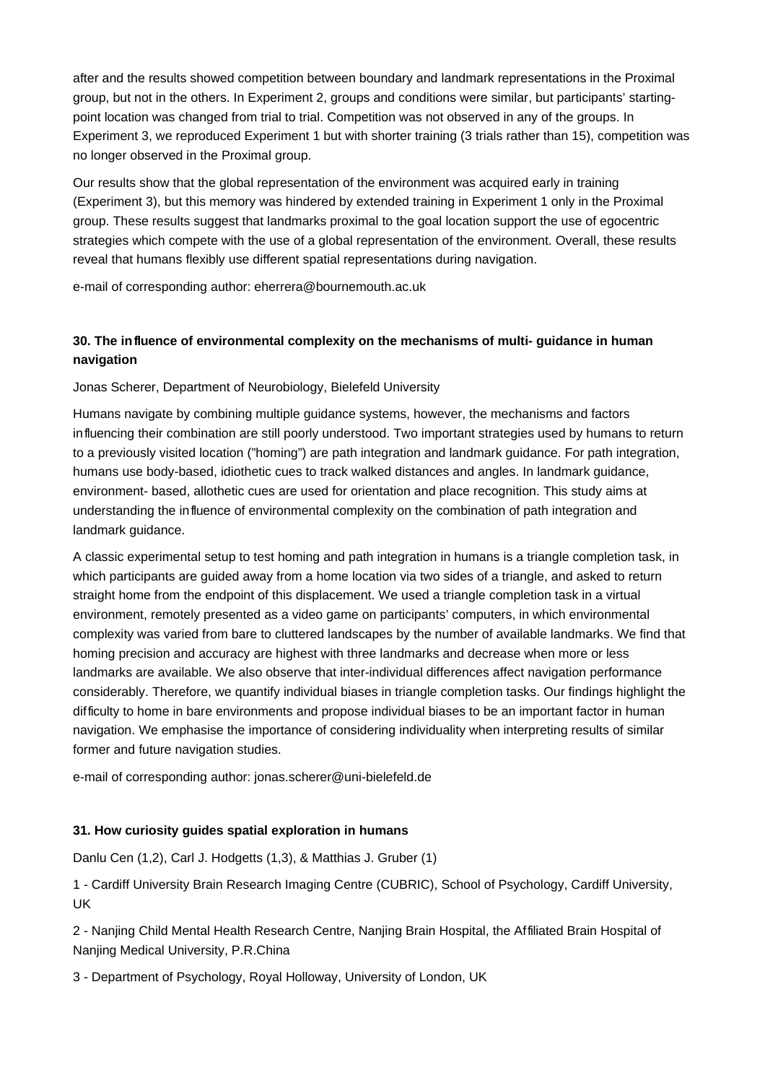after and the results showed competition between boundary and landmark representations in the Proximal group, but not in the others. In Experiment 2, groups and conditions were similar, but participants' startingpoint location was changed from trial to trial. Competition was not observed in any of the groups. In Experiment 3, we reproduced Experiment 1 but with shorter training (3 trials rather than 15), competition was no longer observed in the Proximal group.

Our results show that the global representation of the environment was acquired early in training (Experiment 3), but this memory was hindered by extended training in Experiment 1 only in the Proximal group. These results suggest that landmarks proximal to the goal location support the use of egocentric strategies which compete with the use of a global representation of the environment. Overall, these results reveal that humans flexibly use different spatial representations during navigation.

e-mail of corresponding author: eherrera@bournemouth.ac.uk

# **30. The influence of environmental complexity on the mechanisms of multi- guidance in human navigation**

Jonas Scherer, Department of Neurobiology, Bielefeld University

Humans navigate by combining multiple guidance systems, however, the mechanisms and factors influencing their combination are still poorly understood. Two important strategies used by humans to return to a previously visited location ("homing") are path integration and landmark guidance. For path integration, humans use body-based, idiothetic cues to track walked distances and angles. In landmark guidance, environment- based, allothetic cues are used for orientation and place recognition. This study aims at understanding the influence of environmental complexity on the combination of path integration and landmark guidance.

A classic experimental setup to test homing and path integration in humans is a triangle completion task, in which participants are guided away from a home location via two sides of a triangle, and asked to return straight home from the endpoint of this displacement. We used a triangle completion task in a virtual environment, remotely presented as a video game on participants' computers, in which environmental complexity was varied from bare to cluttered landscapes by the number of available landmarks. We find that homing precision and accuracy are highest with three landmarks and decrease when more or less landmarks are available. We also observe that inter-individual differences affect navigation performance considerably. Therefore, we quantify individual biases in triangle completion tasks. Our findings highlight the difficulty to home in bare environments and propose individual biases to be an important factor in human navigation. We emphasise the importance of considering individuality when interpreting results of similar former and future navigation studies.

e-mail of corresponding author: jonas.scherer@uni-bielefeld.de

## **31. How curiosity guides spatial exploration in humans**

Danlu Cen (1,2), Carl J. Hodgetts (1,3), & Matthias J. Gruber (1)

1 - Cardiff University Brain Research Imaging Centre (CUBRIC), School of Psychology, Cardiff University, UK

2 - Nanjing Child Mental Health Research Centre, Nanjing Brain Hospital, the Affiliated Brain Hospital of Nanjing Medical University, P.R.China

3 - Department of Psychology, Royal Holloway, University of London, UK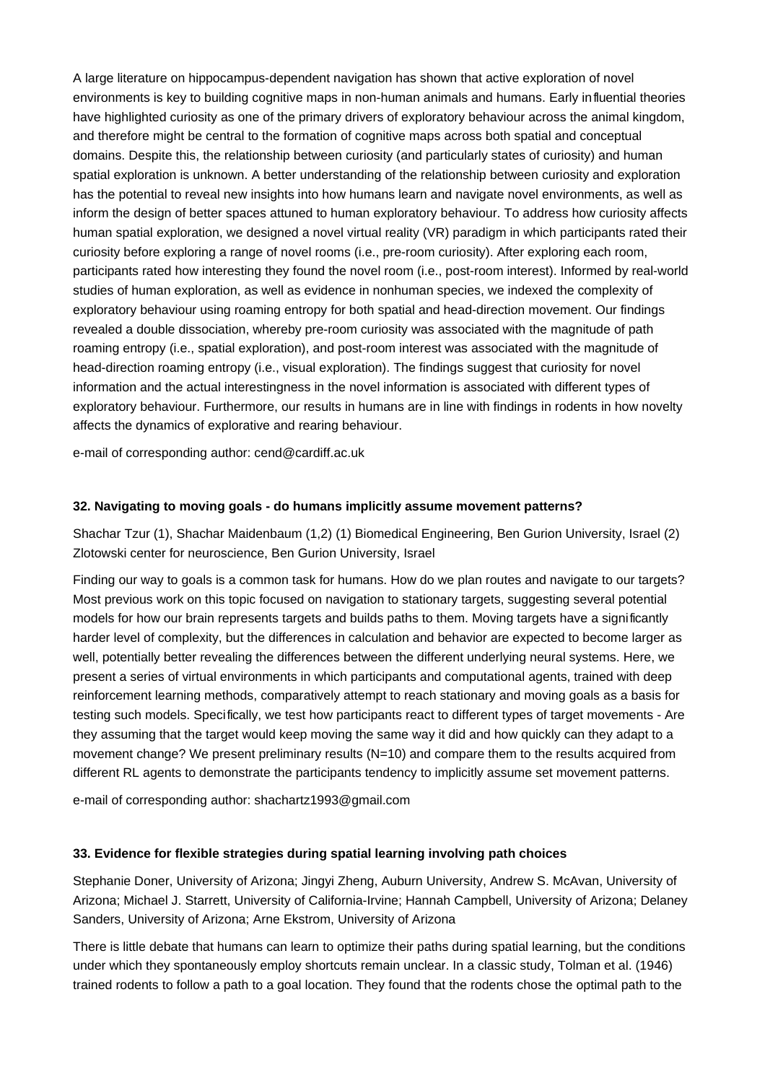A large literature on hippocampus-dependent navigation has shown that active exploration of novel environments is key to building cognitive maps in non-human animals and humans. Early influential theories have highlighted curiosity as one of the primary drivers of exploratory behaviour across the animal kingdom, and therefore might be central to the formation of cognitive maps across both spatial and conceptual domains. Despite this, the relationship between curiosity (and particularly states of curiosity) and human spatial exploration is unknown. A better understanding of the relationship between curiosity and exploration has the potential to reveal new insights into how humans learn and navigate novel environments, as well as inform the design of better spaces attuned to human exploratory behaviour. To address how curiosity affects human spatial exploration, we designed a novel virtual reality (VR) paradigm in which participants rated their curiosity before exploring a range of novel rooms (i.e., pre-room curiosity). After exploring each room, participants rated how interesting they found the novel room (i.e., post-room interest). Informed by real-world studies of human exploration, as well as evidence in nonhuman species, we indexed the complexity of exploratory behaviour using roaming entropy for both spatial and head-direction movement. Our findings revealed a double dissociation, whereby pre-room curiosity was associated with the magnitude of path roaming entropy (i.e., spatial exploration), and post-room interest was associated with the magnitude of head-direction roaming entropy (i.e., visual exploration). The findings suggest that curiosity for novel information and the actual interestingness in the novel information is associated with different types of exploratory behaviour. Furthermore, our results in humans are in line with findings in rodents in how novelty affects the dynamics of explorative and rearing behaviour.

e-mail of corresponding author: cend@cardiff.ac.uk

## **32. Navigating to moving goals - do humans implicitly assume movement patterns?**

Shachar Tzur (1), Shachar Maidenbaum (1,2) (1) Biomedical Engineering, Ben Gurion University, Israel (2) Zlotowski center for neuroscience, Ben Gurion University, Israel

Finding our way to goals is a common task for humans. How do we plan routes and navigate to our targets? Most previous work on this topic focused on navigation to stationary targets, suggesting several potential models for how our brain represents targets and builds paths to them. Moving targets have a significantly harder level of complexity, but the differences in calculation and behavior are expected to become larger as well, potentially better revealing the differences between the different underlying neural systems. Here, we present a series of virtual environments in which participants and computational agents, trained with deep reinforcement learning methods, comparatively attempt to reach stationary and moving goals as a basis for testing such models. Specifically, we test how participants react to different types of target movements - Are they assuming that the target would keep moving the same way it did and how quickly can they adapt to a movement change? We present preliminary results (N=10) and compare them to the results acquired from different RL agents to demonstrate the participants tendency to implicitly assume set movement patterns.

e-mail of corresponding author: shachartz1993@gmail.com

## **33. Evidence for flexible strategies during spatial learning involving path choices**

Stephanie Doner, University of Arizona; Jingyi Zheng, Auburn University, Andrew S. McAvan, University of Arizona; Michael J. Starrett, University of California-Irvine; Hannah Campbell, University of Arizona; Delaney Sanders, University of Arizona; Arne Ekstrom, University of Arizona

There is little debate that humans can learn to optimize their paths during spatial learning, but the conditions under which they spontaneously employ shortcuts remain unclear. In a classic study, Tolman et al. (1946) trained rodents to follow a path to a goal location. They found that the rodents chose the optimal path to the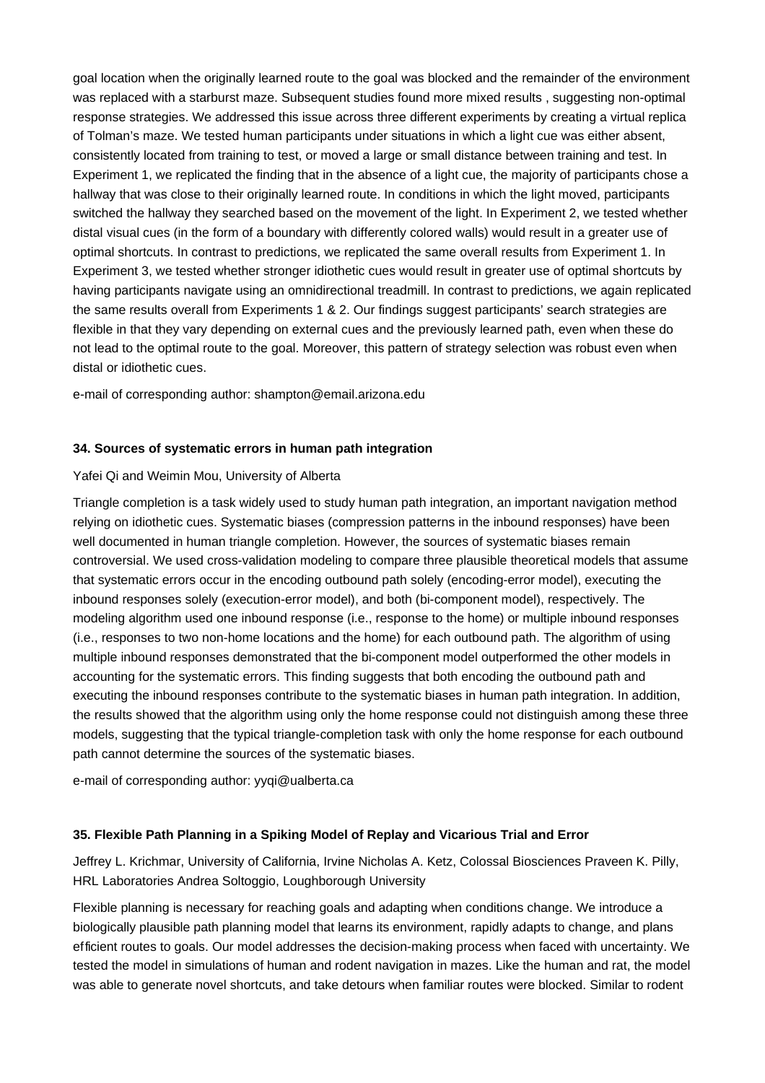goal location when the originally learned route to the goal was blocked and the remainder of the environment was replaced with a starburst maze. Subsequent studies found more mixed results , suggesting non-optimal response strategies. We addressed this issue across three different experiments by creating a virtual replica of Tolman's maze. We tested human participants under situations in which a light cue was either absent, consistently located from training to test, or moved a large or small distance between training and test. In Experiment 1, we replicated the finding that in the absence of a light cue, the majority of participants chose a hallway that was close to their originally learned route. In conditions in which the light moved, participants switched the hallway they searched based on the movement of the light. In Experiment 2, we tested whether distal visual cues (in the form of a boundary with differently colored walls) would result in a greater use of optimal shortcuts. In contrast to predictions, we replicated the same overall results from Experiment 1. In Experiment 3, we tested whether stronger idiothetic cues would result in greater use of optimal shortcuts by having participants navigate using an omnidirectional treadmill. In contrast to predictions, we again replicated the same results overall from Experiments 1 & 2. Our findings suggest participants' search strategies are flexible in that they vary depending on external cues and the previously learned path, even when these do not lead to the optimal route to the goal. Moreover, this pattern of strategy selection was robust even when distal or idiothetic cues.

e-mail of corresponding author: shampton@email.arizona.edu

## **34. Sources of systematic errors in human path integration**

#### Yafei Qi and Weimin Mou, University of Alberta

Triangle completion is a task widely used to study human path integration, an important navigation method relying on idiothetic cues. Systematic biases (compression patterns in the inbound responses) have been well documented in human triangle completion. However, the sources of systematic biases remain controversial. We used cross-validation modeling to compare three plausible theoretical models that assume that systematic errors occur in the encoding outbound path solely (encoding-error model), executing the inbound responses solely (execution-error model), and both (bi-component model), respectively. The modeling algorithm used one inbound response (i.e., response to the home) or multiple inbound responses (i.e., responses to two non-home locations and the home) for each outbound path. The algorithm of using multiple inbound responses demonstrated that the bi-component model outperformed the other models in accounting for the systematic errors. This finding suggests that both encoding the outbound path and executing the inbound responses contribute to the systematic biases in human path integration. In addition, the results showed that the algorithm using only the home response could not distinguish among these three models, suggesting that the typical triangle-completion task with only the home response for each outbound path cannot determine the sources of the systematic biases.

e-mail of corresponding author: yyqi@ualberta.ca

#### **35. Flexible Path Planning in a Spiking Model of Replay and Vicarious Trial and Error**

Jeffrey L. Krichmar, University of California, Irvine Nicholas A. Ketz, Colossal Biosciences Praveen K. Pilly, HRL Laboratories Andrea Soltoggio, Loughborough University

Flexible planning is necessary for reaching goals and adapting when conditions change. We introduce a biologically plausible path planning model that learns its environment, rapidly adapts to change, and plans efficient routes to goals. Our model addresses the decision-making process when faced with uncertainty. We tested the model in simulations of human and rodent navigation in mazes. Like the human and rat, the model was able to generate novel shortcuts, and take detours when familiar routes were blocked. Similar to rodent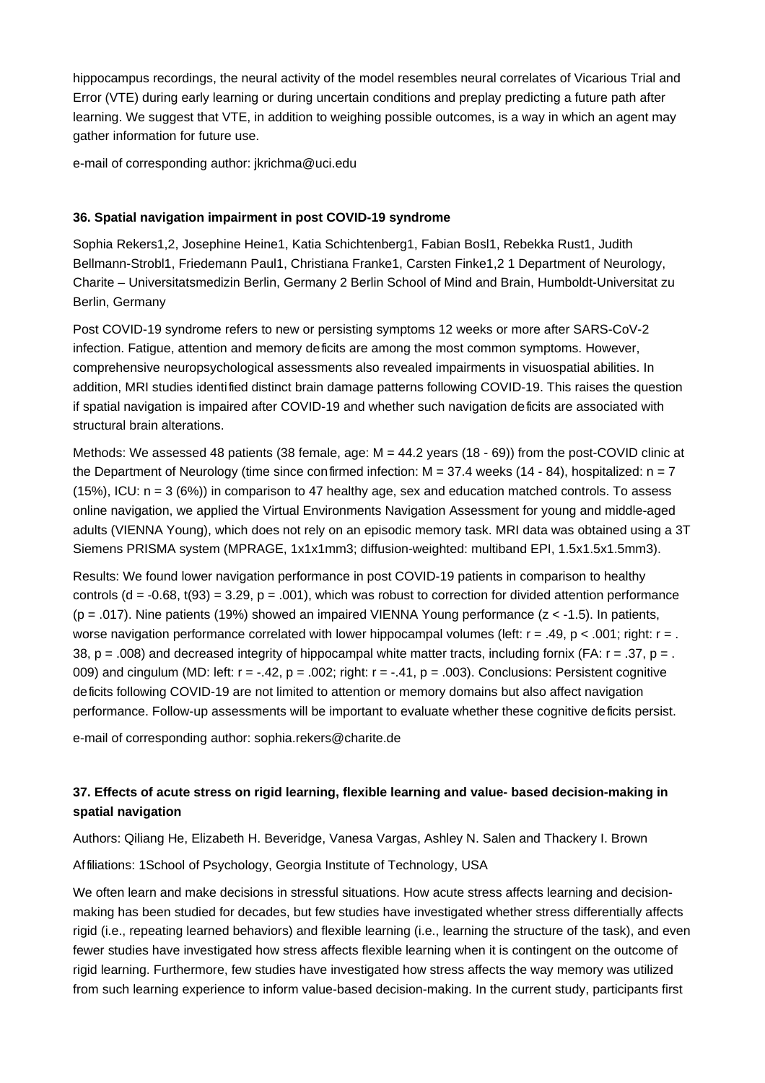hippocampus recordings, the neural activity of the model resembles neural correlates of Vicarious Trial and Error (VTE) during early learning or during uncertain conditions and preplay predicting a future path after learning. We suggest that VTE, in addition to weighing possible outcomes, is a way in which an agent may gather information for future use.

e-mail of corresponding author: jkrichma@uci.edu

## **36. Spatial navigation impairment in post COVID-19 syndrome**

Sophia Rekers1,2, Josephine Heine1, Katia Schichtenberg1, Fabian Bo sl1, Rebekka Rust1, Judith Bellmann-Strobl1, Friedemann Paul1, Christiana Franke1, Carsten Finke1,2 1 Department of Neurology, Charite – Universita tsmedizin Berlin, Germany 2 Berlin School of Mind and Brain, Humboldt-Universitat zu Berlin, Germany

Post COVID-19 syndrome refers to new or persisting symptoms 12 weeks or more after SARS-CoV-2 infection. Fatigue, attention and memory deficits are among the most common symptoms. However, comprehensive neuropsychological assessments also revealed impairments in visuospatial abilities. In addition, MRI studies identified distinct brain damage patterns following COVID-19. This raises the question if spatial navigation is impaired after COVID-19 and whether such navigation deficits are associated with structural brain alterations.

Methods: We assessed 48 patients (38 female, age: M = 44.2 years (18 - 69)) from the post-COVID clinic at the Department of Neurology (time since confirmed infection:  $M = 37.4$  weeks (14 - 84), hospitalized:  $n = 7$  $(15%)$ , ICU:  $n = 3 (6%)$ ) in comparison to 47 healthy age, sex and education matched controls. To assess online navigation, we applied the Virtual Environments Navigation Assessment for young and middle-aged adults (VIENNA Young), which does not rely on an episodic memory task. MRI data was obtained using a 3T Siemens PRISMA system (MPRAGE, 1x1x1mm3; diffusion-weighted: multiband EPI, 1.5x1.5x1.5mm3).

Results: We found lower navigation performance in post COVID-19 patients in comparison to healthy controls  $(d = -0.68, t(93) = 3.29, p = .001)$ , which was robust to correction for divided attention performance ( $p = .017$ ). Nine patients (19%) showed an impaired VIENNA Young performance ( $z < -1.5$ ). In patients, worse navigation performance correlated with lower hippocampal volumes (left:  $r = .49$ ,  $p < .001$ ; right:  $r = .$ 38,  $p = .008$ ) and decreased integrity of hippocampal white matter tracts, including fornix (FA:  $r = .37$ ,  $p = .$ 009) and cingulum (MD: left:  $r = -.42$ ,  $p = .002$ ; right:  $r = -.41$ ,  $p = .003$ ). Conclusions: Persistent cognitive deficits following COVID-19 are not limited to attention or memory domains but also affect navigation performance. Follow-up assessments will be important to evaluate whether these cognitive deficits persist.

e-mail of corresponding author: sophia.rekers@charite.de

# **37. Effects of acute stress on rigid learning, flexible learning and value- based decision-making in spatial navigation**

Authors: Qiliang He, Elizabeth H. Beveridge, Vanesa Vargas, Ashley N. Salen and Thackery I. Brown

Affiliations: 1School of Psychology, Georgia Institute of Technology, USA

We often learn and make decisions in stressful situations. How acute stress affects learning and decisionmaking has been studied for decades, but few studies have investigated whether stress differentially affects rigid (i.e., repeating learned behaviors) and flexible learning (i.e., learning the structure of the task), and even fewer studies have investigated how stress affects flexible learning when it is contingent on the outcome of rigid learning. Furthermore, few studies have investigated how stress affects the way memory was utilized from such learning experience to inform value-based decision-making. In the current study, participants first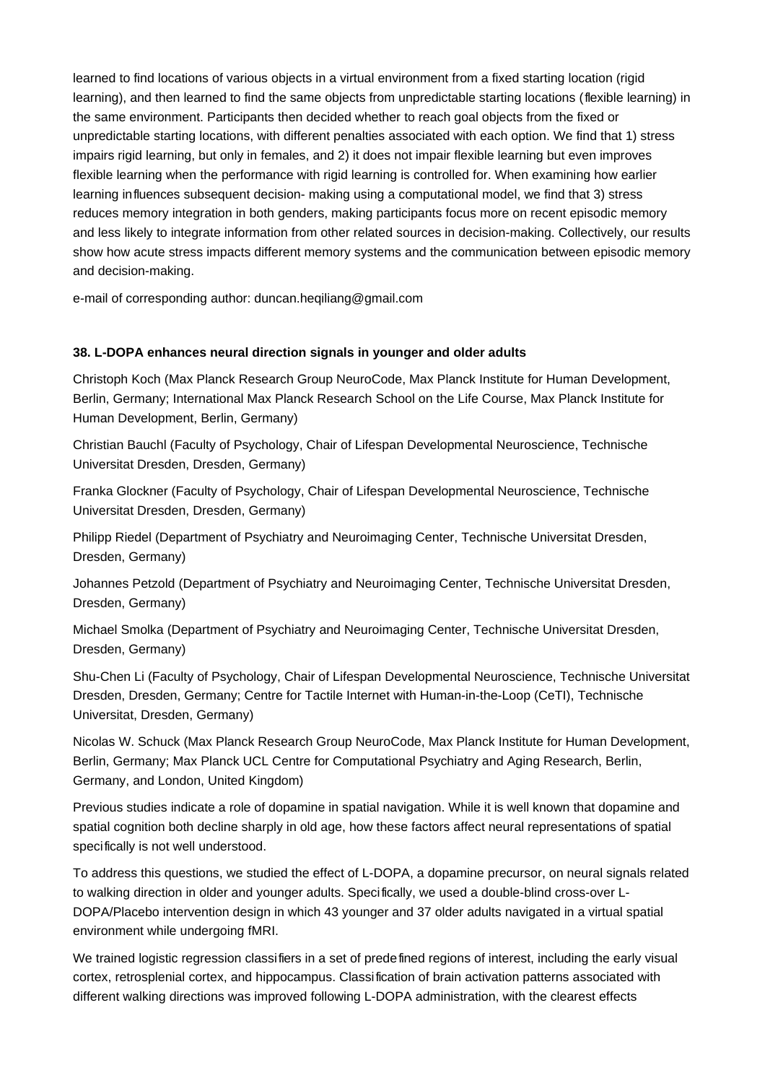learned to find locations of various objects in a virtual environment from a fixed starting location (rigid learning), and then learned to find the same objects from unpredictable starting locations (flexible learning) in the same environment. Participants then decided whether to reach goal objects from the fixed or unpredictable starting locations, with different penalties associated with each option. We find that 1) stress impairs rigid learning, but only in females, and 2) it does not impair flexible learning but even improves flexible learning when the performance with rigid learning is controlled for. When examining how earlier learning influences subsequent decision- making using a computational model, we find that 3) stress reduces memory integration in both genders, making participants focus more on recent episodic memory and less likely to integrate information from other related sources in decision-making. Collectively, our results show how acute stress impacts different memory systems and the communication between episodic memory and decision-making.

e-mail of corresponding author: duncan.heqiliang@gmail.com

## **38. L-DOPA enhances neural direction signals in younger and older adults**

Christoph Koch (Max Planck Research Group NeuroCode, Max Planck Institute for Human Development, Berlin, Germany; International Max Planck Research School on the Life Course, Max Planck Institute for Human Development, Berlin, Germany)

Christian Bauchl (Faculty of Psychology, Chair of Lifespan Developmental Neuroscience, Technische Universitat Dresden, Dresden, Germany)

Franka Glockner (Faculty of Psychology, Chair of Lifespan Developmental Neuroscience, Technische Universitat Dresden, Dresden, Germany)

Philipp Riedel (Department of Psychiatry and Neuroimaging Center, Technische Universitat Dresden, Dresden, Germany)

Johannes Petzold (Department of Psychiatry and Neuroimaging Center, Technische Universitat Dresden, Dresden, Germany)

Michael Smolka (Department of Psychiatry and Neuroimaging Center, Technische Universitat Dresden, Dresden, Germany)

Shu-Chen Li (Faculty of Psychology, Chair of Lifespan Developmental Neuroscience, Technische Universitat Dresden, Dresden, Germany; Centre for Tactile Internet with Human-in-the-Loop (CeTI), Technische Universita t, Dresden, Germany)

Nicolas W. Schuck (Max Planck Research Group NeuroCode, Max Planck Institute for Human Development, Berlin, Germany; Max Planck UCL Centre for Computational Psychiatry and Aging Research, Berlin, Germany, and London, United Kingdom)

Previous studies indicate a role of dopamine in spatial navigation. While it is well known that dopamine and spatial cognition both decline sharply in old age, how these factors affect neural representations of spatial specifically is not well understood.

To address this questions, we studied the effect of L-DOPA, a dopamine precursor, on neural signals related to walking direction in older and younger adults. Specifically, we used a double-blind cross-over L-DOPA/Placebo intervention design in which 43 younger and 37 older adults navigated in a virtual spatial environment while undergoing fMRI.

We trained logistic regression classifiers in a set of predefined regions of interest, including the early visual cortex, retrosplenial cortex, and hippocampus. Classification of brain activation patterns associated with different walking directions was improved following L-DOPA administration, with the clearest effects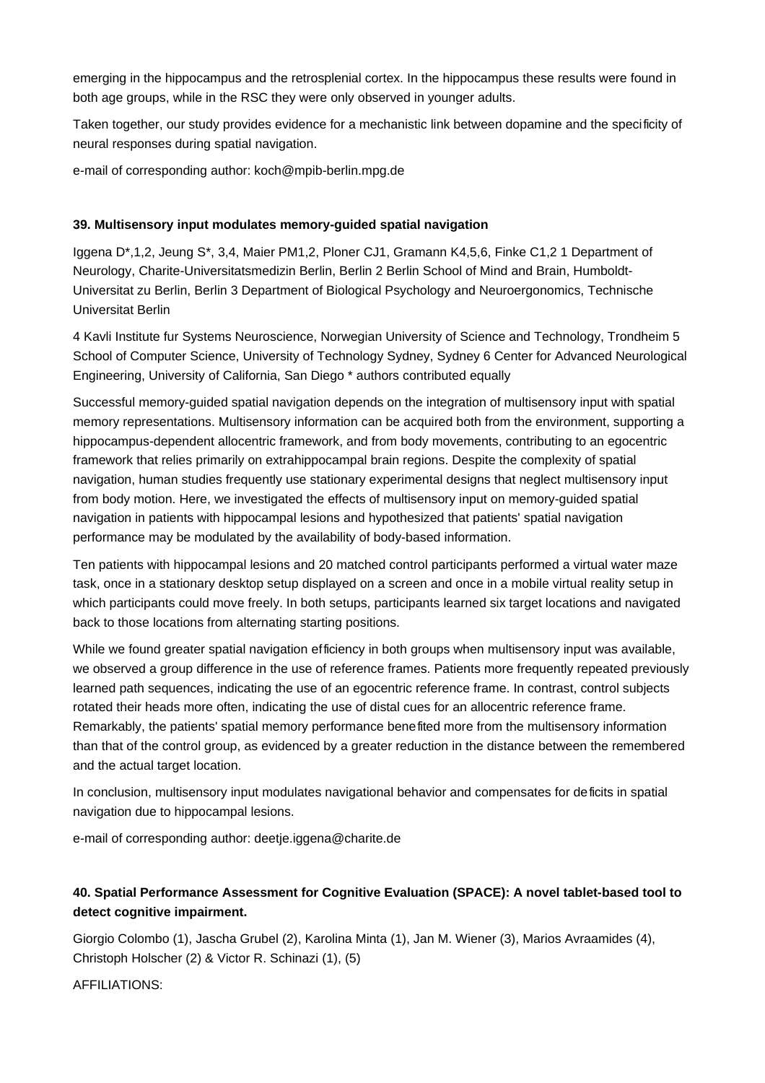emerging in the hippocampus and the retrosplenial cortex. In the hippocampus these results were found in both age groups, while in the RSC they were only observed in younger adults.

Taken together, our study provides evidence for a mechanistic link between dopamine and the specificity of neural responses during spatial navigation.

e-mail of corresponding author: koch@mpib-berlin.mpg.de

#### **39. Multisensory input modulates memory-guided spatial navigation**

Iggena D\*,1,2, Jeung S\*, 3,4, Maier PM1,2, Ploner CJ1, Gramann K4,5,6, Finke C1,2 1 Department of Neurology, Charite -Universita tsmedizin Berlin, Berlin 2 Berlin School of Mind and Brain, Humboldt-Universitat zu Berlin, Berlin 3 Department of Biological Psychology and Neuroergonomics, Technische Universita t Berlin

4 Kavli Institute fur Systems Neuroscience, Norwegian University of Science and Technology, Trondheim 5 School of Computer Science, University of Technology Sydney, Sydney 6 Center for Advanced Neurological Engineering, University of California, San Diego \* authors contributed equally

Successful memory-guided spatial navigation depends on the integration of multisensory input with spatial memory representations. Multisensory information can be acquired both from the environment, supporting a hippocampus-dependent allocentric framework, and from body movements, contributing to an egocentric framework that relies primarily on extrahippocampal brain regions. Despite the complexity of spatial navigation, human studies frequently use stationary experimental designs that neglect multisensory input from body motion. Here, we investigated the effects of multisensory input on memory-guided spatial navigation in patients with hippocampal lesions and hypothesized that patients' spatial navigation performance may be modulated by the availability of body-based information.

Ten patients with hippocampal lesions and 20 matched control participants performed a virtual water maze task, once in a stationary desktop setup displayed on a screen and once in a mobile virtual reality setup in which participants could move freely. In both setups, participants learned six target locations and navigated back to those locations from alternating starting positions.

While we found greater spatial navigation efficiency in both groups when multisensory input was available, we observed a group difference in the use of reference frames. Patients more frequently repeated previously learned path sequences, indicating the use of an egocentric reference frame. In contrast, control subjects rotated their heads more often, indicating the use of distal cues for an allocentric reference frame. Remarkably, the patients' spatial memory performance benefited more from the multisensory information than that of the control group, as evidenced by a greater reduction in the distance between the remembered and the actual target location.

In conclusion, multisensory input modulates navigational behavior and compensates for deficits in spatial navigation due to hippocampal lesions.

e-mail of corresponding author: deetje.iggena@charite.de

# **40. Spatial Performance Assessment for Cognitive Evaluation (SPACE): A novel tablet-based tool to detect cognitive impairment.**

Giorgio Colombo (1), Jascha Grubel (2), Karolina Minta (1), Jan M. Wiener (3), Marios Avraamides (4), Christoph Holscher (2) & Victor R. Schinazi (1), (5)

AFFILIATIONS: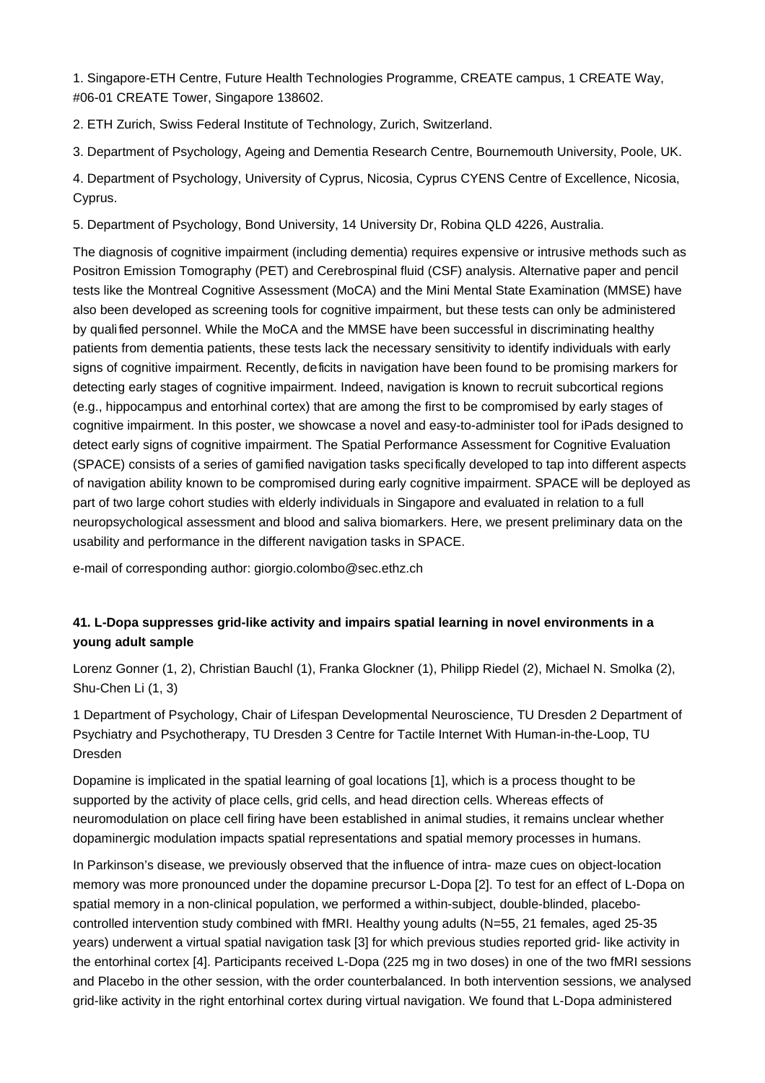1. Singapore-ETH Centre, Future Health Technologies Programme, CREATE campus, 1 CREATE Way, #06-01 CREATE Tower, Singapore 138602.

2. ETH Zu rich, Swiss Federal Institute of Technology, Zu rich, Switzerland.

3. Department of Psychology, Ageing and Dementia Research Centre, Bournemouth University, Poole, UK.

4. Department of Psychology, University of Cyprus, Nicosia, Cyprus CYENS Centre of Excellence, Nicosia, Cyprus.

5. Department of Psychology, Bond University, 14 University Dr, Robina QLD 4226, Australia.

The diagnosis of cognitive impairment (including dementia) requires expensive or intrusive methods such as Positron Emission Tomography (PET) and Cerebrospinal fluid (CSF) analysis. Alternative paper and pencil tests like the Montreal Cognitive Assessment (MoCA) and the Mini Mental State Examination (MMSE) have also been developed as screening tools for cognitive impairment, but these tests can only be administered by qualified personnel. While the MoCA and the MMSE have been successful in discriminating healthy patients from dementia patients, these tests lack the necessary sensitivity to identify individuals with early signs of cognitive impairment. Recently, deficits in navigation have been found to be promising markers for detecting early stages of cognitive impairment. Indeed, navigation is known to recruit subcortical regions (e.g., hippocampus and entorhinal cortex) that are among the first to be compromised by early stages of cognitive impairment. In this poster, we showcase a novel and easy-to-administer tool for iPads designed to detect early signs of cognitive impairment. The Spatial Performance Assessment for Cognitive Evaluation (SPACE) consists of a series of gamified navigation tasks specifically developed to tap into different aspects of navigation ability known to be compromised during early cognitive impairment. SPACE will be deployed as part of two large cohort studies with elderly individuals in Singapore and evaluated in relation to a full neuropsychological assessment and blood and saliva biomarkers. Here, we present preliminary data on the usability and performance in the different navigation tasks in SPACE.

e-mail of corresponding author: giorgio.colombo@sec.ethz.ch

# **41. L-Dopa suppresses grid-like activity and impairs spatial learning in novel environments in a young adult sample**

Lorenz Gonner (1, 2), Christian Ba uchl (1), Franka Glockner (1), Philipp Riedel (2), Michael N. Smolka (2), Shu-Chen Li (1, 3)

1 Department of Psychology, Chair of Lifespan Developmental Neuroscience, TU Dresden 2 Department of Psychiatry and Psychotherapy, TU Dresden 3 Centre for Tactile Internet With Human-in-the-Loop, TU Dresden

Dopamine is implicated in the spatial learning of goal locations [1], which is a process thought to be supported by the activity of place cells, grid cells, and head direction cells. Whereas effects of neuromodulation on place cell firing have been established in animal studies, it remains unclear whether dopaminergic modulation impacts spatial representations and spatial memory processes in humans.

In Parkinson's disease, we previously observed that the influence of intra- maze cues on object-location memory was more pronounced under the dopamine precursor L-Dopa [2]. To test for an effect of L-Dopa on spatial memory in a non-clinical population, we performed a within-subject, double-blinded, placebocontrolled intervention study combined with fMRI. Healthy young adults (N=55, 21 females, aged 25-35 years) underwent a virtual spatial navigation task [3] for which previous studies reported grid- like activity in the entorhinal cortex [4]. Participants received L-Dopa (225 mg in two doses) in one of the two fMRI sessions and Placebo in the other session, with the order counterbalanced. In both intervention sessions, we analysed grid-like activity in the right entorhinal cortex during virtual navigation. We found that L-Dopa administered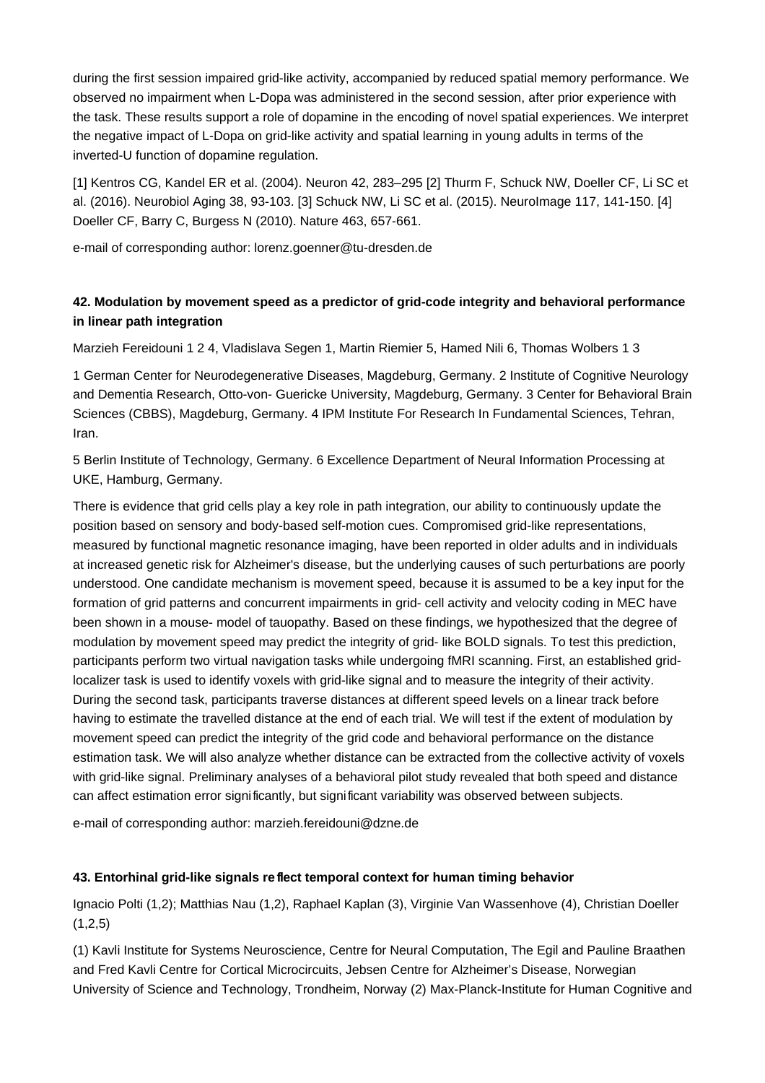during the first session impaired grid-like activity, accompanied by reduced spatial memory performance. We observed no impairment when L-Dopa was administered in the second session, after prior experience with the task. These results support a role of dopamine in the encoding of novel spatial experiences. We interpret the negative impact of L-Dopa on grid-like activity and spatial learning in young adults in terms of the inverted-U function of dopamine regulation.

[1] Kentros CG, Kandel ER et al. (2004). Neuron 42, 283–295 [2] Thurm F, Schuck NW, Doeller CF, Li SC et al. (2016). Neurobiol Aging 38, 93-103. [3] Schuck NW, Li SC et al. (2015). NeuroImage 117, 141-150. [4] Doeller CF, Barry C, Burgess N (2010). Nature 463, 657-661.

e-mail of corresponding author: lorenz.goenner@tu-dresden.de

# **42. Modulation by movement speed as a predictor of grid-code integrity and behavioral performance in linear path integration**

Marzieh Fereidouni 1 2 4, Vladislava Segen 1, Martin Riemier 5, Hamed Nili 6, Thomas Wolbers 1 3

1 German Center for Neurodegenerative Diseases, Magdeburg, Germany. 2 Institute of Cognitive Neurology and Dementia Research, Otto-von- Guericke University, Magdeburg, Germany. 3 Center for Behavioral Brain Sciences (CBBS), Magdeburg, Germany. 4 IPM Institute For Research In Fundamental Sciences, Tehran, Iran.

5 Berlin Institute of Technology, Germany. 6 Excellence Department of Neural Information Processing at UKE, Hamburg, Germany.

There is evidence that grid cells play a key role in path integration, our ability to continuously update the position based on sensory and body-based self-motion cues. Compromised grid-like representations, measured by functional magnetic resonance imaging, have been reported in older adults and in individuals at increased genetic risk for Alzheimer's disease, but the underlying causes of such perturbations are poorly understood. One candidate mechanism is movement speed, because it is assumed to be a key input for the formation of grid patterns and concurrent impairments in grid- cell activity and velocity coding in MEC have been shown in a mouse- model of tauopathy. Based on these findings, we hypothesized that the degree of modulation by movement speed may predict the integrity of grid- like BOLD signals. To test this prediction, participants perform two virtual navigation tasks while undergoing fMRI scanning. First, an established gridlocalizer task is used to identify voxels with grid-like signal and to measure the integrity of their activity. During the second task, participants traverse distances at different speed levels on a linear track before having to estimate the travelled distance at the end of each trial. We will test if the extent of modulation by movement speed can predict the integrity of the grid code and behavioral performance on the distance estimation task. We will also analyze whether distance can be extracted from the collective activity of voxels with grid-like signal. Preliminary analyses of a behavioral pilot study revealed that both speed and distance can affect estimation error significantly, but significant variability was observed between subjects.

e-mail of corresponding author: marzieh.fereidouni@dzne.de

## **43. Entorhinal grid-like signals re flect temporal context for human timing behavior**

Ignacio Polti (1,2); Matthias Nau (1,2), Raphael Kaplan (3), Virginie Van Wassenhove (4), Christian Doeller  $(1,2,5)$ 

(1) Kavli Institute for Systems Neuroscience, Centre for Neural Computation, The Egil and Pauline Braathen and Fred Kavli Centre for Cortical Microcircuits, Jebsen Centre for Alzheimer's Disease, Norwegian University of Science and Technology, Trondheim, Norway (2) Max-Planck-Institute for Human Cognitive and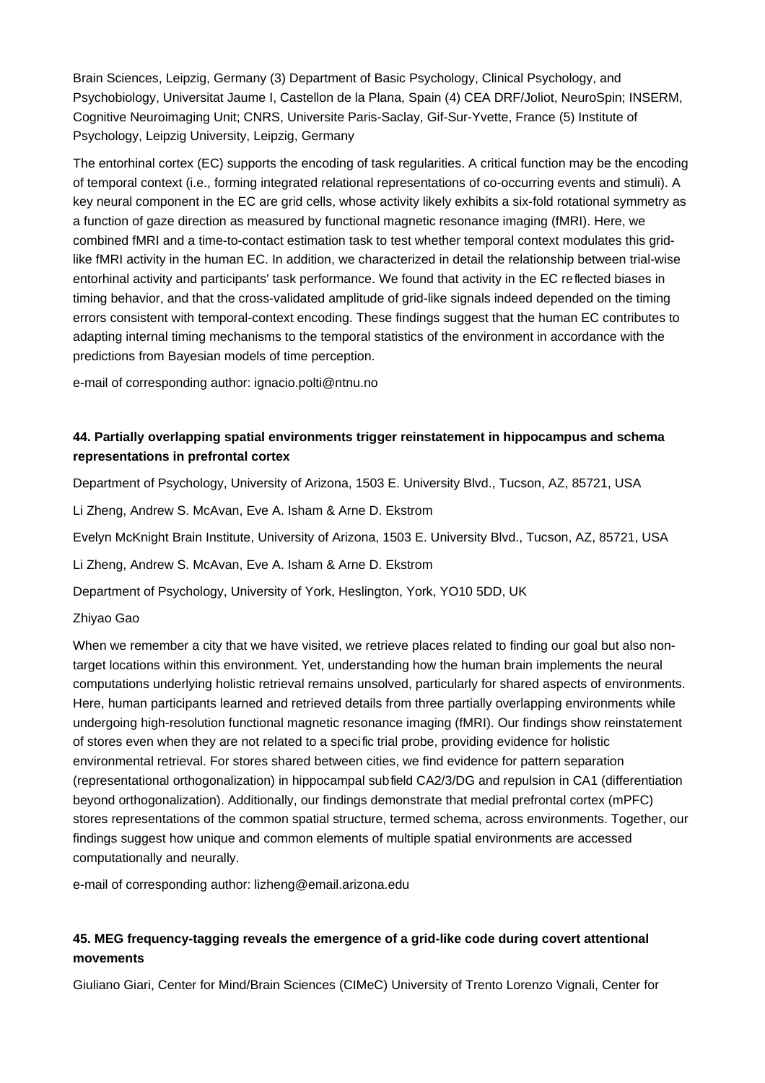Brain Sciences, Leipzig, Germany (3) Department of Basic Psychology, Clinical Psychology, and Psychobiology, Universitat Jaume I, Castellon de la Plana, Spain (4) CEA DRF/Joliot, NeuroSpin; INSERM, Cognitive Neuroimaging Unit; CNRS, Universite Paris-Saclay, Gif-Sur-Yvette, France (5) Institute of Psychology, Leipzig University, Leipzig, Germany

The entorhinal cortex (EC) supports the encoding of task regularities. A critical function may be the encoding of temporal context (i.e., forming integrated relational representations of co-occurring events and stimuli). A key neural component in the EC are grid cells, whose activity likely exhibits a six-fold rotational symmetry as a function of gaze direction as measured by functional magnetic resonance imaging (fMRI). Here, we combined fMRI and a time-to-contact estimation task to test whether temporal context modulates this gridlike fMRI activity in the human EC. In addition, we characterized in detail the relationship between trial-wise entorhinal activity and participants' task performance. We found that activity in the EC reflected biases in timing behavior, and that the cross-validated amplitude of grid-like signals indeed depended on the timing errors consistent with temporal-context encoding. These findings suggest that the human EC contributes to adapting internal timing mechanisms to the temporal statistics of the environment in accordance with the predictions from Bayesian models of time perception.

e-mail of corresponding author: ignacio.polti@ntnu.no

# **44. Partially overlapping spatial environments trigger reinstatement in hippocampus and schema representations in prefrontal cortex**

Department of Psychology, University of Arizona, 1503 E. University Blvd., Tucson, AZ, 85721, USA

Li Zheng, Andrew S. McAvan, Eve A. Isham & Arne D. Ekstrom

Evelyn McKnight Brain Institute, University of Arizona, 1503 E. University Blvd., Tucson, AZ, 85721, USA

Li Zheng, Andrew S. McAvan, Eve A. Isham & Arne D. Ekstrom

Department of Psychology, University of York, Heslington, York, YO10 5DD, UK

## Zhiyao Gao

When we remember a city that we have visited, we retrieve places related to finding our goal but also nontarget locations within this environment. Yet, understanding how the human brain implements the neural computations underlying holistic retrieval remains unsolved, particularly for shared aspects of environments. Here, human participants learned and retrieved details from three partially overlapping environments while undergoing high-resolution functional magnetic resonance imaging (fMRI). Our findings show reinstatement of stores even when they are not related to a specific trial probe, providing evidence for holistic environmental retrieval. For stores shared between cities, we find evidence for pattern separation (representational orthogonalization) in hippocampal subfield CA2/3/DG and repulsion in CA1 (differentiation beyond orthogonalization). Additionally, our findings demonstrate that medial prefrontal cortex (mPFC) stores representations of the common spatial structure, termed schema, across environments. Together, our findings suggest how unique and common elements of multiple spatial environments are accessed computationally and neurally.

e-mail of corresponding author: lizheng@email.arizona.edu

# **45. MEG frequency-tagging reveals the emergence of a grid-like code during covert attentional movements**

Giuliano Giari, Center for Mind/Brain Sciences (CIMeC) University of Trento Lorenzo Vignali, Center for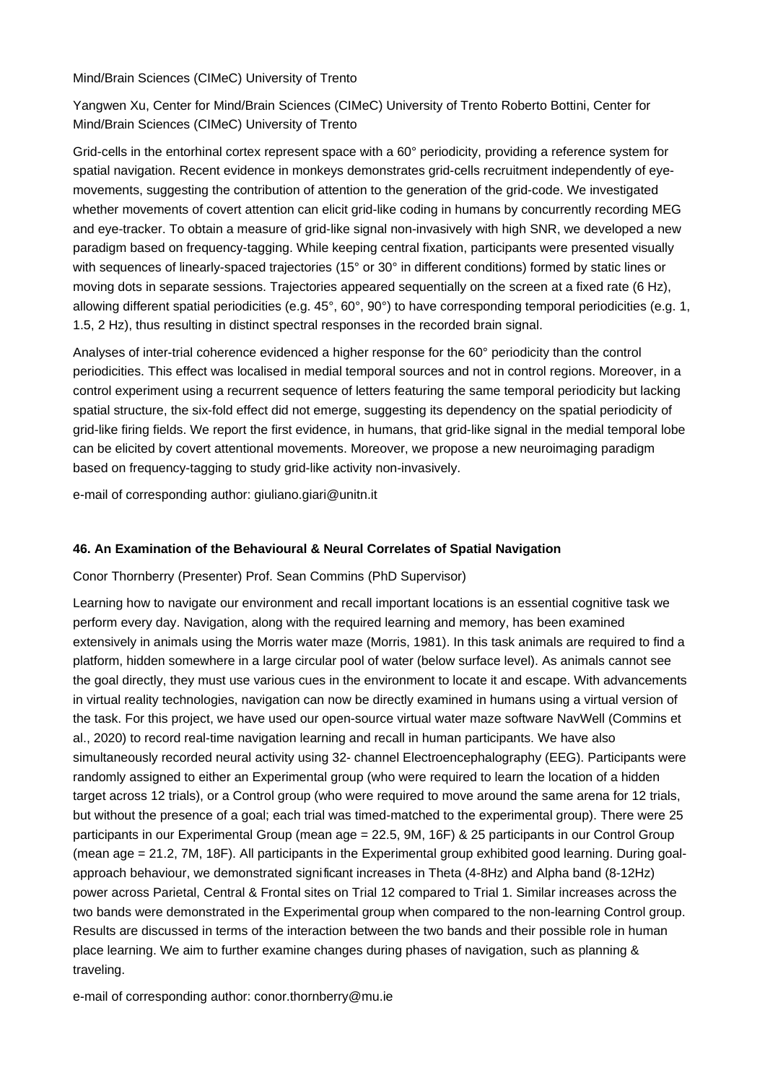Mind/Brain Sciences (CIMeC) University of Trento

Yangwen Xu, Center for Mind/Brain Sciences (CIMeC) University of Trento Roberto Bottini, Center for Mind/Brain Sciences (CIMeC) University of Trento

Grid-cells in the entorhinal cortex represent space with a 60° periodicity, providing a reference system for spatial navigation. Recent evidence in monkeys demonstrates grid-cells recruitment independently of eyemovements, suggesting the contribution of attention to the generation of the grid-code. We investigated whether movements of covert attention can elicit grid-like coding in humans by concurrently recording MEG and eye-tracker. To obtain a measure of grid-like signal non-invasively with high SNR, we developed a new paradigm based on frequency-tagging. While keeping central fixation, participants were presented visually with sequences of linearly-spaced trajectories (15° or 30° in different conditions) formed by static lines or moving dots in separate sessions. Trajectories appeared sequentially on the screen at a fixed rate (6 Hz), allowing different spatial periodicities (e.g. 45°, 60°, 90°) to have corresponding temporal periodicities (e.g. 1, 1.5, 2 Hz), thus resulting in distinct spectral responses in the recorded brain signal.

Analyses of inter-trial coherence evidenced a higher response for the 60° periodicity than the control periodicities. This effect was localised in medial temporal sources and not in control regions. Moreover, in a control experiment using a recurrent sequence of letters featuring the same temporal periodicity but lacking spatial structure, the six-fold effect did not emerge, suggesting its dependency on the spatial periodicity of grid-like firing fields. We report the first evidence, in humans, that grid-like signal in the medial temporal lobe can be elicited by covert attentional movements. Moreover, we propose a new neuroimaging paradigm based on frequency-tagging to study grid-like activity non-invasively.

e-mail of corresponding author: giuliano.giari@unitn.it

## **46. An Examination of the Behavioural & Neural Correlates of Spatial Navigation**

Conor Thornberry (Presenter) Prof. Sean Commins (PhD Supervisor)

Learning how to navigate our environment and recall important locations is an essential cognitive task we perform every day. Navigation, along with the required learning and memory, has been examined extensively in animals using the Morris water maze (Morris, 1981). In this task animals are required to find a platform, hidden somewhere in a large circular pool of water (below surface level). As animals cannot see the goal directly, they must use various cues in the environment to locate it and escape. With advancements in virtual reality technologies, navigation can now be directly examined in humans using a virtual version of the task. For this project, we have used our open-source virtual water maze software NavWell (Commins et al., 2020) to record real-time navigation learning and recall in human participants. We have also simultaneously recorded neural activity using 32- channel Electroencephalography (EEG). Participants were randomly assigned to either an Experimental group (who were required to learn the location of a hidden target across 12 trials), or a Control group (who were required to move around the same arena for 12 trials, but without the presence of a goal; each trial was timed-matched to the experimental group). There were 25 participants in our Experimental Group (mean age = 22.5, 9M, 16F) & 25 participants in our Control Group (mean age = 21.2, 7M, 18F). All participants in the Experimental group exhibited good learning. During goalapproach behaviour, we demonstrated significant increases in Theta (4-8Hz) and Alpha band (8-12Hz) power across Parietal, Central & Frontal sites on Trial 12 compared to Trial 1. Similar increases across the two bands were demonstrated in the Experimental group when compared to the non-learning Control group. Results are discussed in terms of the interaction between the two bands and their possible role in human place learning. We aim to further examine changes during phases of navigation, such as planning & traveling.

e-mail of corresponding author: conor.thornberry@mu.ie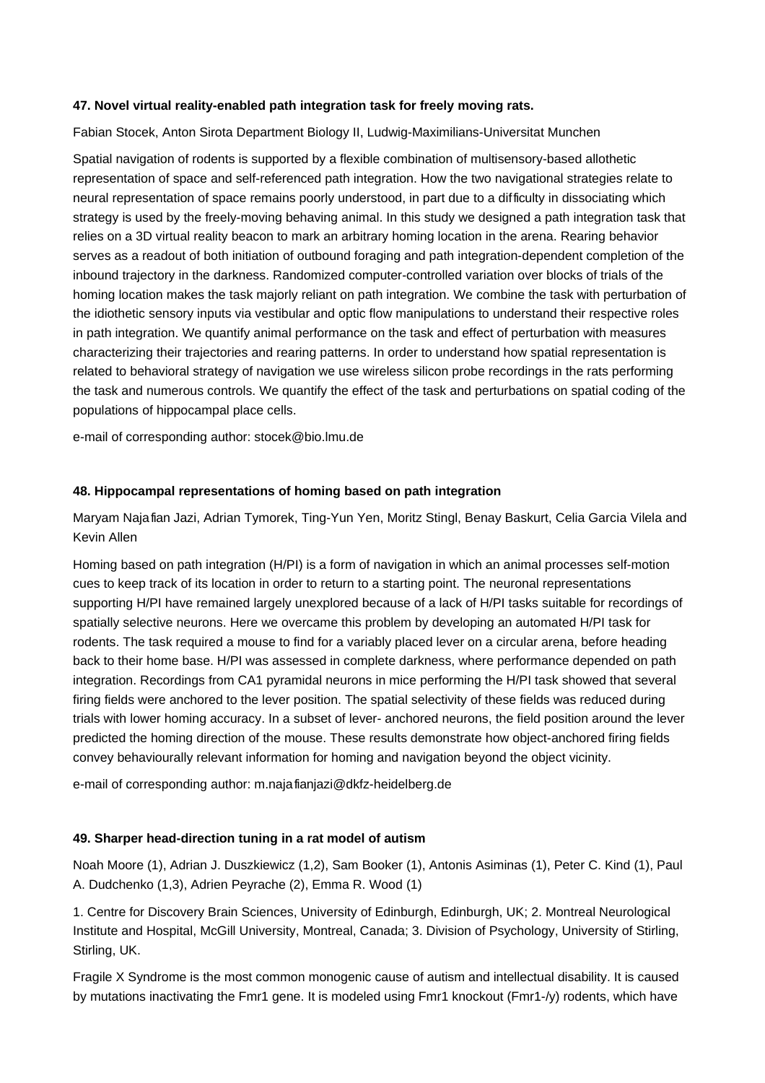## **47. Novel virtual reality-enabled path integration task for freely moving rats.**

Fabian Stocek, Anton Sirota Department Biology II, Ludwig-Maximilians-Universitat Munchen

Spatial navigation of rodents is supported by a flexible combination of multisensory-based allothetic representation of space and self-referenced path integration. How the two navigational strategies relate to neural representation of space remains poorly understood, in part due to a difficulty in dissociating which strategy is used by the freely-moving behaving animal. In this study we designed a path integration task that relies on a 3D virtual reality beacon to mark an arbitrary homing location in the arena. Rearing behavior serves as a readout of both initiation of outbound foraging and path integration-dependent completion of the inbound trajectory in the darkness. Randomized computer-controlled variation over blocks of trials of the homing location makes the task majorly reliant on path integration. We combine the task with perturbation of the idiothetic sensory inputs via vestibular and optic flow manipulations to understand their respective roles in path integration. We quantify animal performance on the task and effect of perturbation with measures characterizing their trajectories and rearing patterns. In order to understand how spatial representation is related to behavioral strategy of navigation we use wireless silicon probe recordings in the rats performing the task and numerous controls. We quantify the effect of the task and perturbations on spatial coding of the populations of hippocampal place cells.

e-mail of corresponding author: stocek@bio.lmu.de

#### **48. Hippocampal representations of homing based on path integration**

Maryam Najafian Jazi, Adrian Tymorek, Ting-Yun Yen, Moritz Stingl, Benay Baskurt, Celia Garci a Vilela and Kevin Allen

Homing based on path integration (H/PI) is a form of navigation in which an animal processes self-motion cues to keep track of its location in order to return to a starting point. The neuronal representations supporting H/PI have remained largely unexplored because of a lack of H/PI tasks suitable for recordings of spatially selective neurons. Here we overcame this problem by developing an automated H/PI task for rodents. The task required a mouse to find for a variably placed lever on a circular arena, before heading back to their home base. H/PI was assessed in complete darkness, where performance depended on path integration. Recordings from CA1 pyramidal neurons in mice performing the H/PI task showed that several firing fields were anchored to the lever position. The spatial selectivity of these fields was reduced during trials with lower homing accuracy. In a subset of lever- anchored neurons, the field position around the lever predicted the homing direction of the mouse. These results demonstrate how object-anchored firing fields convey behaviourally relevant information for homing and navigation beyond the object vicinity.

e-mail of corresponding author: m.najafianjazi@dkfz-heidelberg.de

## **49. Sharper head-direction tuning in a rat model of autism**

Noah Moore (1), Adrian J. Duszkiewicz (1,2), Sam Booker (1), Antonis Asiminas (1), Peter C. Kind (1), Paul A. Dudchenko (1,3), Adrien Peyrache (2), Emma R. Wood (1)

1. Centre for Discovery Brain Sciences, University of Edinburgh, Edinburgh, UK; 2. Montreal Neurological Institute and Hospital, McGill University, Montreal, Canada; 3. Division of Psychology, University of Stirling, Stirling, UK.

Fragile X Syndrome is the most common monogenic cause of autism and intellectual disability. It is caused by mutations inactivating the Fmr1 gene. It is modeled using Fmr1 knockout (Fmr1-/y) rodents, which have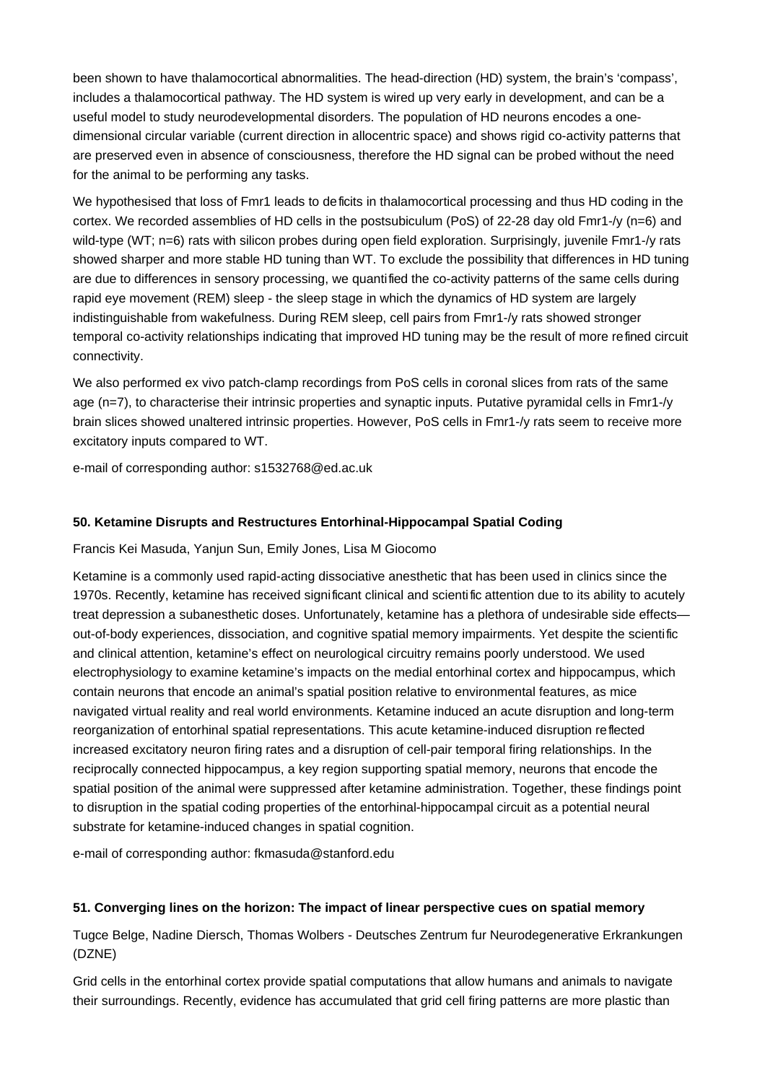been shown to have thalamocortical abnormalities. The head-direction (HD) system, the brain's 'compass', includes a thalamocortical pathway. The HD system is wired up very early in development, and can be a useful model to study neurodevelopmental disorders. The population of HD neurons encodes a onedimensional circular variable (current direction in allocentric space) and shows rigid co-activity patterns that are preserved even in absence of consciousness, therefore the HD signal can be probed without the need for the animal to be performing any tasks.

We hypothesised that loss of Fmr1 leads to deficits in thalamocortical processing and thus HD coding in the cortex. We recorded assemblies of HD cells in the postsubiculum (PoS) of 22-28 day old Fmr1-/y (n=6) and wild-type (WT; n=6) rats with silicon probes during open field exploration. Surprisingly, juvenile Fmr1-/y rats showed sharper and more stable HD tuning than WT. To exclude the possibility that differences in HD tuning are due to differences in sensory processing, we quantified the co-activity patterns of the same cells during rapid eye movement (REM) sleep - the sleep stage in which the dynamics of HD system are largely indistinguishable from wakefulness. During REM sleep, cell pairs from Fmr1-/y rats showed stronger temporal co-activity relationships indicating that improved HD tuning may be the result of more refined circuit connectivity.

We also performed ex vivo patch-clamp recordings from PoS cells in coronal slices from rats of the same age (n=7), to characterise their intrinsic properties and synaptic inputs. Putative pyramidal cells in Fmr1-/y brain slices showed unaltered intrinsic properties. However, PoS cells in Fmr1-/y rats seem to receive more excitatory inputs compared to WT.

e-mail of corresponding author: s1532768@ed.ac.uk

## **50. Ketamine Disrupts and Restructures Entorhinal-Hippocampal Spatial Coding**

Francis Kei Masuda, Yanjun Sun, Emily Jones, Lisa M Giocomo

Ketamine is a commonly used rapid-acting dissociative anesthetic that has been used in clinics since the 1970s. Recently, ketamine has received significant clinical and scientific attention due to its ability to acutely treat depression a subanesthetic doses. Unfortunately, ketamine has a plethora of undesirable side effects out-of-body experiences, dissociation, and cognitive spatial memory impairments. Yet despite the scientific and clinical attention, ketamine's effect on neurological circuitry remains poorly understood. We used electrophysiology to examine ketamine's impacts on the medial entorhinal cortex and hippocampus, which contain neurons that encode an animal's spatial position relative to environmental features, as mice navigated virtual reality and real world environments. Ketamine induced an acute disruption and long-term reorganization of entorhinal spatial representations. This acute ketamine-induced disruption reflected increased excitatory neuron firing rates and a disruption of cell-pair temporal firing relationships. In the reciprocally connected hippocampus, a key region supporting spatial memory, neurons that encode the spatial position of the animal were suppressed after ketamine administration. Together, these findings point to disruption in the spatial coding properties of the entorhinal-hippocampal circuit as a potential neural substrate for ketamine-induced changes in spatial cognition.

e-mail of corresponding author: fkmasuda@stanford.edu

## **51. Converging lines on the horizon: The impact of linear perspective cues on spatial memory**

Tugce Belge, Nadine Diersch, Thomas Wolbers - Deutsches Zentrum fur Neurodegenerative Erkrankungen (DZNE)

Grid cells in the entorhinal cortex provide spatial computations that allow humans and animals to navigate their surroundings. Recently, evidence has accumulated that grid cell firing patterns are more plastic than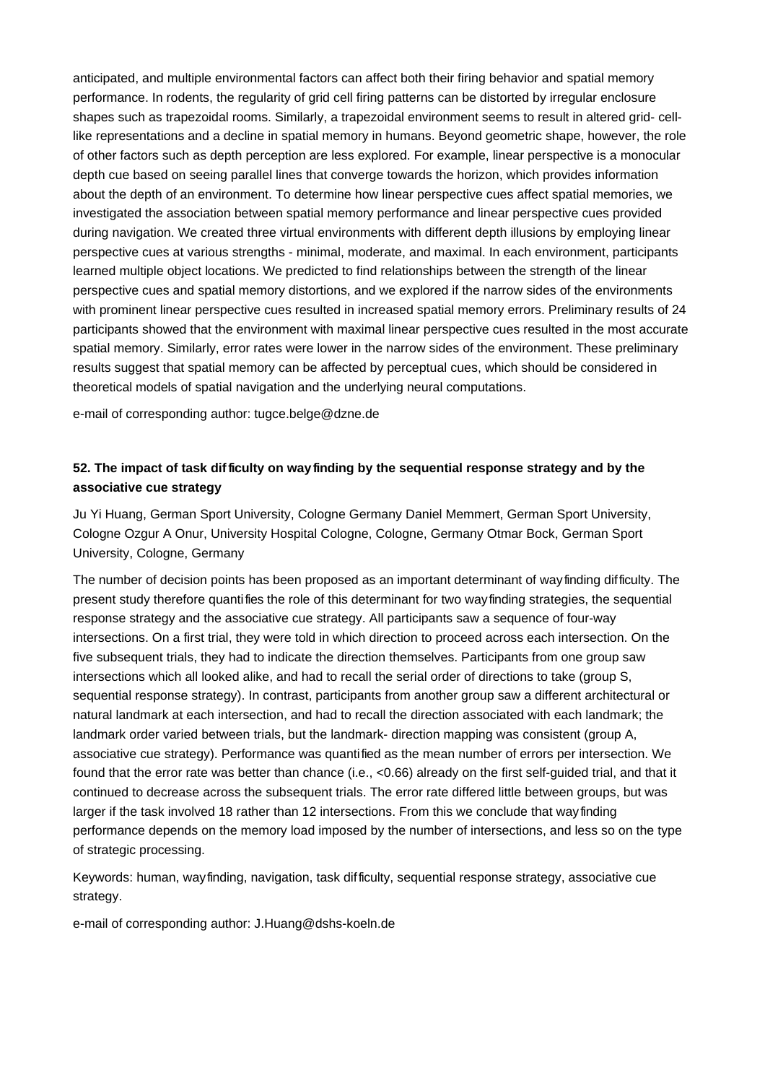anticipated, and multiple environmental factors can affect both their firing behavior and spatial memory performance. In rodents, the regularity of grid cell firing patterns can be distorted by irregular enclosure shapes such as trapezoidal rooms. Similarly, a trapezoidal environment seems to result in altered grid- celllike representations and a decline in spatial memory in humans. Beyond geometric shape, however, the role of other factors such as depth perception are less explored. For example, linear perspective is a monocular depth cue based on seeing parallel lines that converge towards the horizon, which provides information about the depth of an environment. To determine how linear perspective cues affect spatial memories, we investigated the association between spatial memory performance and linear perspective cues provided during navigation. We created three virtual environments with different depth illusions by employing linear perspective cues at various strengths - minimal, moderate, and maximal. In each environment, participants learned multiple object locations. We predicted to find relationships between the strength of the linear perspective cues and spatial memory distortions, and we explored if the narrow sides of the environments with prominent linear perspective cues resulted in increased spatial memory errors. Preliminary results of 24 participants showed that the environment with maximal linear perspective cues resulted in the most accurate spatial memory. Similarly, error rates were lower in the narrow sides of the environment. These preliminary results suggest that spatial memory can be affected by perceptual cues, which should be considered in theoretical models of spatial navigation and the underlying neural computations.

e-mail of corresponding author: tugce.belge@dzne.de

# **52. The impact of task difficulty on wayfinding by the sequential response strategy and by the associative cue strategy**

Ju Yi Huang, German Sport University, Cologne Germany Daniel Memmert, German Sport University, Cologne Ozgur A Onur, University Hospital Cologne, Cologne, Germany Otmar Bock, German Sport University, Cologne, Germany

The number of decision points has been proposed as an important determinant of wayfinding difficulty. The present study therefore quantifies the role of this determinant for two wayfinding strategies, the sequential response strategy and the associative cue strategy. All participants saw a sequence of four-way intersections. On a first trial, they were told in which direction to proceed across each intersection. On the five subsequent trials, they had to indicate the direction themselves. Participants from one group saw intersections which all looked alike, and had to recall the serial order of directions to take (group S, sequential response strategy). In contrast, participants from another group saw a different architectural or natural landmark at each intersection, and had to recall the direction associated with each landmark; the landmark order varied between trials, but the landmark- direction mapping was consistent (group A, associative cue strategy). Performance was quantified as the mean number of errors per intersection. We found that the error rate was better than chance (i.e., <0.66) already on the first self-guided trial, and that it continued to decrease across the subsequent trials. The error rate differed little between groups, but was larger if the task involved 18 rather than 12 intersections. From this we conclude that wayfinding performance depends on the memory load imposed by the number of intersections, and less so on the type of strategic processing.

Keywords: human, wayfinding, navigation, task difficulty, sequential response strategy, associative cue strategy.

e-mail of corresponding author: J.Huang@dshs-koeln.de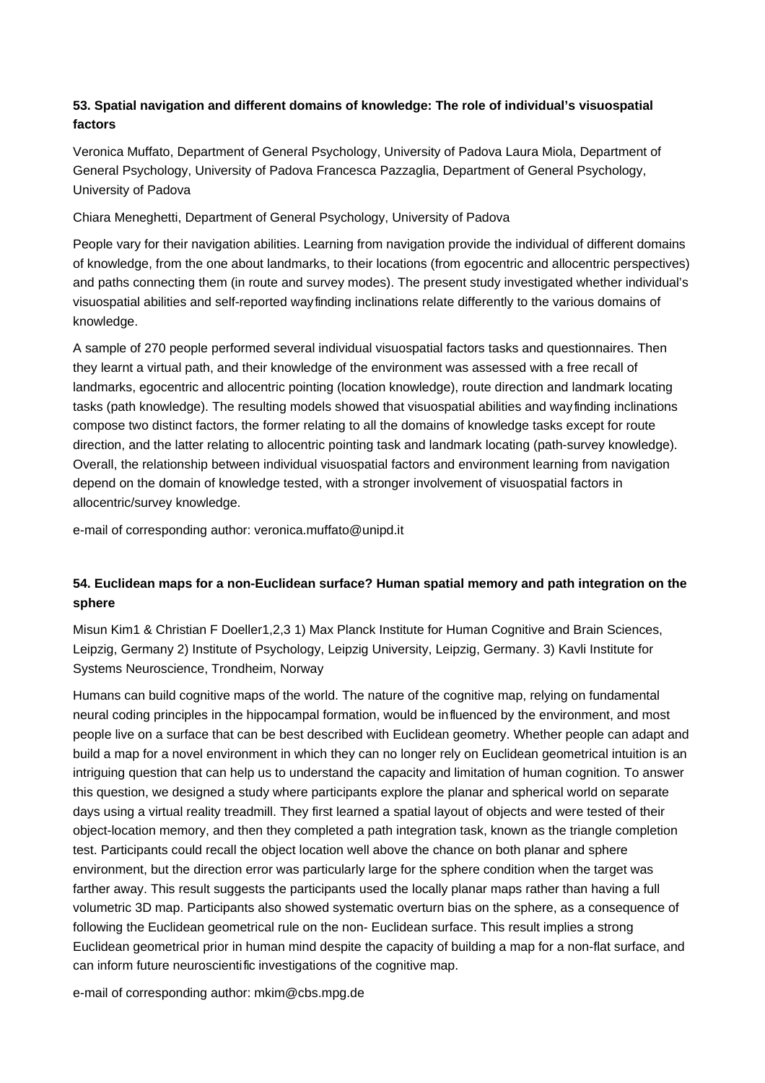# **53. Spatial navigation and different domains of knowledge: The role of individual's visuospatial factors**

Veronica Muffato, Department of General Psychology, University of Padova Laura Miola, Department of General Psychology, University of Padova Francesca Pazzaglia, Department of General Psychology, University of Padova

Chiara Meneghetti, Department of General Psychology, University of Padova

People vary for their navigation abilities. Learning from navigation provide the individual of different domains of knowledge, from the one about landmarks, to their locations (from egocentric and allocentric perspectives) and paths connecting them (in route and survey modes). The present study investigated whether individual's visuospatial abilities and self-reported wayfinding inclinations relate differently to the various domains of knowledge.

A sample of 270 people performed several individual visuospatial factors tasks and questionnaires. Then they learnt a virtual path, and their knowledge of the environment was assessed with a free recall of landmarks, egocentric and allocentric pointing (location knowledge), route direction and landmark locating tasks (path knowledge). The resulting models showed that visuospatial abilities and wayfinding inclinations compose two distinct factors, the former relating to all the domains of knowledge tasks except for route direction, and the latter relating to allocentric pointing task and landmark locating (path-survey knowledge). Overall, the relationship between individual visuospatial factors and environment learning from navigation depend on the domain of knowledge tested, with a stronger involvement of visuospatial factors in allocentric/survey knowledge.

e-mail of corresponding author: veronica.muffato@unipd.it

# **54. Euclidean maps for a non-Euclidean surface? Human spatial memory and path integration on the sphere**

Misun Kim1 & Christian F Doeller1,2,3 1) Max Planck Institute for Human Cognitive and Brain Sciences, Leipzig, Germany 2) Institute of Psychology, Leipzig University, Leipzig, Germany. 3) Kavli Institute for Systems Neuroscience, Trondheim, Norway

Humans can build cognitive maps of the world. The nature of the cognitive map, relying on fundamental neural coding principles in the hippocampal formation, would be influenced by the environment, and most people live on a surface that can be best described with Euclidean geometry. Whether people can adapt and build a map for a novel environment in which they can no longer rely on Euclidean geometrical intuition is an intriguing question that can help us to understand the capacity and limitation of human cognition. To answer this question, we designed a study where participants explore the planar and spherical world on separate days using a virtual reality treadmill. They first learned a spatial layout of objects and were tested of their object-location memory, and then they completed a path integration task, known as the triangle completion test. Participants could recall the object location well above the chance on both planar and sphere environment, but the direction error was particularly large for the sphere condition when the target was farther away. This result suggests the participants used the locally planar maps rather than having a full volumetric 3D map. Participants also showed systematic overturn bias on the sphere, as a consequence of following the Euclidean geometrical rule on the non- Euclidean surface. This result implies a strong Euclidean geometrical prior in human mind despite the capacity of building a map for a non-flat surface, and can inform future neuroscientific investigations of the cognitive map.

e-mail of corresponding author: mkim@cbs.mpg.de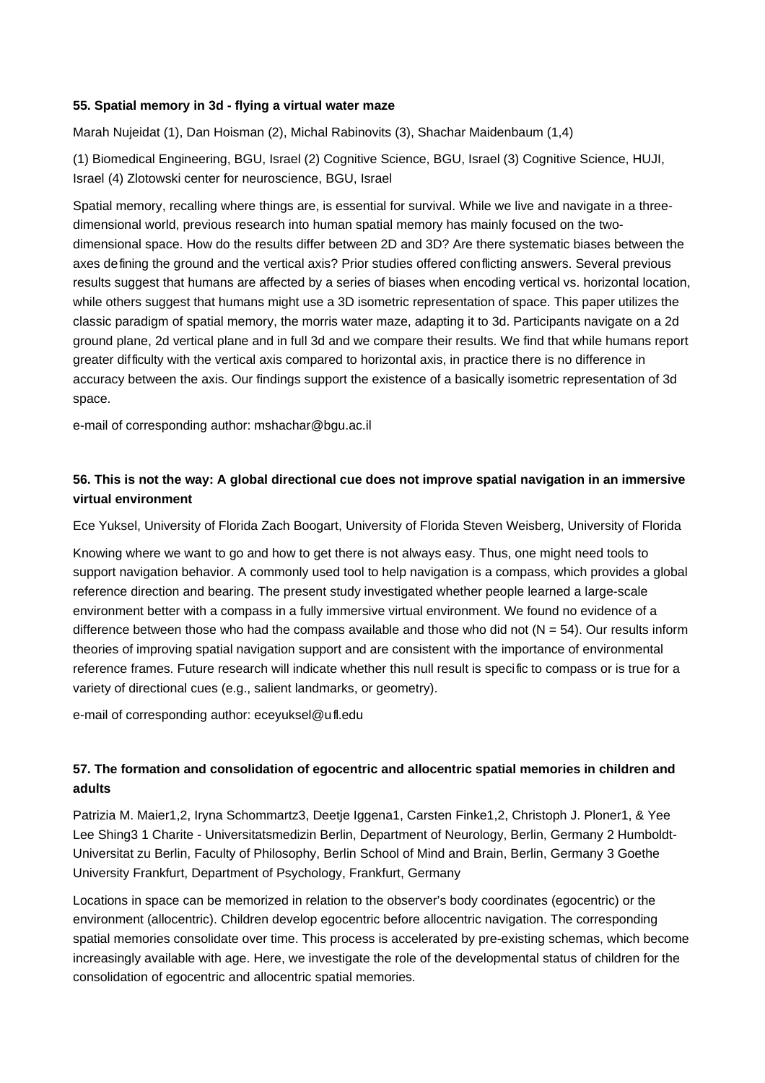## **55. Spatial memory in 3d - flying a virtual water maze**

Marah Nujeidat (1), Dan Hoisman (2), Michal Rabinovits (3), Shachar Maidenbaum (1,4)

(1) Biomedical Engineering, BGU, Israel (2) Cognitive Science, BGU, Israel (3) Cognitive Science, HUJI, Israel (4) Zlotowski center for neuroscience, BGU, Israel

Spatial memory, recalling where things are, is essential for survival. While we live and navigate in a threedimensional world, previous research into human spatial memory has mainly focused on the twodimensional space. How do the results differ between 2D and 3D? Are there systematic biases between the axes defining the ground and the vertical axis? Prior studies offered conflicting answers. Several previous results suggest that humans are affected by a series of biases when encoding vertical vs. horizontal location, while others suggest that humans might use a 3D isometric representation of space. This paper utilizes the classic paradigm of spatial memory, the morris water maze, adapting it to 3d. Participants navigate on a 2d ground plane, 2d vertical plane and in full 3d and we compare their results. We find that while humans report greater difficulty with the vertical axis compared to horizontal axis, in practice there is no difference in accuracy between the axis. Our findings support the existence of a basically isometric representation of 3d space.

e-mail of corresponding author: mshachar@bgu.ac.il

## **56. This is not the way: A global directional cue does not improve spatial navigation in an immersive virtual environment**

Ece Yuksel, University of Florida Zach Boogart, University of Florida Steven Weisberg, University of Florida

Knowing where we want to go and how to get there is not always easy. Thus, one might need tools to support navigation behavior. A commonly used tool to help navigation is a compass, which provides a global reference direction and bearing. The present study investigated whether people learned a large-scale environment better with a compass in a fully immersive virtual environment. We found no evidence of a difference between those who had the compass available and those who did not  $(N = 54)$ . Our results inform theories of improving spatial navigation support and are consistent with the importance of environmental reference frames. Future research will indicate whether this null result is specific to compass or is true for a variety of directional cues (e.g., salient landmarks, or geometry).

e-mail of corresponding author: eceyuksel@ufl.edu

# **57. The formation and consolidation of egocentric and allocentric spatial memories in children and adults**

Patrizia M. Maier1,2, Iryna Schommartz3, Deetje Iggena1, Carsten Finke1,2, Christoph J. Ploner1, & Yee Lee Shing3 1 Charite - Universita tsmedizin Berlin, Department of Neurology, Berlin, Germany 2 Humboldt-Universitat zu Berlin, Faculty of Philosophy, Berlin School of Mind and Brain, Berlin, Germany 3 Goethe University Frankfurt, Department of Psychology, Frankfurt, Germany

Locations in space can be memorized in relation to the observer's body coordinates (egocentric) or the environment (allocentric). Children develop egocentric before allocentric navigation. The corresponding spatial memories consolidate over time. This process is accelerated by pre-existing schemas, which become increasingly available with age. Here, we investigate the role of the developmental status of children for the consolidation of egocentric and allocentric spatial memories.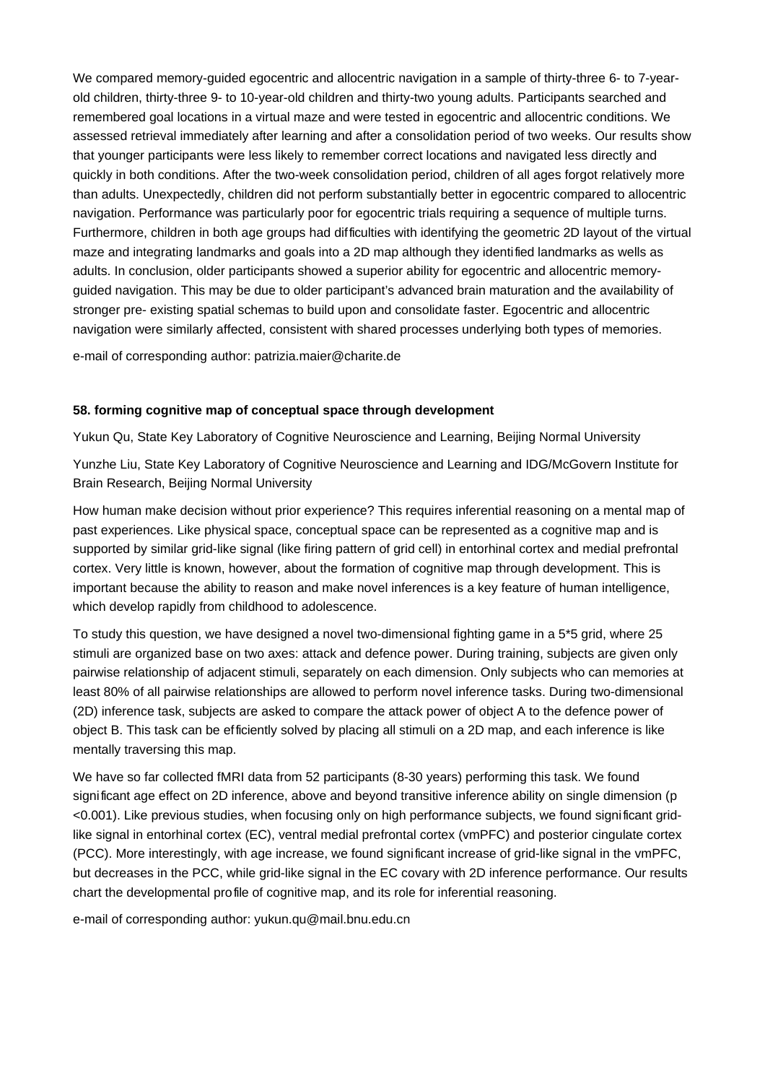We compared memory-quided egocentric and allocentric navigation in a sample of thirty-three 6- to 7-yearold children, thirty-three 9- to 10-year-old children and thirty-two young adults. Participants searched and remembered goal locations in a virtual maze and were tested in egocentric and allocentric conditions. We assessed retrieval immediately after learning and after a consolidation period of two weeks. Our results show that younger participants were less likely to remember correct locations and navigated less directly and quickly in both conditions. After the two-week consolidation period, children of all ages forgot relatively more than adults. Unexpectedly, children did not perform substantially better in egocentric compared to allocentric navigation. Performance was particularly poor for egocentric trials requiring a sequence of multiple turns. Furthermore, children in both age groups had difficulties with identifying the geometric 2D layout of the virtual maze and integrating landmarks and goals into a 2D map although they identified landmarks as wells as adults. In conclusion, older participants showed a superior ability for egocentric and allocentric memoryguided navigation. This may be due to older participant's advanced brain maturation and the availability of stronger pre- existing spatial schemas to build upon and consolidate faster. Egocentric and allocentric navigation were similarly affected, consistent with shared processes underlying both types of memories.

e-mail of corresponding author: patrizia.maier@charite.de

#### **58. forming cognitive map of conceptual space through development**

Yukun Qu, State Key Laboratory of Cognitive Neuroscience and Learning, Beijing Normal University

Yunzhe Liu, State Key Laboratory of Cognitive Neuroscience and Learning and IDG/McGovern Institute for Brain Research, Beijing Normal University

How human make decision without prior experience? This requires inferential reasoning on a mental map of past experiences. Like physical space, conceptual space can be represented as a cognitive map and is supported by similar grid-like signal (like firing pattern of grid cell) in entorhinal cortex and medial prefrontal cortex. Very little is known, however, about the formation of cognitive map through development. This is important because the ability to reason and make novel inferences is a key feature of human intelligence, which develop rapidly from childhood to adolescence.

To study this question, we have designed a novel two-dimensional fighting game in a 5\*5 grid, where 25 stimuli are organized base on two axes: attack and defence power. During training, subjects are given only pairwise relationship of adjacent stimuli, separately on each dimension. Only subjects who can memories at least 80% of all pairwise relationships are allowed to perform novel inference tasks. During two-dimensional (2D) inference task, subjects are asked to compare the attack power of object A to the defence power of object B. This task can be efficiently solved by placing all stimuli on a 2D map, and each inference is like mentally traversing this map.

We have so far collected fMRI data from 52 participants (8-30 years) performing this task. We found significant age effect on 2D inference, above and beyond transitive inference ability on single dimension (p <0.001). Like previous studies, when focusing only on high performance subjects, we found significant gridlike signal in entorhinal cortex (EC), ventral medial prefrontal cortex (vmPFC) and posterior cingulate cortex (PCC). More interestingly, with age increase, we found significant increase of grid-like signal in the vmPFC, but decreases in the PCC, while grid-like signal in the EC covary with 2D inference performance. Our results chart the developmental profile of cognitive map, and its role for inferential reasoning.

e-mail of corresponding author: yukun.qu@mail.bnu.edu.cn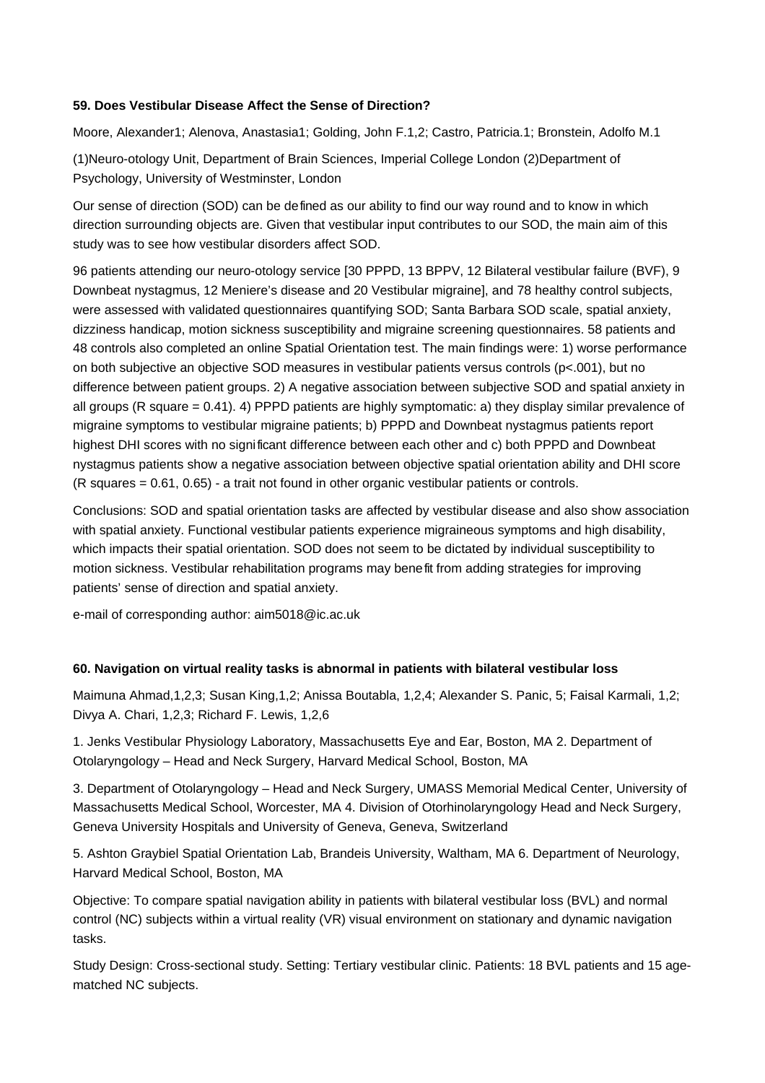## **59. Does Vestibular Disease Affect the Sense of Direction?**

Moore, Alexander1; Alenova, Anastasia1; Golding, John F.1,2; Castro, Patricia.1; Bronstein, Adolfo M.1

(1)Neuro-otology Unit, Department of Brain Sciences, Imperial College London (2)Department of Psychology, University of Westminster, London

Our sense of direction (SOD) can be defined as our ability to find our way round and to know in which direction surrounding objects are. Given that vestibular input contributes to our SOD, the main aim of this study was to see how vestibular disorders affect SOD.

96 patients attending our neuro-otology service [30 PPPD, 13 BPPV, 12 Bilateral vestibular failure (BVF), 9 Downbeat nystagmus, 12 Meniere's disease and 20 Vestibular migraine], and 78 healthy control subjects, were assessed with validated questionnaires quantifying SOD; Santa Barbara SOD scale, spatial anxiety, dizziness handicap, motion sickness susceptibility and migraine screening questionnaires. 58 patients and 48 controls also completed an online Spatial Orientation test. The main findings were: 1) worse performance on both subjective an objective SOD measures in vestibular patients versus controls (p<.001), but no difference between patient groups. 2) A negative association between subjective SOD and spatial anxiety in all groups (R square = 0.41). 4) PPPD patients are highly symptomatic: a) they display similar prevalence of migraine symptoms to vestibular migraine patients; b) PPPD and Downbeat nystagmus patients report highest DHI scores with no significant difference between each other and c) both PPPD and Downbeat nystagmus patients show a negative association between objective spatial orientation ability and DHI score (R squares = 0.61, 0.65) - a trait not found in other organic vestibular patients or controls.

Conclusions: SOD and spatial orientation tasks are affected by vestibular disease and also show association with spatial anxiety. Functional vestibular patients experience migraineous symptoms and high disability, which impacts their spatial orientation. SOD does not seem to be dictated by individual susceptibility to motion sickness. Vestibular rehabilitation programs may benefit from adding strategies for improving patients' sense of direction and spatial anxiety.

e-mail of corresponding author: aim5018@ic.ac.uk

## **60. Navigation on virtual reality tasks is abnormal in patients with bilateral vestibular loss**

Maimuna Ahmad,1,2,3; Susan King,1,2; Anissa Boutabla, 1,2,4; Alexander S. Panic, 5; Faisal Karmali, 1,2; Divya A. Chari, 1,2,3; Richard F. Lewis, 1,2,6

1. Jenks Vestibular Physiology Laboratory, Massachusetts Eye and Ear, Boston, MA 2. Department of Otolaryngology – Head and Neck Surgery, Harvard Medical School, Boston, MA

3. Department of Otolaryngology – Head and Neck Surgery, UMASS Memorial Medical Center, University of Massachusetts Medical School, Worcester, MA 4. Division of Otorhinolaryngology Head and Neck Surgery, Geneva University Hospitals and University of Geneva, Geneva, Switzerland

5. Ashton Graybiel Spatial Orientation Lab, Brandeis University, Waltham, MA 6. Department of Neurology, Harvard Medical School, Boston, MA

Objective: To compare spatial navigation ability in patients with bilateral vestibular loss (BVL) and normal control (NC) subjects within a virtual reality (VR) visual environment on stationary and dynamic navigation tasks.

Study Design: Cross-sectional study. Setting: Tertiary vestibular clinic. Patients: 18 BVL patients and 15 agematched NC subjects.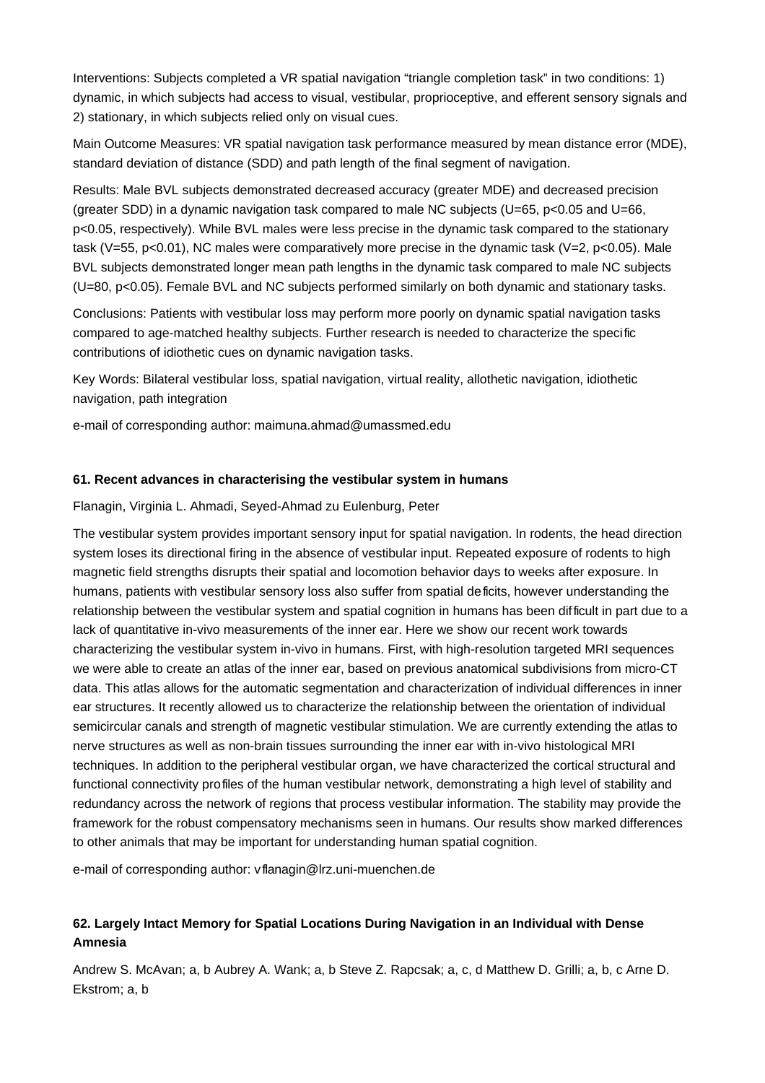Interventions: Subjects completed a VR spatial navigation "triangle completion task" in two conditions: 1) dynamic, in which subjects had access to visual, vestibular, proprioceptive, and efferent sensory signals and 2) stationary, in which subjects relied only on visual cues.

Main Outcome Measures: VR spatial navigation task performance measured by mean distance error (MDE), standard deviation of distance (SDD) and path length of the final segment of navigation.

Results: Male BVL subjects demonstrated decreased accuracy (greater MDE) and decreased precision (greater SDD) in a dynamic navigation task compared to male NC subjects ( $U=65$ ,  $p<0.05$  and  $U=66$ , p<0.05, respectively). While BVL males were less precise in the dynamic task compared to the stationary task (V=55, p<0.01), NC males were comparatively more precise in the dynamic task (V=2, p<0.05). Male BVL subjects demonstrated longer mean path lengths in the dynamic task compared to male NC subjects (U=80, p<0.05). Female BVL and NC subjects performed similarly on both dynamic and stationary tasks.

Conclusions: Patients with vestibular loss may perform more poorly on dynamic spatial navigation tasks compared to age-matched healthy subjects. Further research is needed to characterize the specific contributions of idiothetic cues on dynamic navigation tasks.

Key Words: Bilateral vestibular loss, spatial navigation, virtual reality, allothetic navigation, idiothetic navigation, path integration

e-mail of corresponding author: maimuna.ahmad@umassmed.edu

## **61. Recent advances in characterising the vestibular system in humans**

Flanagin, Virginia L. Ahmadi, Seyed-Ahmad zu Eulenburg, Peter

The vestibular system provides important sensory input for spatial navigation. In rodents, the head direction system loses its directional firing in the absence of vestibular input. Repeated exposure of rodents to high magnetic field strengths disrupts their spatial and locomotion behavior days to weeks after exposure. In humans, patients with vestibular sensory loss also suffer from spatial deficits, however understanding the relationship between the vestibular system and spatial cognition in humans has been difficult in part due to a lack of quantitative in-vivo measurements of the inner ear. Here we show our recent work towards characterizing the vestibular system in-vivo in humans. First, with high-resolution targeted MRI sequences we were able to create an atlas of the inner ear, based on previous anatomical subdivisions from micro-CT data. This atlas allows for the automatic segmentation and characterization of individual differences in inner ear structures. It recently allowed us to characterize the relationship between the orientation of individual semicircular canals and strength of magnetic vestibular stimulation. We are currently extending the atlas to nerve structures as well as non-brain tissues surrounding the inner ear with in-vivo histological MRI techniques. In addition to the peripheral vestibular organ, we have characterized the cortical structural and functional connectivity profiles of the human vestibular network, demonstrating a high level of stability and redundancy across the network of regions that process vestibular information. The stability may provide the framework for the robust compensatory mechanisms seen in humans. Our results show marked differences to other animals that may be important for understanding human spatial cognition.

e-mail of corresponding author: vflanagin@lrz.uni-muenchen.de

# **62. Largely Intact Memory for Spatial Locations During Navigation in an Individual with Dense Amnesia**

Andrew S. McAvan; a, b Aubrey A. Wank; a, b Steve Z. Rapcsak; a, c, d Matthew D. Grilli; a, b, c Arne D. Ekstrom; a, b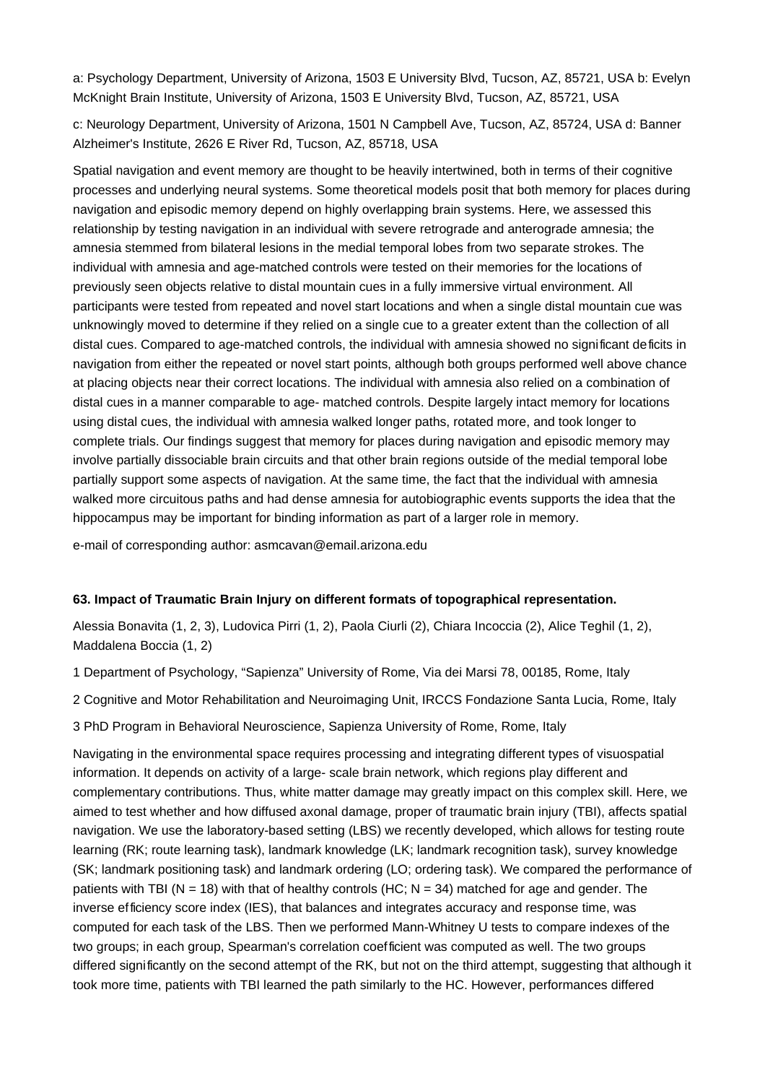a: Psychology Department, University of Arizona, 1503 E University Blvd, Tucson, AZ, 85721, USA b: Evelyn McKnight Brain Institute, University of Arizona, 1503 E University Blvd, Tucson, AZ, 85721, USA

c: Neurology Department, University of Arizona, 1501 N Campbell Ave, Tucson, AZ, 85724, USA d: Banner Alzheimer's Institute, 2626 E River Rd, Tucson, AZ, 85718, USA

Spatial navigation and event memory are thought to be heavily intertwined, both in terms of their cognitive processes and underlying neural systems. Some theoretical models posit that both memory for places during navigation and episodic memory depend on highly overlapping brain systems. Here, we assessed this relationship by testing navigation in an individual with severe retrograde and anterograde amnesia; the amnesia stemmed from bilateral lesions in the medial temporal lobes from two separate strokes. The individual with amnesia and age-matched controls were tested on their memories for the locations of previously seen objects relative to distal mountain cues in a fully immersive virtual environment. All participants were tested from repeated and novel start locations and when a single distal mountain cue was unknowingly moved to determine if they relied on a single cue to a greater extent than the collection of all distal cues. Compared to age-matched controls, the individual with amnesia showed no significant deficits in navigation from either the repeated or novel start points, although both groups performed well above chance at placing objects near their correct locations. The individual with amnesia also relied on a combination of distal cues in a manner comparable to age- matched controls. Despite largely intact memory for locations using distal cues, the individual with amnesia walked longer paths, rotated more, and took longer to complete trials. Our findings suggest that memory for places during navigation and episodic memory may involve partially dissociable brain circuits and that other brain regions outside of the medial temporal lobe partially support some aspects of navigation. At the same time, the fact that the individual with amnesia walked more circuitous paths and had dense amnesia for autobiographic events supports the idea that the hippocampus may be important for binding information as part of a larger role in memory.

e-mail of corresponding author: asmcavan@email.arizona.edu

#### **63. Impact of Traumatic Brain Injury on different formats of topographical representation.**

Alessia Bonavita (1, 2, 3), Ludovica Pirri (1, 2), Paola Ciurli (2), Chiara Incoccia (2), Alice Teghil (1, 2), Maddalena Boccia (1, 2)

1 Department of Psychology, "Sapienza" University of Rome, Via dei Marsi 78, 00185, Rome, Italy

2 Cognitive and Motor Rehabilitation and Neuroimaging Unit, IRCCS Fondazione Santa Lucia, Rome, Italy

3 PhD Program in Behavioral Neuroscience, Sapienza University of Rome, Rome, Italy

Navigating in the environmental space requires processing and integrating different types of visuospatial information. It depends on activity of a large- scale brain network, which regions play different and complementary contributions. Thus, white matter damage may greatly impact on this complex skill. Here, we aimed to test whether and how diffused axonal damage, proper of traumatic brain injury (TBI), affects spatial navigation. We use the laboratory-based setting (LBS) we recently developed, which allows for testing route learning (RK; route learning task), landmark knowledge (LK; landmark recognition task), survey knowledge (SK; landmark positioning task) and landmark ordering (LO; ordering task). We compared the performance of patients with TBI ( $N = 18$ ) with that of healthy controls (HC;  $N = 34$ ) matched for age and gender. The inverse efficiency score index (IES), that balances and integrates accuracy and response time, was computed for each task of the LBS. Then we performed Mann-Whitney U tests to compare indexes of the two groups; in each group, Spearman's correlation coefficient was computed as well. The two groups differed significantly on the second attempt of the RK, but not on the third attempt, suggesting that although it took more time, patients with TBI learned the path similarly to the HC. However, performances differed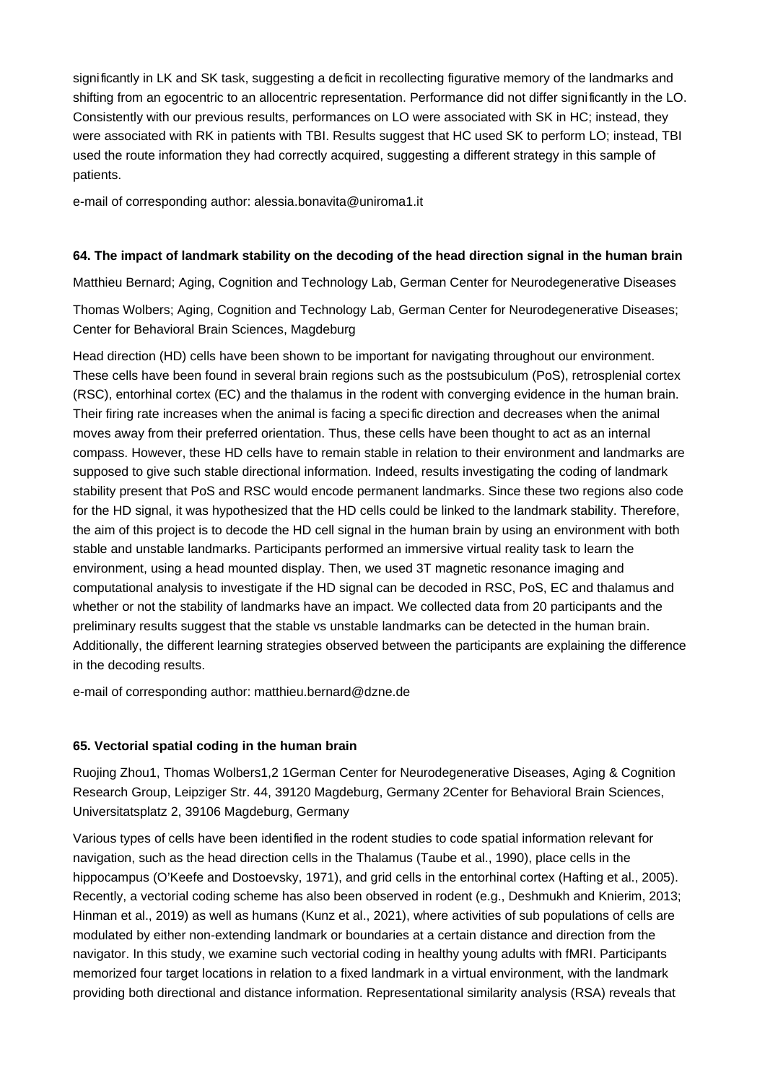significantly in LK and SK task, suggesting a deficit in recollecting figurative memory of the landmarks and shifting from an egocentric to an allocentric representation. Performance did not differ significantly in the LO. Consistently with our previous results, performances on LO were associated with SK in HC; instead, they were associated with RK in patients with TBI. Results suggest that HC used SK to perform LO; instead, TBI used the route information they had correctly acquired, suggesting a different strategy in this sample of patients.

e-mail of corresponding author: alessia.bonavita@uniroma1.it

## **64. The impact of landmark stability on the decoding of the head direction signal in the human brain**

Matthieu Bernard; Aging, Cognition and Technology Lab, German Center for Neurodegenerative Diseases

Thomas Wolbers; Aging, Cognition and Technology Lab, German Center for Neurodegenerative Diseases; Center for Behavioral Brain Sciences, Magdeburg

Head direction (HD) cells have been shown to be important for navigating throughout our environment. These cells have been found in several brain regions such as the postsubiculum (PoS), retrosplenial cortex (RSC), entorhinal cortex (EC) and the thalamus in the rodent with converging evidence in the human brain. Their firing rate increases when the animal is facing a specific direction and decreases when the animal moves away from their preferred orientation. Thus, these cells have been thought to act as an internal compass. However, these HD cells have to remain stable in relation to their environment and landmarks are supposed to give such stable directional information. Indeed, results investigating the coding of landmark stability present that PoS and RSC would encode permanent landmarks. Since these two regions also code for the HD signal, it was hypothesized that the HD cells could be linked to the landmark stability. Therefore, the aim of this project is to decode the HD cell signal in the human brain by using an environment with both stable and unstable landmarks. Participants performed an immersive virtual reality task to learn the environment, using a head mounted display. Then, we used 3T magnetic resonance imaging and computational analysis to investigate if the HD signal can be decoded in RSC, PoS, EC and thalamus and whether or not the stability of landmarks have an impact. We collected data from 20 participants and the preliminary results suggest that the stable vs unstable landmarks can be detected in the human brain. Additionally, the different learning strategies observed between the participants are explaining the difference in the decoding results.

e-mail of corresponding author: matthieu.bernard@dzne.de

## **65. Vectorial spatial coding in the human brain**

Ruojing Zhou1, Thomas Wolbers1,2 1German Center for Neurodegenerative Diseases, Aging & Cognition Research Group, Leipziger Str. 44, 39120 Magdeburg, Germany 2Center for Behavioral Brain Sciences, Universita tsplatz 2, 39106 Magdeburg, Germany

Various types of cells have been identified in the rodent studies to code spatial information relevant for navigation, such as the head direction cells in the Thalamus (Taube et al., 1990), place cells in the hippocampus (O'Keefe and Dostoevsky, 1971), and grid cells in the entorhinal cortex (Hafting et al., 2005). Recently, a vectorial coding scheme has also been observed in rodent (e.g., Deshmukh and Knierim, 2013; Hinman et al., 2019) as well as humans (Kunz et al., 2021), where activities of sub populations of cells are modulated by either non-extending landmark or boundaries at a certain distance and direction from the navigator. In this study, we examine such vectorial coding in healthy young adults with fMRI. Participants memorized four target locations in relation to a fixed landmark in a virtual environment, with the landmark providing both directional and distance information. Representational similarity analysis (RSA) reveals that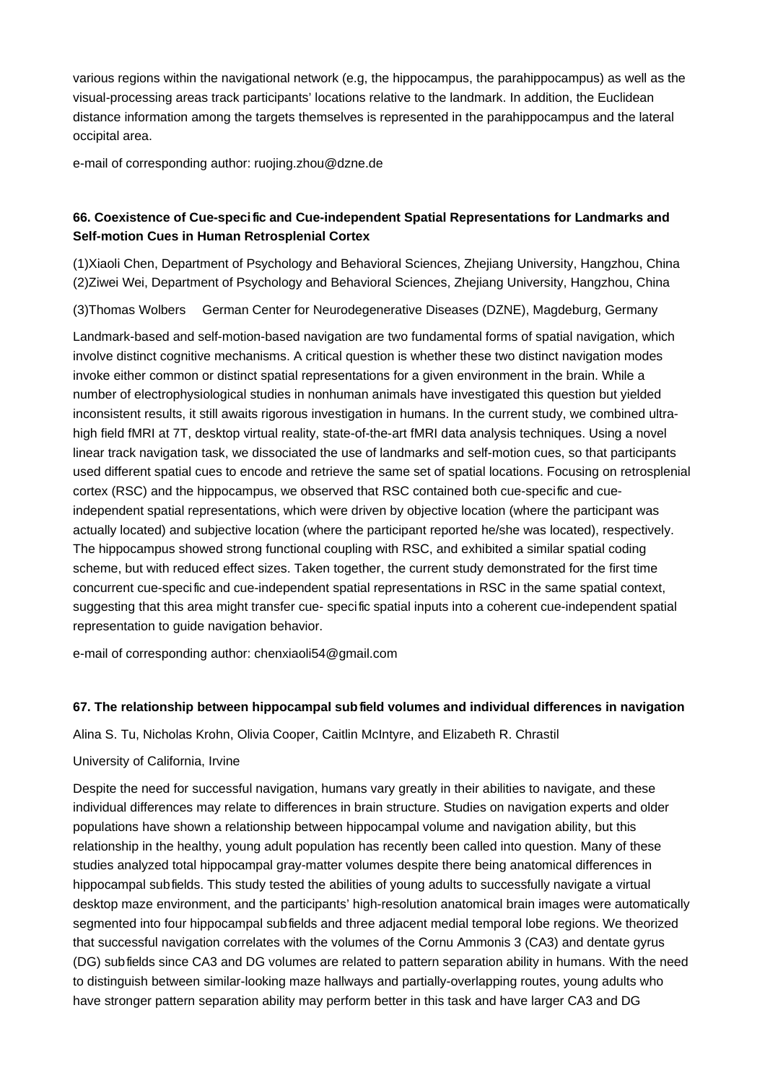various regions within the navigational network (e.g, the hippocampus, the parahippocampus) as well as the visual-processing areas track participants' locations relative to the landmark. In addition, the Euclidean distance information among the targets themselves is represented in the parahippocampus and the lateral occipital area.

e-mail of corresponding author: ruojing.zhou@dzne.de

## **66. Coexistence of Cue-speci fic and Cue-independent Spatial Representations for Landmarks and Self-motion Cues in Human Retrosplenial Cortex**

(1)Xiaoli Chen, Department of Psychology and Behavioral Sciences, Zhejiang University, Hangzhou, China (2)Ziwei Wei, Department of Psychology and Behavioral Sciences, Zhejiang University, Hangzhou, China

(3)Thomas Wolbers German Center for Neurodegenerative Diseases (DZNE), Magdeburg, Germany

Landmark-based and self-motion-based navigation are two fundamental forms of spatial navigation, which involve distinct cognitive mechanisms. A critical question is whether these two distinct navigation modes invoke either common or distinct spatial representations for a given environment in the brain. While a number of electrophysiological studies in nonhuman animals have investigated this question but yielded inconsistent results, it still awaits rigorous investigation in humans. In the current study, we combined ultrahigh field fMRI at 7T, desktop virtual reality, state-of-the-art fMRI data analysis techniques. Using a novel linear track navigation task, we dissociated the use of landmarks and self-motion cues, so that participants used different spatial cues to encode and retrieve the same set of spatial locations. Focusing on retrosplenial cortex (RSC) and the hippocampus, we observed that RSC contained both cue-specific and cueindependent spatial representations, which were driven by objective location (where the participant was actually located) and subjective location (where the participant reported he/she was located), respectively. The hippocampus showed strong functional coupling with RSC, and exhibited a similar spatial coding scheme, but with reduced effect sizes. Taken together, the current study demonstrated for the first time concurrent cue-specific and cue-independent spatial representations in RSC in the same spatial context, suggesting that this area might transfer cue- specific spatial inputs into a coherent cue-independent spatial representation to guide navigation behavior.

e-mail of corresponding author: chenxiaoli54@gmail.com

## **67. The relationship between hippocampal subfield volumes and individual differences in navigation**

Alina S. Tu, Nicholas Krohn, Olivia Cooper, Caitlin McIntyre, and Elizabeth R. Chrastil

## University of California, Irvine

Despite the need for successful navigation, humans vary greatly in their abilities to navigate, and these individual differences may relate to differences in brain structure. Studies on navigation experts and older populations have shown a relationship between hippocampal volume and navigation ability, but this relationship in the healthy, young adult population has recently been called into question. Many of these studies analyzed total hippocampal gray-matter volumes despite there being anatomical differences in hippocampal subfields. This study tested the abilities of young adults to successfully navigate a virtual desktop maze environment, and the participants' high-resolution anatomical brain images were automatically segmented into four hippocampal subfields and three adjacent medial temporal lobe regions. We theorized that successful navigation correlates with the volumes of the Cornu Ammonis 3 (CA3) and dentate gyrus (DG) subfields since CA3 and DG volumes are related to pattern separation ability in humans. With the need to distinguish between similar-looking maze hallways and partially-overlapping routes, young adults who have stronger pattern separation ability may perform better in this task and have larger CA3 and DG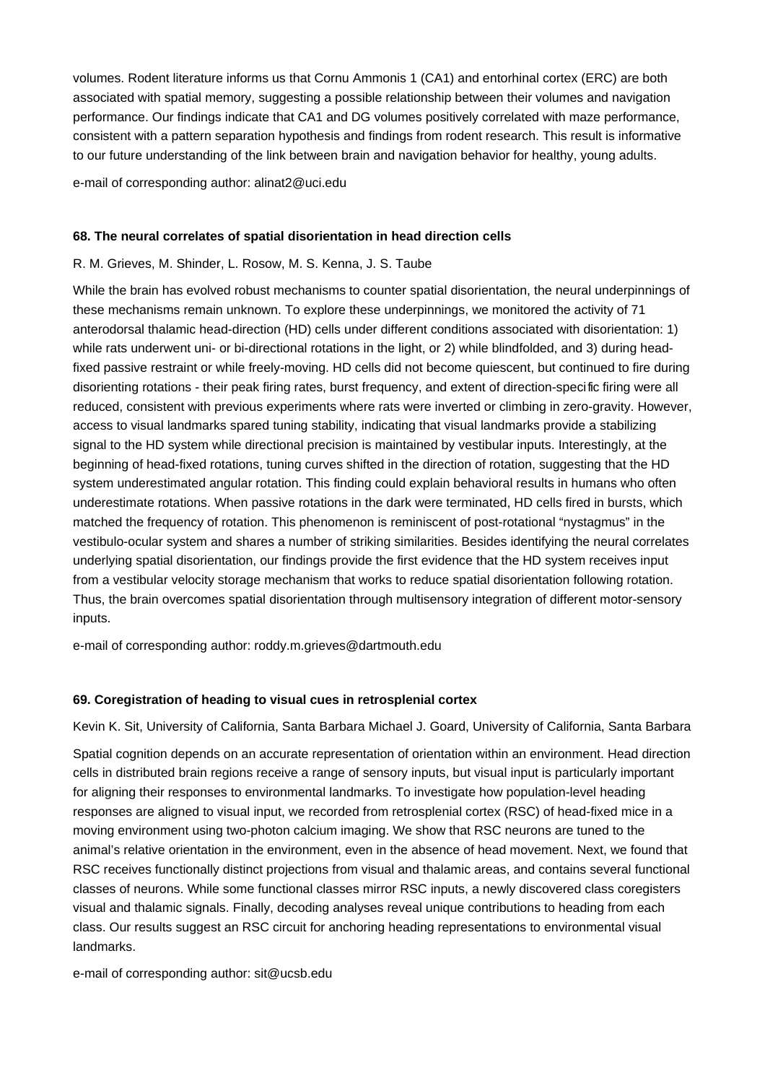volumes. Rodent literature informs us that Cornu Ammonis 1 (CA1) and entorhinal cortex (ERC) are both associated with spatial memory, suggesting a possible relationship between their volumes and navigation performance. Our findings indicate that CA1 and DG volumes positively correlated with maze performance, consistent with a pattern separation hypothesis and findings from rodent research. This result is informative to our future understanding of the link between brain and navigation behavior for healthy, young adults.

e-mail of corresponding author: alinat2@uci.edu

#### **68. The neural correlates of spatial disorientation in head direction cells**

#### R. M. Grieves, M. Shinder, L. Rosow, M. S. Kenna, J. S. Taube

While the brain has evolved robust mechanisms to counter spatial disorientation, the neural underpinnings of these mechanisms remain unknown. To explore these underpinnings, we monitored the activity of 71 anterodorsal thalamic head-direction (HD) cells under different conditions associated with disorientation: 1) while rats underwent uni- or bi-directional rotations in the light, or 2) while blindfolded, and 3) during headfixed passive restraint or while freely-moving. HD cells did not become quiescent, but continued to fire during disorienting rotations - their peak firing rates, burst frequency, and extent of direction-specific firing were all reduced, consistent with previous experiments where rats were inverted or climbing in zero-gravity. However, access to visual landmarks spared tuning stability, indicating that visual landmarks provide a stabilizing signal to the HD system while directional precision is maintained by vestibular inputs. Interestingly, at the beginning of head-fixed rotations, tuning curves shifted in the direction of rotation, suggesting that the HD system underestimated angular rotation. This finding could explain behavioral results in humans who often underestimate rotations. When passive rotations in the dark were terminated, HD cells fired in bursts, which matched the frequency of rotation. This phenomenon is reminiscent of post-rotational "nystagmus" in the vestibulo-ocular system and shares a number of striking similarities. Besides identifying the neural correlates underlying spatial disorientation, our findings provide the first evidence that the HD system receives input from a vestibular velocity storage mechanism that works to reduce spatial disorientation following rotation. Thus, the brain overcomes spatial disorientation through multisensory integration of different motor-sensory inputs.

e-mail of corresponding author: roddy.m.grieves@dartmouth.edu

## **69. Coregistration of heading to visual cues in retrosplenial cortex**

Kevin K. Sit, University of California, Santa Barbara Michael J. Goard, University of California, Santa Barbara

Spatial cognition depends on an accurate representation of orientation within an environment. Head direction cells in distributed brain regions receive a range of sensory inputs, but visual input is particularly important for aligning their responses to environmental landmarks. To investigate how population-level heading responses are aligned to visual input, we recorded from retrosplenial cortex (RSC) of head-fixed mice in a moving environment using two-photon calcium imaging. We show that RSC neurons are tuned to the animal's relative orientation in the environment, even in the absence of head movement. Next, we found that RSC receives functionally distinct projections from visual and thalamic areas, and contains several functional classes of neurons. While some functional classes mirror RSC inputs, a newly discovered class coregisters visual and thalamic signals. Finally, decoding analyses reveal unique contributions to heading from each class. Our results suggest an RSC circuit for anchoring heading representations to environmental visual landmarks.

e-mail of corresponding author: sit@ucsb.edu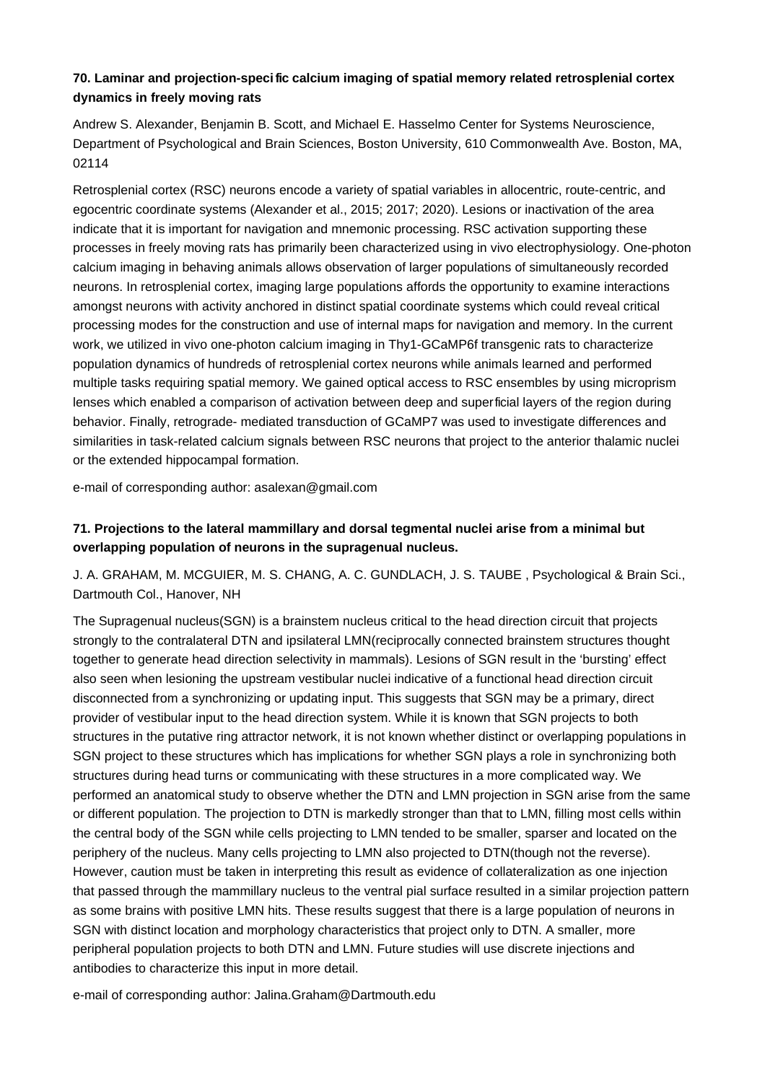## **70. Laminar and projection-speci fic calcium imaging of spatial memory related retrosplenial cortex dynamics in freely moving rats**

Andrew S. Alexander, Benjamin B. Scott, and Michael E. Hasselmo Center for Systems Neuroscience, Department of Psychological and Brain Sciences, Boston University, 610 Commonwealth Ave. Boston, MA, 02114

Retrosplenial cortex (RSC) neurons encode a variety of spatial variables in allocentric, route-centric, and egocentric coordinate systems (Alexander et al., 2015; 2017; 2020). Lesions or inactivation of the area indicate that it is important for navigation and mnemonic processing. RSC activation supporting these processes in freely moving rats has primarily been characterized using in vivo electrophysiology. One-photon calcium imaging in behaving animals allows observation of larger populations of simultaneously recorded neurons. In retrosplenial cortex, imaging large populations affords the opportunity to examine interactions amongst neurons with activity anchored in distinct spatial coordinate systems which could reveal critical processing modes for the construction and use of internal maps for navigation and memory. In the current work, we utilized in vivo one-photon calcium imaging in Thy1-GCaMP6f transgenic rats to characterize population dynamics of hundreds of retrosplenial cortex neurons while animals learned and performed multiple tasks requiring spatial memory. We gained optical access to RSC ensembles by using microprism lenses which enabled a comparison of activation between deep and superficial layers of the region during behavior. Finally, retrograde- mediated transduction of GCaMP7 was used to investigate differences and similarities in task-related calcium signals between RSC neurons that project to the anterior thalamic nuclei or the extended hippocampal formation.

e-mail of corresponding author: asalexan@gmail.com

# **71. Projections to the lateral mammillary and dorsal tegmental nuclei arise from a minimal but overlapping population of neurons in the supragenual nucleus.**

J. A. GRAHAM, M. MCGUIER, M. S. CHANG, A. C. GUNDLACH, J. S. TAUBE , Psychological & Brain Sci., Dartmouth Col., Hanover, NH

The Supragenual nucleus(SGN) is a brainstem nucleus critical to the head direction circuit that projects strongly to the contralateral DTN and ipsilateral LMN(reciprocally connected brainstem structures thought together to generate head direction selectivity in mammals). Lesions of SGN result in the 'bursting' effect also seen when lesioning the upstream vestibular nuclei indicative of a functional head direction circuit disconnected from a synchronizing or updating input. This suggests that SGN may be a primary, direct provider of vestibular input to the head direction system. While it is known that SGN projects to both structures in the putative ring attractor network, it is not known whether distinct or overlapping populations in SGN project to these structures which has implications for whether SGN plays a role in synchronizing both structures during head turns or communicating with these structures in a more complicated way. We performed an anatomical study to observe whether the DTN and LMN projection in SGN arise from the same or different population. The projection to DTN is markedly stronger than that to LMN, filling most cells within the central body of the SGN while cells projecting to LMN tended to be smaller, sparser and located on the periphery of the nucleus. Many cells projecting to LMN also projected to DTN(though not the reverse). However, caution must be taken in interpreting this result as evidence of collateralization as one injection that passed through the mammillary nucleus to the ventral pial surface resulted in a similar projection pattern as some brains with positive LMN hits. These results suggest that there is a large population of neurons in SGN with distinct location and morphology characteristics that project only to DTN. A smaller, more peripheral population projects to both DTN and LMN. Future studies will use discrete injections and antibodies to characterize this input in more detail.

e-mail of corresponding author: Jalina.Graham@Dartmouth.edu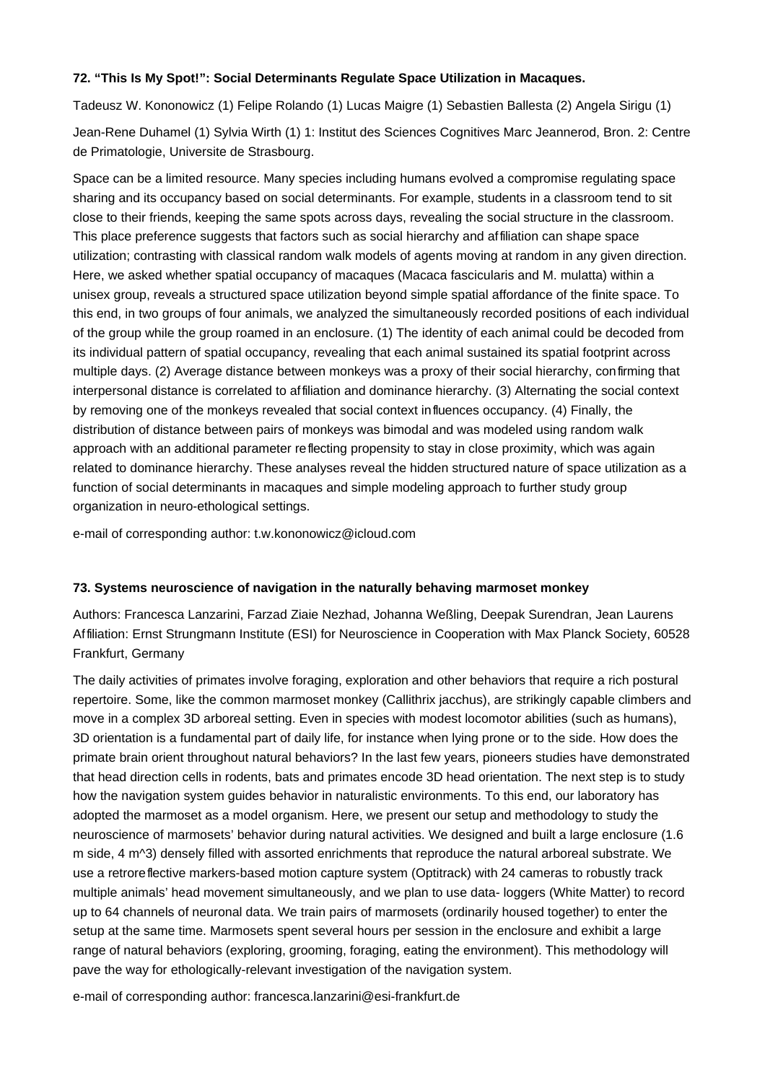## **72. "This Is My Spot!": Social Determinants Regulate Space Utilization in Macaques.**

Tadeusz W. Kononowicz (1) Felipe Rolando (1) Lucas Maigre (1) Sebastien Ballesta (2) Angela Sirigu (1) Jean-Rene Duhamel (1) Sylvia Wirth (1) 1: Institut des Sciences Cognitives Marc Jeannerod, Bron. 2: Centre de Primatologie, Universite de Strasbourg.

Space can be a limited resource. Many species including humans evolved a compromise regulating space sharing and its occupancy based on social determinants. For example, students in a classroom tend to sit close to their friends, keeping the same spots across days, revealing the social structure in the classroom. This place preference suggests that factors such as social hierarchy and affiliation can shape space utilization; contrasting with classical random walk models of agents moving at random in any given direction. Here, we asked whether spatial occupancy of macaques (Macaca fascicularis and M. mulatta) within a unisex group, reveals a structured space utilization beyond simple spatial affordance of the finite space. To this end, in two groups of four animals, we analyzed the simultaneously recorded positions of each individual of the group while the group roamed in an enclosure. (1) The identity of each animal could be decoded from its individual pattern of spatial occupancy, revealing that each animal sustained its spatial footprint across multiple days. (2) Average distance between monkeys was a proxy of their social hierarchy, confirming that interpersonal distance is correlated to affiliation and dominance hierarchy. (3) Alternating the social context by removing one of the monkeys revealed that social context influences occupancy. (4) Finally, the distribution of distance between pairs of monkeys was bimodal and was modeled using random walk approach with an additional parameter reflecting propensity to stay in close proximity, which was again related to dominance hierarchy. These analyses reveal the hidden structured nature of space utilization as a function of social determinants in macaques and simple modeling approach to further study group organization in neuro-ethological settings.

e-mail of corresponding author: t.w.kononowicz@icloud.com

## **73. Systems neuroscience of navigation in the naturally behaving marmoset monkey**

Authors: Francesca Lanzarini, Farzad Ziaie Nezhad, Johanna Weßling, Deepak Surendran, Jean Laurens Affiliation: Ernst Strungmann Institute (ESI) for Neuroscience in Cooperation with Max Planck Society, 60528 Frankfurt, Germany

The daily activities of primates involve foraging, exploration and other behaviors that require a rich postural repertoire. Some, like the common marmoset monkey (Callithrix jacchus), are strikingly capable climbers and move in a complex 3D arboreal setting. Even in species with modest locomotor abilities (such as humans), 3D orientation is a fundamental part of daily life, for instance when lying prone or to the side. How does the primate brain orient throughout natural behaviors? In the last few years, pioneers studies have demonstrated that head direction cells in rodents, bats and primates encode 3D head orientation. The next step is to study how the navigation system guides behavior in naturalistic environments. To this end, our laboratory has adopted the marmoset as a model organism. Here, we present our setup and methodology to study the neuroscience of marmosets' behavior during natural activities. We designed and built a large enclosure (1.6 m side, 4 m^3) densely filled with assorted enrichments that reproduce the natural arboreal substrate. We use a retroreflective markers-based motion capture system (Optitrack) with 24 cameras to robustly track multiple animals' head movement simultaneously, and we plan to use data- loggers (White Matter) to record up to 64 channels of neuronal data. We train pairs of marmosets (ordinarily housed together) to enter the setup at the same time. Marmosets spent several hours per session in the enclosure and exhibit a large range of natural behaviors (exploring, grooming, foraging, eating the environment). This methodology will pave the way for ethologically-relevant investigation of the navigation system.

e-mail of corresponding author: francesca.lanzarini@esi-frankfurt.de